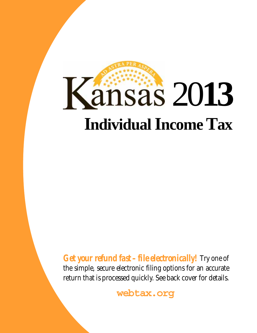# **Kansas 2013 Individual Income Tax**

*Get your refund fast – file electronically!* Try one of the simple, secure electronic filing options for an accurate return that is processed quickly. See back cover for details.

**webtax.org**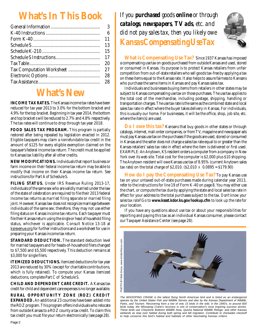# **What's In This Book**

| 3  |
|----|
| 6  |
| 11 |
| 13 |
| 15 |
| 17 |
| 20 |
| 27 |
| 28 |
|    |
|    |

# **What's New**

**INCOME TAX RATES.** The Kansas income tax rates have been reduced for tax year 2013 to 3.0% for the bottom bracket and 4.9% for the top bracket. Beginning in tax year 2014, the bottom and top bracket s will be reduced to 2.7% and 4.8% respectively. The tax rates will continue to drop through tax year 2018.

**FOOD SALES TAX PROGRAM.** This program is partially restored after being repealed by legislation enacted in 2012. Eligible taxpayers may claim a *nonrefundable* tax credit in the amount of \$125 for every eligible exemption claimed on the taxpayer's federal income tax return. The credit must be applied to Kansas tax liability after all other credits.

**NEW MODIFICATIONS.** Individuals that report business or farm income on their federal income tax return may be able to modify that income on their Kansas income tax return. See instructions for Part A of Schedule S.

**FILING STATUS.** Under IRS Revenue Ruling 2013-17, individuals of the same sex who are validly married under the law of the state of celebration are required to file their 2013 federal income tax returns as *married filing separate* or *married filing joint*. However, Kansas law does not recognize marriage between individuals of the same sex; therefore, they may not use either filing status on Kansas income tax returns. Each taxpayer must file their Kansas return using the *single* or *head of household* filing status, whichever is applicable. Consult Notice 13-18 at ksrevenue.org for further instructions and a worksheet for use in preparing your Kansas income tax return.

**STANDARD DEDUCTION.** The standard deduction level for married taxpayers and for heads-of-household filers changed to \$7,500 and \$5,500 respectively. This deduction remains at \$3,000 for single filers.

**ITEMIZED DEDUCTIONS.** Itemized deductions for tax year 2013 are reduced by 30% (except for charitable contributions, which is fully retained). To compute your Kansas itemized deductions, complete Part C of Schedule S.

**CHILD AND DEPENDENT CARE CREDIT.** A Kansas tax credit for child and dependent care expenses is no longer available.

**RURAL OPPORTUNITY ZONE (ROZ) CREDIT EXPANDED.** An additional 23 counties have been added into the ROZ program. This program offers individuals who relocate from outside Kansas to a ROZ county a tax credit. To claim this tax credit you must file your return electronically (see page 28).

*If you purchased goods online or through catalogs, newspapers, TV ads, etc. and did not pay sales tax, then you likely owe Kansas Compensating Use Tax*



**What is Compensating Use Tax?** Since 1937 Kansas has imposed a compensating use tax on goods purchased from outside Kansas and used, stored or consumed in Kansas. Its purpose is to protect Kansas retailers from unfair competition from out-of-state retailers who sell goods tax-free by applying a tax on these items equal to the Kansas rate. It also helps to assure fairness to Kansans who purchase the same items in Kansas and pay Kansas sales tax.

Individuals and businesses buying items from retailers in other states may be subject to Kansas compensating use tax on those purchases. The use tax applies to the total cost of the merchandise, including postage, shipping, handling or transportation charges. The use tax rate is the same as the combined state and local sales tax rate in effect where the buyer takes delivery in Kansas. For individuals, this is usually our home. For businesses, it will be the office, shop, job site, etc. where the item(s) are used.

**Do I owe this tax?** Kansans that buy goods in other states or through catalogs, internet, mail-order companies, or from TV, magazine and newspaper ads must pay Kansas use tax on the purchases if the goods are used, stored or consumed in Kansas and the seller does not charge a sales tax rate equal to or greater than the Kansas retailers' sales tax rate in effect where the item is delivered or first used. EXAMPLE: An Anytown, KS resident orders a computer from a company in New York over its web site. Total cost for the computer is \$2,000 plus \$10 shipping. The Anytown resident will owe Kansas use tax of 8.95% (current Anytown sales tax rate) on the total charge of \$2,010. (\$2,010  $\times$  0.0895 = \$179.90)

**How do I pay the Compensating Use Tax?** To pay Kansas use tax on your untaxed out-of-state purchases made during calendar year 2013, refer to the instructions for line 19 of Form K-40 on page 8. You may either use the chart, or compute the tax due by applying the state and local sales tax rate in effect for your address to the total purchases subject to the tax. *Don't know your sales tax rate?* Go to **www.kssst.kdor.ks.gov/lookup.cfm** to look up the rate for your location.

If you have any questions about use tax or about your responsibilities for reporting and paying this tax as an individual Kansas consumer, please contact our Taxpayer Assistance Center (see page 28).



The WHOOPING CRANE is the tallest flying North American bird and is listed as an endangered species by the United States Fish and Wildlife Service and also by the Kansas Department of Wildlife, Parks, and Tourism. Recovering from a low of only 15 birds in the wild, in the 1940's, to around 600 birds today, the Whooping Crane's recovery is one of conservation's most inspiring success stories. These birds use Cheyenne Bottoms Wildlife Area, Quivira National Wildlife Refuge, and other Kansas wetlands as stop over habitat during both spring and fall migration. Contribute to chickadee checkoff<br>to help conserve this bird's habitat and habitats of other fascinating Kansas critters.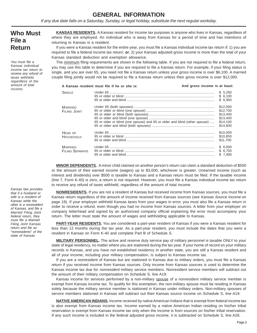## **GENERAL INFORMATION**

If any due date falls on a Saturday, Sunday, or legal holiday, substitute the next regular workday.

## **Who Must File a Return**

You must file a Kansas individual income tax return to receive any refund of taxes withheld, regardless of the amount of total income.

**KANSAS RESIDENTS.** A Kansas resident for income tax purposes is anyone who lives in Kansas, regardless of where they are employed. An individual who is away from Kansas for a period of time and has intentions of returning to Kansas is a resident.

If you were a Kansas resident for the entire year, you must file a Kansas individual income tax return if: 1) you are required to file a federal income tax return; **or**, 2) your Kansas adjusted gross income is more than the total of your Kansas standard deduction and exemption allowance.

The minimum filing requirements are shown in the following table. If you are not required to file a federal return, you may use this table to determine if you are required to file a Kansas return. For example, if your filing status is single, and you are over 65, you need not file a Kansas return unless your gross income is over \$6,100. A married couple filing jointly would not be required to file a Kansas return unless their gross income is over \$12,000.

|                                          | A Kansas resident must file if he or she is:                               | And gross income is at least: |                                                                      |
|------------------------------------------|----------------------------------------------------------------------------|-------------------------------|----------------------------------------------------------------------|
| <b>SINGLE</b>                            |                                                                            |                               | \$5,250<br>\$6,100<br>\$6.950                                        |
| <b>MARRIED</b><br>FILING JOINT           | 65 or older or blind (one spouse) and 65 or older and blind (other spouse) |                               | \$12,000<br>\$12,700<br>\$13,400<br>\$13,400<br>\$14,100<br>\$14,800 |
| HEAD OF<br>HOUSEHOLD                     |                                                                            |                               | \$10,000<br>\$10.850<br>\$11,700                                     |
| <b>MARRIED</b><br><b>FILING SEPARATE</b> |                                                                            |                               | \$6.000<br>\$ 6.700<br>\$7.400                                       |

**MINOR DEPENDENTS.** A minor child claimed on another person's return can claim a standard deduction of \$500 or the amount of their earned income (wages) up to \$3,000, whichever is greater. Unearned income (such as interest and dividends) over \$500 is taxable to Kansas and a Kansas return must be filed. If the taxable income (line 7, Form K-40) is zero, a return is not required. However, you must file a Kansas individual income tax return to receive any refund of taxes withheld, regardless of the amount of total income.

**NONRESIDENTS.** If you are not a resident of Kansas but received income from Kansas sources, you must file a Kansas return regardless of the amount of income received from Kansas sources (see Kansas Source Income on page 19). If your employer withheld Kansas taxes from your wages in error, you must also file a Kansas return in order to receive a refund, even though you had no income from Kansas sources. A letter from your employer on company letterhead and signed by an authorized company official explaining the error must accompany your return. The letter must state the amount of wages and withholding applicable to Kansas.

**PART-YEAR RESIDENTS.** You are considered a part-year resident of Kansas if you were a Kansas resident for less than 12 months during the tax year. As a part-year resident, you must include the dates that you were a resident in Kansas on Form K-40 and complete Part B of Schedule S.

**MILITARY PERSONNEL.** The active and reserve duty service pay of military personnel is taxable ONLY to your state of legal residency, no matter where you are stationed during the tax year. If your home of record on your military records is Kansas, and you have not established residency in another state, you are still a Kansas resident and all of your income, including your military compensation, is subject to Kansas income tax.

If you are a nonresident of Kansas but are stationed in Kansas due to military orders, you must file a Kansas return if you received income from Kansas sources. Only income from Kansas sources is used to determine the Kansas income tax due for nonresident military service members. Nonresident service members will subtract out the amount of their military compensation on Schedule S, line A19.

Kansas income for services performed by a non-military spouse of a nonresident military service member is exempt from Kansas income tax. To qualify for this exemption, the non-military spouse must be residing in Kansas solely because the military service member is stationed in Kansas under military orders. Non-military spouses of service members stationed in Kansas will subtract out their Kansas source income on Schedule S, line A19.

**NATIVE AMERICAN INDIANS.** Income received by native American Indians that is exempt from federal income tax is also exempt from Kansas income tax. Income earned by a native American Indian residing on his/her tribal reservation is exempt from Kansas income tax only when the income is from sources on his/her tribal reservation. If any such income is included in the federal adjusted gross income, it is subtracted on Schedule S, line A26.

Kansas law provides that if a husband or wife is a resident of Kansas while the other is a nonresident of Kansas, and file a Married Filing Joint federal return, they must file a Married Filing Joint Kansas return and file as "nonresidents" of the state of Kansas.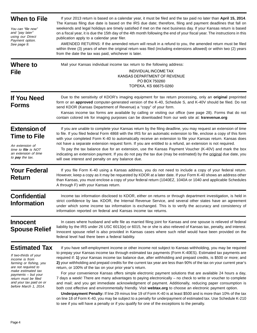| <b>When to File</b>                                                                                                                                                                                                                        | If your 2013 return is based on a calendar year, it must be filed and the tax paid no later than April 15, 2014.<br>The Kansas filing due date is based on the IRS due date; therefore, filing and payment deadlines that fall on                                                                                                                                                                                                                                                                                                                                                                                                                                                                                                                                                                                                                                                                                                                                                                                                                                                                                                                                                                                     |
|--------------------------------------------------------------------------------------------------------------------------------------------------------------------------------------------------------------------------------------------|-----------------------------------------------------------------------------------------------------------------------------------------------------------------------------------------------------------------------------------------------------------------------------------------------------------------------------------------------------------------------------------------------------------------------------------------------------------------------------------------------------------------------------------------------------------------------------------------------------------------------------------------------------------------------------------------------------------------------------------------------------------------------------------------------------------------------------------------------------------------------------------------------------------------------------------------------------------------------------------------------------------------------------------------------------------------------------------------------------------------------------------------------------------------------------------------------------------------------|
| You can "file now"<br>and "pay later"<br>using our Direct<br>Payment option.<br>See page 9.                                                                                                                                                | weekends and legal holidays are timely satisfied if met on the next business day. If your Kansas return is based<br>on a fiscal year, it is due the 15th day of the 4th month following the end of your fiscal year. The instructions in this<br>publication apply to a calendar year filer.<br>AMENDED RETURNS: If the amended return will result in a refund to you, the amended return must be filed<br>within three (3) years of when the original return was filed (including extensions allowed) or within two (2) years<br>from the date the tax was paid, whichever is later.                                                                                                                                                                                                                                                                                                                                                                                                                                                                                                                                                                                                                                 |
| <b>Where to</b><br><b>File</b>                                                                                                                                                                                                             | Mail your Kansas individual income tax return to the following address:<br>INDIVIDUAL INCOME TAX<br>KANSAS DEPARTMENT OF REVENUE<br>PO BOX 750260<br>TOPEKA, KS 66675-0260                                                                                                                                                                                                                                                                                                                                                                                                                                                                                                                                                                                                                                                                                                                                                                                                                                                                                                                                                                                                                                            |
| <b>If You Need</b><br><b>Forms</b>                                                                                                                                                                                                         | Due to the sensitivity of KDOR's imaging equipment for tax return processing, only an original preprinted<br>form or an approved computer-generated version of the K-40, Schedule S, and K-40V should be filed. Do not<br>send KDOR (Kansas Department of Revenue) a "copy" of your form.<br>Kansas income tax forms are available by calling or visiting our office (see page 28). Forms that do not<br>contain colored ink for imaging purposes can be downloaded from our web site at: ksrevenue.org                                                                                                                                                                                                                                                                                                                                                                                                                                                                                                                                                                                                                                                                                                               |
| <b>Extension of</b><br><b>Time to File</b><br>An extension of<br>time to file is NOT<br>an extension of time<br>to <b>pay</b> the tax.                                                                                                     | If you are unable to complete your Kansas return by the filing deadline, you may request an extension of time<br>to file. If you filed federal Form 4868 with the IRS for an automatic extension to file, enclose a copy of this form<br>with your completed Form K-40 to automatically receive an extension to file your Kansas return. Kansas does<br>not have a separate extension request form. If you are entitled to a refund, an extension is not required.<br>To pay the tax balance due for an extension, use the Kansas Payment Voucher (K-40V) and mark the box<br>indicating an extension payment. If you do not pay the tax due (may be estimated) by the original due date, you<br>will owe interest and penalty on any balance due.                                                                                                                                                                                                                                                                                                                                                                                                                                                                    |
| <b>Your Federal</b><br><b>Return</b>                                                                                                                                                                                                       | If you file Form K-40 using a Kansas address, you do not need to include a copy of your federal return.<br>However, keep a copy as it may be requested by KDOR at a later date. If your Form K-40 shows an address other<br>than Kansas, you must enclose a copy of your federal return (1040EZ, 1040A or 1040 and applicable Schedules<br>A through F) with your Kansas return.                                                                                                                                                                                                                                                                                                                                                                                                                                                                                                                                                                                                                                                                                                                                                                                                                                      |
| <b>Confidential</b><br><b>Information</b>                                                                                                                                                                                                  | Income tax information disclosed to KDOR, either on returns or through department investigation, is held in<br>strict confidence by law. KDOR, the Internal Revenue Service, and several other states have an agreement<br>under which some income tax information is exchanged. This is to verify the accuracy and consistency of<br>information reported on federal and Kansas income tax returns.                                                                                                                                                                                                                                                                                                                                                                                                                                                                                                                                                                                                                                                                                                                                                                                                                  |
| <b>Innocent</b><br><b>Spouse Relief</b>                                                                                                                                                                                                    | In cases where husband and wife file as married filing joint for Kansas and one spouse is relieved of federal<br>liability by the IRS under 26 USC 6013(e) or 6015, he or she is also relieved of Kansas tax, penalty, and interest.<br>Innocent spouse relief is also provided in Kansas cases where such relief would have been provided on the<br>federal level had there been a federal liability.                                                                                                                                                                                                                                                                                                                                                                                                                                                                                                                                                                                                                                                                                                                                                                                                                |
| <b>Estimated Tax</b><br>If two-thirds of your<br>income is from<br>farming or fishing, you<br>are not required to<br>make estimated tax<br>payments – but your<br>return must be filed<br>and your tax paid on or<br>before March 1, 2014. | If you have self-employment income or other income not subject to Kansas withholding, you may be required<br>to prepay your Kansas income tax through estimated tax payments (Form K-40ES). Estimated tax payments are<br>required if: 1) your Kansas income tax balance due, after withholding and prepaid credits, is \$500 or more; and<br>2) your withholding and prepaid credits for the current tax year are less than 90% of the tax on your current year's<br>return, or 100% of the tax on your prior year's return.<br>For your convenience Kansas offers simple electronic payment solutions that are available 24 hours a day,<br>7 days a week! There are many advantages to paying electronically – no check to write or voucher to complete<br>and mail; and you get immediate acknowledgment of payment. Additionally, reducing paper consumption is<br>both cost effective and environmentally friendly. Visit webtax.org to choose an electronic payment option.<br>Underpayment Penalty: If line 29 minus line 19 of Form K-40 is at least \$500 and is more than 10% of the tax<br>on line 18 of Form K-40, you may be subject to a penalty for undernayment of estimated tax. Use Schedule K-210 |

on line 18 of Form K-40, you may be subject to a penalty for underpayment of estimated tax. Use Schedule K-210 to see if you will have a penalty or if you qualify for one of the exceptions to the penalty.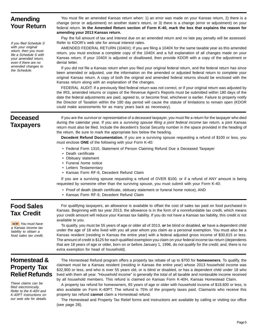## **Amending Your Return**

If you filed Schedule S with your original return, then you must file a Schedule S with your amended return, even if there are no amended changes to the Schedule.

You must file an amended Kansas return when: 1) an error was made on your Kansas return, 2) there is a change (error or adjustment) on another state's return, or 3) there is a change (error or adjustment) on your federal return. **In the Amended Return section of Form K-40, mark the box that explains the reason for amending your 2013 Kansas return.** 

Pay the full amount of tax and interest due on an amended return and no late pay penalty will be assessed. Refer to KDOR's web site for annual interest rates.

AMENDED FEDERAL RETURN (1040X): If you are filing a 1040X for the same taxable year as this amended return, you must enclose a complete copy of the 1040X and a full explanation of all changes made on your Kansas return. If your 1040X is adjusted or disallowed, then provide KDOR with a copy of the adjustment or denial letter.

If you did not file a Kansas return when you filed your original federal return, and the federal return has since been amended or adjusted, use the information on the amended or adjusted federal return to complete your original Kansas return. A copy of both the original and amended federal returns should be enclosed with the Kansas return along with an explanation of the changes.

FEDERAL AUDIT: If a previously filed federal return was not correct, or if your original return was adjusted by the IRS, amended returns or copies of the Revenue Agent's Reports must be submitted within 180 days of the date the federal adjustments are paid, agreed to, or become final, whichever is earlier. Failure to properly notify the Director of Taxation within the 180 day period will cause the statute of limitations to remain open (KDOR could make assessments for as many years back as necessary).

## **Deceased Taxpayers**

If you are the survivor or representative of a deceased taxpayer, you must file a return for the taxpayer who died during the calendar year. If you are a surviving spouse filing a joint federal income tax return, a joint Kansas return must also be filed. Include the decedent's Social Security number in the space provided in the heading of the return. Be sure to mark the appropriate box below the heading.

**Decedent Refund Documentation.** If you are a surviving spouse requesting a refund of \$100 or less, you must enclose **ONE** of the following with your Form K-40:

- Federal Form 1310, Statement of Person Claiming Refund Due a Deceased Taxpayer
- Death certificate
- Obituary statement
- Funeral home notice
- Letters Testamentary
- Kansas Form RF-9, Decedent Refund Claim

If you are a surviving spouse requesting a refund of OVER \$100, or if a refund of ANY amount is being requested by someone other than the surviving spouse, you must submit with your Form K-40:

- Proof of death (death certificate, obituary statement or funeral home notice), AND
- Kansas Form RF-9, Decedent Refund Claim

## **Food Sales Tax Credit**

**NEW!** You must have a Kansas income tax liability to obtain a food sales tax credit.

For qualifying taxpayers, an allowance is available to offset the cost of sales tax paid on food purchased in Kansas. Beginning with tax year 2013, the allowance is in the form of a nonrefundable tax credit, which means your credit amount will reduce your Kansas tax liability. If you do not have a Kansas tax liability, this credit is not available to you.

To qualify, you must be 55 years of age or older all of 2013, **or** be blind or disabled, **or** have a dependent child under the age of 18 who lived with you all year whom you claim as a personal exemption. You must also be a Kansas resident (residing in Kansas the entire year) with a federal adjusted gross income of \$30,615 or less. The amount of credit is \$125 for each qualified exemption you claim on your federal income tax return (dependents that are 18 years of age or older, born on or before January 1, 1996, do not qualify for the credit; and, there is no extra exemption for head of household).

## **Homestead & Property Tax Relief Refunds**

These claims can be filed electronically. Refer to the K-40H and K-40PT instructions on our web site for details.

The Homestead Refund program offers a property tax rebate of up to \$700 for **homeowners**. To qualify, the claimant must be a Kansas resident (residing in Kansas the entire year) whose 2013 household income was \$32,900 or less, and who is over 55 years old, or is blind or disabled, or has a dependent child under 18 who lived with them all year. "Household income" is generally the total of all taxable and nontaxable income received by all household members. This refund is claimed on Kansas Form K-40H, Kansas Homestead Claim.

A property tax refund for homeowners, 65 years of age or older with household income of \$18,600 or less, is also available on Form K-40PT. The refund is 75% of the property taxes paid. Claimants who receive this property tax refund **cannot** claim a Homestead refund.

The Homestead and Property Tax Relief forms and instructions are available by calling or visiting our office (see page 28).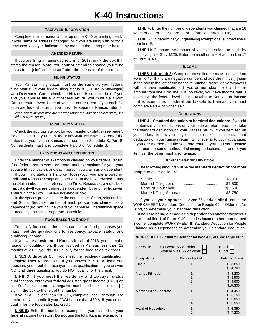#### **TAXPAYER INFORMATION**

Complete all information at the top of the K-40 by printing neatly. If your name or address changed, or if you are filing with or for a deceased taxpayer, indicate so by marking the appropriate boxes.

#### **AMENDED RETURN**

If you are filing an amended return for 2013, mark the box that states the reason. **Note:** You **cannot** amend to change your filing status from "joint" to "separate" after the due date of the return.

#### **FILING STATUS**

Your Kansas filing status must be the same as your federal filing status\*. If your federal filing status is **QUALIFYING WIDOW(ER) WITH DEPENDENT CHILD**, check the **HEAD OF HOUSEHOLD** box. If you and your spouse file a joint federal return, you must file a joint Kansas return, even if one of you is a nonresident. If you each file separate federal returns, you must file separate Kansas returns.

\* Same-sex taxpayers who are married under the laws of another state, see "What's New" on page 2.

#### **RESIDENCY STATUS**

Check the appropriate box for your residency status (see page 3 for definitions). If you mark the **PART-YEAR RESIDENT** box, enter the dates that you lived in Kansas and complete Schedule S, Part B. Nonresidents must also complete Part B of Schedule S.

#### **EXEMPTIONS AND DEPENDENTS**

Enter the number of exemptions claimed on your federal return. If no federal return was filed, enter total exemptions for you, your spouse (if applicable), and each person you claim as a dependent.

If your filing status is **HEAD OF HOUSEHOLD**, you are allowed an additional Kansas exemption; enter a "1" in the box provided. Enter the total number of exemptions in the **TOTAL KANSAS EXEMPTIONS** box. **Important**—If you are claimed as a dependent by another taxpayer, enter "0" in the **TOTAL KANSAS EXEMPTIONS** box.

In the spaces provided, enter the name, date of birth, relationship, and Social Security number of each person you claimed as a dependent (**do not** include you or your spouse). If additional space is needed, enclose a separate schedule.

#### **FOOD SALES TAX CREDIT**

To qualify for a credit for sales tax paid on food purchases you must meet the qualifications for residency, taxpayer status, and qualifying income.

If you were a **resident of Kansas for all of 2013**, you meet the residency qualification. If you resided in Kansas less than 12 months of 2013, you do NOT qualify for the food sales tax credit.

**LINES A through C:** If you meet the residency qualification, complete lines A through C. If you answer YES to at least one question, you meet the taxpayer status qualification. If you answer NO to all three questions, you do NOT qualify for the credit.

**LINE D:** If you meet the residency and taxpayer status qualifications, enter your **federal** adjusted gross income (FAGI) on line D. If the amount is a negative number, shade the minus [–] sign in the box to the left of the number.

If your FAGI is less than \$30,616, complete lines E through H to determine your credit. If your FAGI is more than \$30,615, you do not qualify for the food sales tax credit.

**LINE E:** Enter the number of exemptions you claimed on your **federal** income tax return. **Do not** use the total Kansas exemptions.

**LINE F:** Enter the number of dependents you claimed that are 18 years of age or older (born on or before January 1, 1996).

**LINE G:** To determine your qualifying exemptions, subtract line F from line E.

**LINE H:** Compute the amount of your food sales tax credit by multiplying line G by \$125. Enter the result on line H and on line 17 of Form K-40.

#### **INCOME**

**LINES 1 through 3:** Complete these line items as indicated on Form K-40. If any are negative numbers, shade the minus [–] sign in the box to the left of the negative number. **Note:** Many taxpayers will not have modifications. If you do not, skip line 2 and enter amount from line 1 on line 3. If, however, you have income that is taxable at the federal level but not taxable to Kansas, or income that is exempt from federal but taxable to Kansas, you must complete Part A of Schedule S.

#### **DEDUCTIONS**

**LINE 4 – Standard deduction or itemized deductions:** If you did not itemize your deductions on your federal return, you must take the standard deduction on your Kansas return. If you itemized on your federal return, you may either itemize or take the standard deduction on your Kansas return, whichever is to your advantage. If you are married and file separate returns, you and your spouse must use the same method of claiming deductions – if one of you itemize, the other must also itemize.

#### **KANSAS STANDARD DEDUCTION**

The following amounts will be the **standard deduction for most people** to enter on line 4:

 If **you** or **your spouse** is **over 65** and/or **blind**, complete WORKSHEET I, Standard Deduction for People 65 or Older and/or Blind, to determine your standard deduction.

If **you are being claimed as a dependent** on another taxpayer's return and line 1 of Form K-40 includes income other than earned income, complete WORKSHEET II, Standard Deduction for People Claimed as a Dependent, to determine your standard deduction.

| WORKSHEET I - Standard Deduction for People 65 or Older and/or Blind |  |                                                |                                               |
|----------------------------------------------------------------------|--|------------------------------------------------|-----------------------------------------------|
| Check if:                                                            |  | You were 65 or older<br>Spouse was 65 or older | <b>Blind</b><br><b>Blind</b>                  |
| Filing status:                                                       |  | Boxes checked:                                 | Enter on line 4:                              |
| Single                                                               |  | 1<br>$\mathfrak{p}$                            | \$3,850<br>\$.<br>4,700                       |
| <b>Married Filing Joint</b>                                          |  | 2<br>3<br>$\overline{4}$                       | \$8,200<br>\$8,900<br>\$9,600<br>\$10,300     |
| <b>Married Filing Separate</b>                                       |  | 1<br>2<br>3<br>$\overline{4}$                  | \$4,450<br>\$5,150<br>\$5,850<br>6,550<br>\$. |
| Head of Household                                                    |  | 1<br>$\mathfrak{p}$                            | 6,350<br>7,200                                |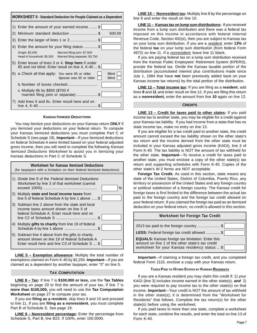| <b>WORKSHEET II - Standard Deduction for People Claimed as a Dependent</b> |                                                                                                                  |
|----------------------------------------------------------------------------|------------------------------------------------------------------------------------------------------------------|
|                                                                            | 1) Enter the amount of your earned income  \$                                                                    |
|                                                                            | 2) Minimum standard deduction \$<br>500.00                                                                       |
|                                                                            | 3) Enter the larger of lines 1 or 2\$                                                                            |
|                                                                            | 4) Enter the amount for your filing status \$                                                                    |
|                                                                            | Single: \$3,000<br>Married filing joint: \$7,500<br>Head of household: \$5,500 Married filing separate: \$3,750  |
|                                                                            | 5) Enter lesser of lines 3 or 4. <b>Stop here</b> if under<br>65 and not blind. Enter result on line 4, K-40  \$ |
|                                                                            | 6) a. Check all that apply: You were 65 or older<br><b>Blind</b><br>Spouse was 65 or older<br><b>Blind</b>       |
|                                                                            |                                                                                                                  |
|                                                                            | c. Multiply 6b by \$850 (\$700 if<br>married filing joint or separate) \$                                        |
|                                                                            | 7) Add lines 5 and 6c. Enter result here and on                                                                  |

#### **KANSAS ITEMIZED DEDUCTIONS**

You may itemize your deductions on your Kansas return **ONLY** if you itemized your deductions on your federal return. To compute your Kansas itemized deductions you must complete Part C of Schedule S (see page 19). **Important**—If your itemized deductions on federal Schedule A were limited based on your federal adjusted gross income, then you will need to complete the following Kansas Itemized Deductions Worksheet to assist you in itemizing your Kansas deductions in Part C of Schedule S.

| <b>Worksheet for Kansas Itemized Deductions</b><br>(for taxpayers with a limitation on their federal itemized deductions)                              |  |
|--------------------------------------------------------------------------------------------------------------------------------------------------------|--|
| 1) Divide line 9 of the Federal Itemized Deductions<br><i>Worksheet</i> by line 3 of that worksheet (cannot<br>%                                       |  |
| 2) Multiply state and local income taxes from<br>line 5 of federal Schedule A by line 1 above  \$                                                      |  |
| 3) Subtract line 2 above from the state and local<br>income taxes amount shown on line 5 of<br>federal Schedule A. Enter result here and on<br>\$.     |  |
| 4) Multiply gifts to charity from line 19 of federal<br>Schedule A by line 1 above \$                                                                  |  |
| 5) Subtract line 4 above from the gifts to charity<br>amount shown on line 19 of federal Schedule A<br>Enter result here and line C3 of Schedule S  \$ |  |

**LINE 5 – Exemption allowance:** Multiply the total number of exemptions claimed on Form K-40 by \$2,250. **Important**—If you are claimed as a dependent by another taxpayer, enter "0" on line 5.

#### **TAX COMPUTATION**

**LINE 8 – Tax:** If line 7 is **\$100,000 or less,** use the **Tax Tables** beginning on page 20 to find the amount of your tax. If line 7 is **more than \$100,000,** you will need to use the **Tax Computation Worksheet** on page 27 to compute your tax.

If you are **filing as a resident**, skip lines 9 and 10 and proceed to line 11. If you are **filing as a nonresident**, you must complete Part B of Schedule S. See page 19.

**LINE 9 – Nonresident percentage:** Enter the percentage from Schedule S, Part B, line B23. If 100%, enter 100.0000.

**LINE 10 – Nonresident tax:** Multiply line 8 by the percentage on line 9 and enter the result on line 10.

**LINE 11 – Kansas tax on lump sum distributions:** If you received income from a lump sum distribution and there was a federal tax imposed on this income in accordance with federal Internal Revenue Code, Section 402(e), then you are subject to Kansas tax on your lump sum distribution. If you are a resident, enter **13%** of the federal **tax** on your lump sum distribution (from federal Form 4972) on line 11. If a *nonresident*, leave line 11 blank.

If you are paying federal tax on a lump sum distribution received from the Kansas Public Employees' Retirement System (KPERS), prorate the federal tax. Divide the Kansas taxable portion of the distribution (accumulated interest plus contributions made since July 1, 1984 that have **not** been previously added back on your Kansas income tax returns) by the total portion of the distribution.

**LINE 12 – Total income tax:** If you are filing as a **resident**, add lines **8** and **11** and enter result on line 12. If you are filing this return as a **nonresident,** enter the amount from line **10** again on line 12.

#### **CREDITS**

**LINE 13 – Credit for taxes paid to other states:** If you paid income tax to another state, you may be eligible for a credit against your Kansas tax liability. If you had income from a state that has no state income tax, make no entry on line 13.

If you are eligible for a tax credit paid to another state, the credit amount cannot exceed the tax liability shown on the other state's tax return and the income derived from the other state must be included in your Kansas adjusted gross income (KAGI), line 3 of Form K-40. The tax liability is NOT the amount of tax withheld for the other state. **Important**—To receive a credit for taxes paid to another state, you must enclose a copy of the other state(s) tax return and supporting schedules with Form K-40. Copies of the other state's W-2 forms are NOT acceptable.

**Foreign Tax Credit.** As used in this section, state means any state of the United States, District of Columbia, Puerto Rico, any territory or possession of the United States and any foreign country or political subdivision of a foreign country. The Kansas credit for foreign taxes is first limited to the difference between the actual tax paid to the foreign country and the foreign tax credit allowed on your federal return. If you claimed the foreign tax paid as an itemized deduction on your federal return, no credit is allowed in this section.

| <b>Worksheet for Foreign Tax Credit</b>                                                                                                                        |
|----------------------------------------------------------------------------------------------------------------------------------------------------------------|
| 2013 tax paid to the foreign country \$                                                                                                                        |
| LESS: Federal foreign tax credit allowed  \$                                                                                                                   |
| <b>EQUALS:</b> Kansas foreign tax limitation. Enter this<br>amount on line 1 of the other state's tax credit<br>worksheet for your Kansas residency status  \$ |

**Important**—If claiming a foreign tax credit, and you completed federal Form 1116, enclose a copy with your Kansas return.

#### **TAXES PAID TO OTHER STATES BY KANSAS RESIDENTS**

If you are a Kansas resident you may claim this credit if: 1) your KAGI (line 3) includes income earned in the other state(s); **and** 2) you were required to pay income tax to the other state(s) on that income. **Important**—Your credit is NOT the amount of tax withheld in the other state(s); it is determined from the "Worksheet for Residents" that follows. Complete the tax return(s) for the other state(s) before using the worksheet.

If you paid taxes to more than one state, complete a worksheet for each state, combine the results, and enter the total on line 13 of Form K-40.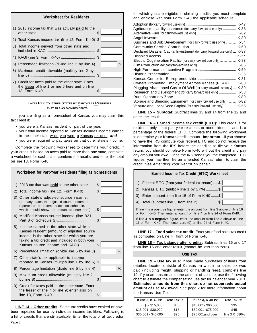#### **Worksheet for Residents**

| 1) 2013 income tax that was actually <b>paid</b> to the                                               | \$. |      |
|-------------------------------------------------------------------------------------------------------|-----|------|
| 2) Total Kansas income tax (line 12, Form K-40) \$                                                    |     |      |
| 3) Total income derived from other state and                                                          | \$  |      |
|                                                                                                       |     |      |
| 5) Percentage limitation (divide line 3 by line 4)                                                    |     | $\%$ |
| 6) Maximum credit allowable (multiply line 2 by                                                       | \$  |      |
| 7) Credit for taxes paid to the other state. Enter<br>the lesser of line 1 or line 6 here and on line | S   |      |

#### **TAXES PAID TO OTHER STATES BY PART-YEAR RESIDENTS THAT FILE AS NONRESIDENTS**

If you are filing as a nonresident of Kansas you may claim this tax credit if:

- you were a Kansas resident for part of the year,
- your total income reported to Kansas includes income earned in the other state while you were a Kansas resident, *and*
- you were required to pay taxes on that other state's income.

Complete the following worksheet to determine your credit. If your credit is based on taxes paid to more than one state, complete a worksheet for each state, combine the results, and enter the total on line 13, Form K-40.

| Worksheet for Part-Year Residents filing as Nonresidents                                                                                                                                                                       |
|--------------------------------------------------------------------------------------------------------------------------------------------------------------------------------------------------------------------------------|
| 1) 2013 tax that was <b>paid</b> to the other state \$                                                                                                                                                                         |
| 2) Total income tax (line 12, Form K-40) \$                                                                                                                                                                                    |
| 3) Other state's adjusted source income.<br>(In many states the adjusted source income is<br>reported on an income allocation schedule,<br>which should show the amount to enter here)  \$                                     |
| 4) Modified Kansas source income (line B21,                                                                                                                                                                                    |
| 5) Income earned in the other state while a<br>Kansas resident (amount of adjusted source<br>income in the other state for which you are<br>taking a tax credit and included in both your<br>Kansas source income and KAGI) \$ |
| %<br>6) Percentage limitation (divide line 5 by line 3)                                                                                                                                                                        |
| 7) Other state's tax applicable to income<br>reported to Kansas (multiply line 1 by line 6) \$                                                                                                                                 |
| %<br>8) Percentage limitation (divide line 5 by line 4)                                                                                                                                                                        |
| 9) Maximum credit allowable (multiply line 2                                                                                                                                                                                   |
| 10) Credit for taxes paid to the other state. Enter<br>the lesser of line 7 or line 9; enter also on                                                                                                                           |

**LINE 14 – Other credits:** Some tax credits have expired or have been repealed for use by individual income tax filers. Following is a list of credits that are still available. Enter the total of all tax credits

for which you are eligible. In claiming credits, you must complete and enclose with your Form K-40 the applicable schedule.

|                                                                         | $K-47$ |
|-------------------------------------------------------------------------|--------|
| Agritourism Liability Insurance (for carry forward use only)            | $K-33$ |
|                                                                         |        |
|                                                                         | $K-30$ |
| Business and Job Development (for carry forward use only)  K-34         |        |
|                                                                         |        |
|                                                                         |        |
| Declared Disaster Capital Investment (for carry forward use only)  K-87 |        |
|                                                                         |        |
| Electric Cogeneration Facility (for carry forward use only)  K-83       |        |
|                                                                         |        |
|                                                                         |        |
|                                                                         |        |
|                                                                         |        |
| Owners Promoting Employment Across Kansas (PEAK)                        | K-88   |
| Plugging Abandoned Gas or Oil Well (for carry forward use only)         | $K-39$ |
| Research and Development (for carry forward use only)                   | $K-53$ |
|                                                                         | K-89   |
| Storage and Blending Equipment (for carry forward use only)  K-82       |        |
| Venture and Local Seed Capital (for carry forward use only)  K-55       |        |

**LINE 15 – Subtotal:** Subtract lines 13 and 14 from line 12 and enter the result.

**LINE 16 – Earned income tax credit (EITC):** This credit is for residents only – not part-year residents or nonresidents – and is a percentage of the federal EITC. Complete the following worksheet to determine your **Kansas** credit amount. **Important—**If you choose to have the IRS compute your federal EITC and do not receive the information from the IRS before the deadline to file your Kansas return, you should complete Form K-40 without the credit and pay any amount you owe. Once the IRS sends you the completed EITC figures, you may then file an amended Kansas return to claim the credit. See *Amending Your Return* on page 5.

|                                                                                                                                                              | <b>Earned Income Tax Credit (EITC) Worksheet</b> |
|--------------------------------------------------------------------------------------------------------------------------------------------------------------|--------------------------------------------------|
|                                                                                                                                                              | 1) Federal EITC (from your federal tax return)\$ |
| 2)                                                                                                                                                           | Kansas EITC (multiply line 1 by 17%) \$          |
|                                                                                                                                                              | 3) Enter amount from line 15 of Form K-40 \$     |
|                                                                                                                                                              | 4) Total (subtract line 3 from line 2)\$         |
| If line 4 is a <b>positive</b> figure, enter the amount from line 3 above on line 16<br>of Form K-40. Then enter amount from line 4 on line 24 of Form K-40. |                                                  |
| If line 4 is a <b>negative</b> figure, enter the amount from line 2 above on line<br>16 of Form K-40. Then enter zero (0) on line 24 of Form K-40.           |                                                  |
|                                                                                                                                                              |                                                  |

| LINE 17 – Food sales tax credit: Enter your food sales tax credit |  |
|-------------------------------------------------------------------|--|
| as computed on Line H, front of Form K-40.                        |  |

**LINE 18 – Tax balance after credits:** Subtract lines 16 and 17 from line 15 and enter result (cannot be less than zero).

#### **USE TAX**

**LINE 19 – Use tax due:** If you made purchases of items from retailers located outside of Kansas on which no sales tax was paid (including freight, shipping or handling fees), complete line 19. If you are unsure as to the amount of tax due, use the following chart to estimate the compensating use tax for calendar year 2013. **Estimated amounts from this chart do not supersede actual amount of use tax owed.** See page 2 for more information about the Kansas Use Tax.

| If line 3, K-40 is: | Use Tax is: | If line 3, K-40 is: | Use Tax is:      |
|---------------------|-------------|---------------------|------------------|
| \$0-\$15,000        | \$5         | \$45,001-\$60,000   | \$35             |
| \$15,001-\$30,000   | \$15        | \$60,001-\$75,000   | \$45             |
| $$30,001 - $45,000$ | \$25        | \$75,001 and over   | line 3 X .080% l |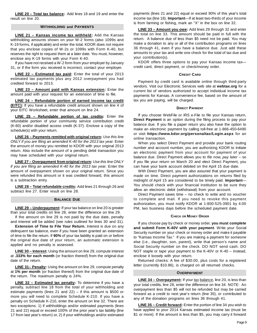**LINE 20 – Total tax balance:** Add lines 18 and 19 and enter the result on line 20.

#### **WITHHOLDING and PAYMENTS**

**LINE 21 – Kansas income tax withheld:** Add the Kansas withholding amounts shown on your W-2 forms (also 1099s and K-19 forms, if applicable) and enter the total. KDOR does not require that you enclose copies of W-2s or 1099s with Form K-40, but reserves the right to request them at a later date. You must, however, enclose any K-19 forms with your Form K-40.

If you have not received a W-2 form from your employer by January 31, or if the form you received is incorrect, contact your employer.

**LINE 22 – Estimated tax paid:** Enter the total of your 2013 estimated tax payments plus any 2012 overpayment you had credited forward to 2013.

**LINE 23 – Amount paid with Kansas extension:** Enter the amount paid with your request for an extension of time to file.

**LINE 24 – Refundable portion of earned income tax credit (EITC):** If you have a refundable credit amount shown on line 4 of your EITC Worksheet, enter that amount on line 24.

**LINE 25 – Refundable portion of tax credits:** Enter the refundable portion of your community service contribution credit (K-60) and/or disabled access credit (K-37). Enclose a copy of the schedule(s) wtih your return.

**LINE 26 – Payments remitted with original return:** *Use this line ONLY if you are filing an amended K-40 for the 2013 tax year.* Enter the amount of money you remitted to KDOR with your original 2013 return. Also include the amount of a pending debit transaction you may have scheduled with your original return.

**LINE 27 – Overpayment from original return:** *Use this line ONLY if you are filing an amended K-40 for the 2013 tax year.* Enter the amount of overpayment shown on your original return. Since you were refunded this amount or it was credited forward, this amount is a subtraction entry.

**LINE 28 – Total refundable credits:** Add lines 21 through 26 and subtract line 27. Enter result on line 28.

#### **BALANCE DUE**

**LINE 29 – Underpayment:** If your tax balance on line 20 is greater than your total credits on line 28, enter the difference on line 29.

If the amount on line 29 is not paid by the due date, penalty and interest will be added (see rules outlined for lines 30 and 31).

**Extension of Time to File Your Return.** Interest is due on any delinquent tax balance, even if you have been granted an extension of time to file the return. If **90%** of your tax liability is paid on or before the original due date of your return, an automatic extension is applied and no penalty is assessed.

**LINE 30 – Interest:** Using the amount on line 29, compute interest at **.333% for each month** (or fraction thereof) from the original due date of the return.

**LINE 31– Penalty:** Using the amount on line 29, compute penalty at **1% per month** (or fraction thereof) from the original due date of the return. The maximum penalty is 24%.

**LINE 32 – Estimated tax penalty:** To determine if you have a penalty, subtract line 18 from the total of your withholding and estimate payments (lines 21 and 22) – if this amount is \$500 or more you will need to complete Schedule K-210. If you have a penalty on Schedule K-210, enter the amount on line 32. There are two exceptions: 1) if withholdings and/or estimated payments (lines 21 and 22) equal or exceed 100% of the prior year's tax liability (line 17 from last year's return) or, 2) if your withholdings and/or estimated payments (lines 21 and 22) equal or exceed 90% of this year's total income tax (line 18). **Important**—If at least two-thirds of your income is from farming or fishing, mark an "X" in the box on line 32.

**LINE 33 – Amount you owe:** Add lines 29 through 32 and enter the total on line 33. This amount should be paid in full with the return. A balance due of less than \$5 need not be paid. You may make a donation to any or all of the contribution programs on lines 36 through 41, even if you have a balance due. Just add these amounts to your tax and write one check for the total of tax due and your contribution(s).

KDOR offers three options to pay your Kansas income tax credit card, direct payment, or check/money order.

#### **CREDIT CARD**

Payment by credit card is available online through third-party vendors. Visit our Electronic Services web site at **webtax.org** for a current list of vendors authorized to accept individual income tax payments for Kansas. A convenience fee, based on the amount of tax you are paying, will be charged.

#### **DIRECT PAYMENT**

If you choose WebFile or IRS e-File to file your Kansas return, **Direct Payment** is an option during the filing process to pay your balance due. If you file a paper return you also have the option to make an *electronic* payment by calling toll-free at 1-866-450-6490 or visit **https://www.kdor.org/personaltax/Login.aspx** for an online transaction.

When you select Direct Payment and provide your bank routing number and account number, you are authorizing KDOR to initiate an electronic payment from your account for payment of your balance due. Direct Payment allows you to *file now, pay later* – so if you file your return on March 20 and elect Direct Payment, you can have your bank account debited on the April 15 due date.

With Direct Payment, you are also assured that your payment is made on time. Direct payment authorizations on returns filed by midnight of April 15 are considered to be timely paid. **Important**— You should check with your financial institution to be sure they allow an electronic debit (withdrawal) from your account.

Direct Payment saves time – no check to write and no voucher to complete and mail. If you need to revoke this payment authorization, you must notify KDOR at 1-800-525-3901 by 4:00 PM, two business days before the scheduled payment date.

#### **CHECK OR MONEY ORDER**

If you choose pay by check or money order, **you must complete and submit Form K-40V with your payment**. Write your Social Security number on your check or money order and make it payable to "Kansas Income Tax." If you are making a payment for someone else (i.e., daughter, son, parent), write that person's name and Social Security number on the check. DO NOT send cash. DO NOT staple or tape your payment to the K-40V or K-40 – instead, enclose it loosely with your return.

Returned checks: A fee of \$30.00, plus costs for a registered letter (currently \$10.86), is charged on all returned checks.

#### **OVERPAYMENT**

**LINE 34 – Overpayment:** If your tax balance, line 20, is less than your total credits, line 28, enter the difference on line 34. NOTE: An overpayment less than \$5 will not be refunded but may be carried forward as a credit to next year's return (line 35), or contributed to any of the donation programs on lines 36 through 41.

**LINE 35 – Credit forward:** Enter the portion of line 34 you wish to have applied to your 2014 Kansas estimated income tax (must be \$1 or more). If the amount is less than \$5, you may carry it forward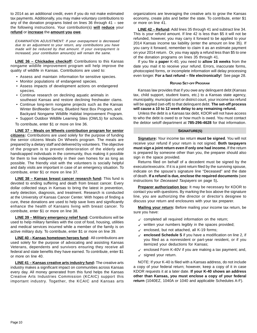to 2014 as an additional credit, even if you do not make estimated tax payments. Additionally, you may make voluntary contributions to any of the donation programs listed on lines 36 through 41 – see the following instructions. Your contribution(s) **will reduce** your **refund** or **increase** the **amount you owe**.

EXAMINATION ADJUSTMENT: If your overpayment is decreased due to an adjustment to your return, any contributions you have made will be reduced by that amount. If your overpayment is increased, your contribution amount(s) will remain the same.

**LINE 36 – Chickadee checkoff:** Contributions to this Kansas nongame wildlife improvement program will help improve the quality of wildlife in Kansas. Contributions are used to:

- Assess and maintain information for sensitive species.
- Monitor populations of endangered species.
- Assess impacts of development actions on endangered species.
- Continue research on declining aquatic animals in southeast Kansas and restore declining freshwater clams.
- Continue long-term nongame projects such as the Kansas Winter Birdfeeder Survey, Bluebird Nest Box Program, and Backyard Nongame Wildlife Habitat Improvement Program.
- Support Outdoor Wildlife Learning Sites (OWLS) for schools.
- To contribute, enter \$1 or more on line 36.

**LINE 37 – Meals on Wheels contribution program for senior citizens:** Contributions are used solely for the purpose of funding the senior citizens Meals On Wheels program. The meals are prepared by a dietary staff and delivered by volunteers. The objective of the program is to prevent deterioration of the elderly and handicapped individuals in the community, thus making it possible for them to live independently in their own homes for as long as possible. The friendly visit with the volunteers is socially helpful and daily visits are important in case of an emergency situation. To contribute, enter \$1 or more on line 37.

**LINE 38 – Kansas breast cancer research fund:** This fund is devoted to ending suffering and death from breast cancer. Every dollar collected stays in Kansas to bring the latest in prevention, early detection, diagnosis, and treatment. Research is conducted at the University of Kansas Cancer Center. With hopes of finding a cure, these donations are used to help save lives and significantly enhance the health of Kansans living with breast cancer. To contribute, enter \$1 or more on line 38.

**LINE 39 – Military emergency relief fund:** Contributions will be used to help military families with the cost of food, housing, utilities and medical services incurred while a member of the family is on active military duty. To contribute, enter \$1 or more on line 39.

**LINE 40 – Kansas hometown heroes fund:** All contributions are used solely for the purpose of advocating and assisting Kansas Veterans, dependents and survivors ensuring they receive all federal and state benefits they have earned. To contribute, enter \$1 or more on line 40.

**LINE 41 – Kansas creative arts industry fund:** The creative arts industry makes a significant impact on communities across Kansas every day. All money generated from this fund helps the Kansas Creative Arts Industries Commission (KCAIC) support this important industry. Together, the KCAIC and Kansas arts organizations are leveraging the creative arts to grow the Kansas economy, create jobs and better the state. To contribute, enter \$1 or more on line 41.

**LINE 42 – Refund:** Add lines 35 through 41 and subtract line 34. This is your refund amount. If line 42 is less than \$5 it will not be refunded, however, you may carry it forward to be applied to your 2014 Kansas income tax liability (enter the amount on line 35). If you carry it forward, remember to claim it as an estimate payment on your 2014 return. Or, you may apply a refund less than \$5 to one of the donation programs on lines 35 through 41.

If you file a **paper** K-40, you need to **allow 16 weeks** from the date you mail it to receive your refund. Errors, inaccurate forms, photocopied forms, or incomplete information will delay processing even longer. **For a fast refund – file electronically!** See page 28.

#### **REFUND SET-OFF PROGRAM**

Kansas law provides that if you owe any delinquent debt (Kansas tax, child support, student loans, etc.) to a Kansas state agency, municipality, municipal court or district court, your income tax refund will be applied (set-off) to that delinquent debt. **The set-off process will cause a 10 to 12 week delay to any remaining refund.** 

Unless the debt is a Kansas tax debt, KDOR will not have access to who the debt is owed to or how much is owed. You must contact the debtor setoff department at **785-296-4628** for that information.

#### **SIGNATURE(S)**

**Signature:** Your income tax return **must be signed**. You will not receive your refund if your return is not signed. **Both taxpayers must sign a joint return even if only one had income.** If the return is prepared by someone other than you, the preparer should also sign in the space provided.

Returns filed on behalf of a decedent must be signed by the executor/executrix. If it is a joint return filed by the surviving spouse, indicate on the spouse's signature line "Deceased" and the date of death. **If a refund is due, enclose the required documents** (see instructions for Deceased Taxpayers on page 5)**.** 

**Preparer authorization box:** It may be necessary for KDOR to contact you with questions. By marking the box above the signature line, you are authorizing the director or director's designee to discuss your return and enclosures with your tax preparer.

**Mailing your return:** Before mailing your income tax return, be sure you have:

- $\checkmark$  completed all required information on the return;
- $\checkmark$  written your numbers legibly in the spaces provided;
- $\checkmark$  enclosed, but not attached, all K-19 forms;
- 9 **enclosed Schedule S** if you have a modification on line 2, if you filed as a nonresident or part-year resident, or if you itemized your deductions for Kansas;
- $\checkmark$  enclosed Form K-40V if you are making a tax payment; and,  $\checkmark$  signed your return.

NOTE: If your K-40 is filed with a Kansas address, do not include a copy of your federal return; however, keep a copy of it in case KDOR requests it at a later date. **If your K-40 shows an address other than Kansas, you must enclose a copy of your federal return** (1040EZ, 1040A or 1040 and applicable Schedules A-F).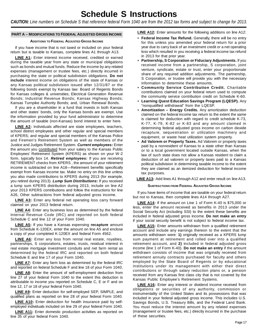# **Schedule S Instructions**

*CAUTION: Line numbers on Schedule S that reference federal Form 1040 are from the 2012 tax forms and subject to change for 2013.* 

#### **PART A – MODIFICATIONS TO FEDERAL ADJUSTED GROSS INCOME**

#### **ADDITIONS TO FEDERAL ADJUSTED GROSS INCOME**

If you have income that is not taxed or included on your federal return but is taxable to Kansas, complete lines A1 through A13.

LINE A1: Enter interest income received, credited or earned during the taxable year from any state or municipal obligations such as bonds and mutual funds. Reduce the income by any related expenses (management or trustee fees, etc.) directly incurred in purchasing the state or political subdivision obligations. **Do not include** interest income on obligations of the state of Kansas or any Kansas political subdivision issued after 12/31/87 or the following bonds exempt by Kansas law: Board of Regents Bonds for Kansas colleges & universities; Electrical Generation Revenue Bonds; Industrial Revenue Bonds; Kansas Highway Bonds; Kansas Turnpike Authority Bonds; and, Urban Renewal Bonds.

If you are a shareholder in a fund that invests in both Kansas and other states' bonds, only the Kansas bonds are exempt. Use the information provided by your fund administrator to determine the amount of taxable (non-Kansas) bond interest to enter here.

**LINE A2:** Individuals affected are state employees, teachers, school district employees and other regular and special members of KPERS; and regular and special members of the Kansas Police and Firemen's Retirement System as well as members of the Justice and Judges Retirement System. *Current employees:* Enter the amount you contributed from your salary to the Kansas Public Employees' Retirement System (KPERS) as shown on your W-2 form, typically box 14. *Retired employees:* If you are receiving RETIREMENT checks from KPERS , the amount of your retirement income is subtracted on line A18—Retirement benefits specifically exempt from Kansas income tax. Make no entry on this line unless you also made contributions to KPERS during 2013 (for example, you retired during 2013). *Lump Sum Distributions***:** If you received a lump sum KPERS distribution during 2013, include on line A2 your 2013 KPERS contributions and follow the instructions for line A26, Other subtractions from federal adjusted gross income.

LINE A3: Enter any federal net operating loss carry forward claimed on your 2013 federal return.

**LINE A4:** Enter any business loss as determined by the federal Internal Revenue Code (IRC) and reported on both federal Schedule C and line 12 of your Form 1040.

**LINE A5:** If you have a Kansas expensing **recapture** amount from Schedule K-120EX, enter the amount on line A5 and enclose a copy of your completed K-120EX and federal Form 4562.

**LINE A6:** Enter any loss from rental real estate, royalties, partnerships, S corporations, estates, trusts, residual interest in real estate mortgage investment conduits and net farm rental as determined by the federal IRC and reported on both federal Schedule E and line 17 of your Form 1040.

**LINE A7:** Enter any farm loss as determined by the federal IRC and reported on federal Schedule F and line 18 of your Form 1040.

**LINE A8:** Enter the amount of self-employment deduction from line 27 of your federal Form 1040 to the extent this deduction is attributable to income you reported on Schedule C, E or F and on line 12, 17 or 18 of your federal Form 1040.

**LINE A9:** Enter deduction for self-employed SEP, SIMPLE, and qualified plans as reported on line 28 of your federal Form 1040.

**LINE A10:** Enter deduction for health insurance paid by selfemployed individuals included on line 29 of your federal Form 1040.

LINE A11: Enter domestic production activities as reported on line 35 of your federal Form 1040.

**LINE A12:** Enter amounts for the following additions on line A12:

- **Federal Income Tax Refund.** Generally, there will be no entry for this unless you amended your federal return for a prior year due to carry back of an investment credit or a net operating loss which resulted in you receiving a federal income tax refund in 2013 for that prior year.
- **Partnership, S Corporation or Fiduciary Adjustments.** If you received income from a partnership, S corporation, joint venture, syndicate, estate or trust, enter your proportionate share of any required addition adjustments. The partnership, S Corporation, or trustee will provide you with the necessary information to determine these amounts.
- **Community Service Contribution Credit.** Charitable contributions claimed on your federal return used to compute the community service contribution credit on Schedule K-60.
- **Learning Quest Education Savings Program (LQESP).** Any "nonqualified withdrawal" from the LQESP.
- **Amortization Energy Credits.** Any amortization deduction claimed on the federal income tax return to the extent the same is claimed for deduction with regard to credit schedule K-73, K-77, K-79, K-82 or K-83 and any amount claimed in determining federal adjusted gross income on carbon dioxide recapture, sequestration or utilization machinery and equipment, or waste heat utilization system property.
- **Ad Valorem or Property Taxes.** Ad Valorem or property taxes paid by a nonresident of Kansas to a state other than Kansas or to a local government located outside Kansas, when the law of such state does not allow a Kansas resident to claim a deduction of ad valorem or property taxes paid to a Kansas political subdivision in determining taxable income to the extent they are claimed as an itemized deduction for federal income tax purposes.

**LINE A13:** Add lines A1 through A12 and enter result on line A13.

#### **SUBTRACTIONS FROM FEDERAL ADJUSTED GROSS INCOME**

If you have items of income that are taxable on your federal return but not to Kansas, then complete lines A14 through A27.

**LINE A14:** If the amount on Line 1 of Form K-40 is \$75,000 or less, enter the amount received as benefits in 2013 under the Social Security Act (including SSI) to the extent these benefits are included in federal adjusted gross income. **Do not make an entry**  if your social security benefit is not subject to federal income tax.

**LINE A15:** Enter amounts withdrawn from a qualified retirement account and include any earnings thereon to the extent that the amounts withdrawn were: **1)** originally received as a KPERS lump sum payment at retirement and rolled over into a qualified retirement account, and **2)** included in federal adjusted gross income (line 1 of Form K-40). **Do not make an entry** if the amount withdrawn consists of income that was originally received from retirement annuity contracts purchased for faculty and others employed by the State Board of Regents or by educational institutions under its management with either their direct contributions or through salary reduction plans or, a pension received from any Kansas first class city that is not covered by the Kansas Public Employee's Retirement Systems.

**LINE A16:** Enter any interest or dividend income received from obligations or securities of any authority, commission or instrumentality of the United States and its possessions that was included in your federal adjusted gross income. This includes U.S. Savings Bonds, U.S. Treasury Bills, and the Federal Land Bank. You must reduce the interest amount by any related expenses (management or trustee fees, etc.) directly incurred in the purchase of these securities.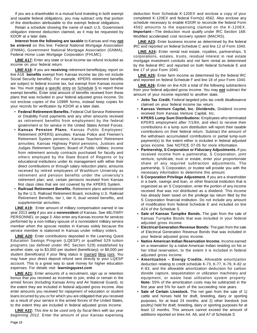If you are a shareholder in a mutual fund investing in both exempt and taxable federal obligations, you may subtract only that portion of the distribution attributable to the exempt federal obligations.

Retain a schedule showing the name of each U.S. Government obligation interest deduction claimed, as it may be requested by KDOR at a later date.

**Interest from the following are taxable** to Kansas and may **not be entered** on this line: Federal National Mortgage Association (FNMA); Government National Mortgage Association (GNMA); Federal Home Loan Mortgage Corporation (FHLMC).

**LINE A17:** Enter any state or local income tax refund included as income on your federal return.

**LINE A18:** If you are **receiving** retirement benefits/pay, report on line A18 **benefits** exempt from Kansas income tax (do not include Social Security benefits). For example, KPERS retirement benefits are subject to federal income tax, but exempt from Kansas income tax. You must make a specific entry on Schedule S to report these exempt benefits. Enter total amount of benefits received from these plans that was included in your federal adjusted gross income. Do not enclose copies of the 1099R forms, instead keep copies for your records for verification by KDOR at a later date.

- **Federal Retirement Benefits.** Federal Civil Service Retirement or Disability Fund payments and any other amounts received as retirement benefits from employment by the federal government or for service in the United States Armed Forces.
- **Kansas Pension Plans.** Kansas Public Employees' Retirement (KPERS) annuities; Kansas Police and Firemen's Retirement System pensions; Kansas Teachers' Retirement annuities; Kansas Highway Patrol pensions; Justices and Judges Retirement System; Board of Public Utilities; income from retirement annuity contracts purchased for faculty and others employed by the State Board of Regents or by educational institutions under its management with either their direct contributions or through salary reduction plans; amounts received by retired employees of W ashburn University as retirement and pension benefits under the university's retirement plan; and, certain pensions received from Kansas first class cities that are not covered by the KPERS System.
- **Railroad Retirement Benefits.** Retirement plans administered by the U.S. Railroad Retirement Board, including U.S. Railroad Retirement Benefits, tier I, tier II, dual vested benefits, and supplemental annuities.

**LINE A19:** Enter amount of military compensation earned in tax year 2013 **only** if you are a **nonresident** of Kansas. See *MILITARY PERSONNEL* on page 3. Also enter any Kansas income for services performed by a non-military spouse of a nonresident military service member when the spouse resides in Kansas solely because the service member is stationed in Kansas under military orders.

**LINE A20:** Enter contributions deposited in the Learning Quest Education Savings Program (LQESP) or qualified 529 tuition programs (as defined under IRC Section 529) established by another state, up to \$3,000 per student (beneficiary); or \$6,000 per student (beneficiary) if your filing status is married filing joint. You may have your direct deposit refund sent directly to your LQESP account. This is a great way to save money for higher education expenses. For details visit: **learningquest.com** 

**LINE A21:** Enter amounts of a recruitment, sign up or retention bonus that you received as incentive to join, enlist or remain in the armed forces (including Kansas Army and Air National Guard), to the extent they are included in federal adjusted gross income. Also enter amounts you received for repayment of education or student loans incurred by you or for which you are obligated that you received as a result of your service in the armed forces of the United States, to the extent they are included in federal adjusted gross income.

**LINE A22:** *This line to be used only by fiscal filers with tax year beginning 2012.* Enter the amount of your Kansas expensing

deduction from Schedule K-120EX and enclose a copy of your completed K-120EX and federal Form(s) 4562. Also enclose any schedule necessary to enable KDOR to reconcile the federal Form 4562 amounts to the expensing claimed on the K-120EX. **Important**—The deduction must qualify under IRC Section 168: Modified accelerated cost recovery system (MACRS).

LINE A23: Enter business income as determined by the federal IRC and reported on federal Schedule C and line 12 of Form 1040.

**LINE A24:** Enter rental real estate, royalties, partnerships, S corporations, estates, trusts, residual interest in real estate mortgage investment conduits and net farm rental as determined by the federal IRC and reported on both federal Schedule E and line 17 of your Form 1040.

**LINE A25:** Enter farm income as determined by the federal IRC and reported on federal Schedule F and line 18 of your Form 1040.

**LINE A26:** Enter on line A26 a total of the following subtractions from your federal adjusted gross income. You may **not** subtract the amount of your income reported to another state.

- **Jobs Tax Credit.** Federal targeted jobs tax credit disallowance claimed on your federal income tax return.
- **Kansas Venture Capital, Inc. Dividends.** Dividend income received from Kansas Venture Capital, Inc.
- **KPERS Lump Sum Distributions:** Employees who terminated KPERS employment after 7/1/84, and elect to receive their contributions in a lump sum distribution will report their taxable contributions on their federal return. Subtract the amount of the withdrawn accumulated contributions or partial lump-sum payment(s) to the extent either is included in federal adjusted gross income. See NOTICE 07-05 for more information.
- **Partnership, S Corporation or Fiduciary Adjustments.** If you received income from a partnership, S Corporation, joint venture, syndicate, trust or estate, enter your proportionate share of any required subtraction adjustments. The partnership, S Corporation, or trustee will provide you with the necessary information to determine this amount.
- **S Corporation Privilege Adjustment.** If you are a shareholder in a bank, savings and loan, or other financial institution that is organized as an S Corporation, enter the portion of any income received that was not distributed as a dividend. This income has already been taxed on the privilege tax return filed by the S Corporation financial institution. Do not include any amount of modification from federal Schedule E and included on line A24 of the Schedule S.
- **Sale of Kansas Turnpike Bonds.** The gain from the sale of Kansas Turnpike Bonds that was included in your federal adjusted gross income.
- **Electrical Generation Revenue Bonds:** The gain from the sale of Electrical Generation Revenue Bonds that was included in your federal adjusted gross income.
- **Native American Indian Reservation Income.** Income earned on a reservation by a native American Indian residing on his or her tribal reservation, to the extent it is included in federal adjusted gross income.
- **Amortization Energy Credits.** Allowable amortization deduction relating to credit schedule K-73, K-77, K-79, K-82 or K-83, and the allowable amortization deduction for carbon dioxide capture, sequestration or utilization machinery and equipment, or waste heat utilization system property. **Note:** 55% of the amortization costs may be subtracted in the first year and 5% for each of the succeeding nine years.
- **Sale of Certain Livestock.** The net gain from the sale of 1) cattle and horses held for draft, breeding, dairy or sporting purposes, for at least 24 months; and 2) other livestock (not poultry) held for draft, breeding, dairy or sporting purposes for at least 12 months. This amount cannot exceed the amount of additions reported on lines A4, A6, and A7 of Schedule S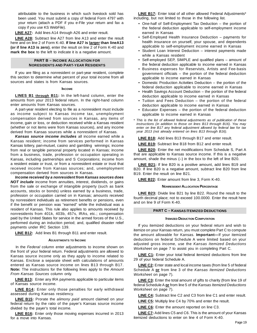attributable to the business in which such livestock sold has been used. You must submit a copy of federal Form 4797 with your return (attach a PDF if you e-File your return and fax a copy if you use KS WebFile).

**LINE A27:** Add lines A14 through A26 and enter result.

**LINE A28:** Subtract line A27 from line A13 and enter the result here and on line 2 of Form K-40. **If line A27 is larger than lineA13 (or if line A13 is zero)**, enter the result on line 2 of Form K-40 and **mark the box** to the left to indicate it is a negative amount.

#### **PART B – INCOME ALLOCATION FOR NORESIDENTS AND PART-YEAR RESIDENTS**

If you are filing as a nonresident or part-year resident, complete this section to determine what percent of your total income from all sources and states is from Kansas sources.

#### **INCOME**

**LINES B1 through B11:** In the left-hand column, enter the amounts from your 2013 federal return. In the right-hand column enter amounts from Kansas sources.

A part-year resident electing to file as a nonresident must include as income subject to Kansas income tax, unemployment compensation derived from sources in Kansas, any items of income, gain or loss, or deduction received while a Kansas resident (whether or not items were from Kansas sources), and any income derived from Kansas sources while a nonresident of Kansas.

*Kansas source income includes* all income earned while a Kansas resident; income from services performed in Kansas Kansas lottery, pari-mutuel, casino and gambling winnings; income from real or tangible personal property located in Kansas; income from a business, trade, profession or occupation operating in Kansas, including partnerships and S Corporations; income from a resident estate or trust, or from a nonresident estate or trust that received income from Kansas sources; and, unemployment compensation derived from sources in Kansas.

*Income received by a nonresident from Kansas sources does NOT include* income from annuities, interest, dividends, or gains from the sale or exchange of intangible property (such as bank accounts, stocks or bonds) unless earned by a business, trade, profession or occupation carried on in Kansas; amounts received by nonresident individuals as retirement benefits or pensions, even if the benefit or pension was "earned" while the individual was a resident of Kansas. This rule also applies to amounts received by nonresidents from 401k, 403b, 457s, IRAs, etc.; compensation paid by the United States for service in the armed forces of the U.S., performed during an induction period; and, qualified disaster relief payments under IRC Section 139.

**LINE B12:** Add lines B1 through B11 and enter result.

#### **ADJUSTMENTS TO INCOME**

In the *Federal* column enter adjustments to income shown on the front of your federal return. Federal adjustments are allowed to Kansas source income only as they apply to income related to Kansas. Enclose a separate sheet with calculations of amounts entered as Kansas source income on lines B13 through B17. **Note:** The instructions for the following lines apply to the *Amount From Kansas Sources* column only.

**LINE B13:** Enter any IRA payments applicable to particular items of Kansas source income.

**LINE B14:** Enter only those penalties for early withdrawal assessed during Kansas residency.

**LINE B15:** Prorate the *alimony paid* amount claimed on your federal return by the ratio of the payer's Kansas source income divided by the payer's total income.

**LINE B16:** Enter only those moving expenses incurred in 2013 for a move into Kansas.

**LINE B17:** Enter total of all other allowed Federal Adjustments\* including, but not limited to those in the following list.

- One-half of Self-Employment Tax Deduction the portion of the federal deduction applicable to self-employment income earned in Kansas
- Self-Employed Health Insurance Deduction payments for health insurance on yourself, your spouse, and dependents applicable to self-employment income earned in Kansas
- Student Loan Interest Deduction interest payments made while a Kansas resident
- Self-employed SEP, SIMPLE and qualified plans amount of the federal deduction applicable to income earned in Kansas
- Business expenses for Reservists, Artists and Fee-basis government officials – the portion of the federal deduction applicable to income earned in Kansas
- Domestic Production Activities Deduction the portion of the federal deduction applicable to income earned in Kansas
- Health Savings Account Deduction the portion of the federal deduction applicable to income earned in Kansas
- Tuition and Fees Deduction the portion of the federal deduction applicable to income earned in Kansas
- Educator Expenses the portion of the federal deduction applicable to income earned in Kansas
- \* *This is the list of allowed federal adjustments as of publication of these instructions (in addition to those on lines B13 through B16). You may enter on line B17 any federal adjustment allowed by federal law for tax year 2013 (not already entered on lines B13 through B16).*

**LINE B18:** Add lines B13 through B17 and enter result.

**LINE B19:** Subtract line B18 from B12 and enter result.

LINE B20: Enter the net modifications from Schedule S, Part A that are applicable to Kansas source income. If this is a negative amount, shade the minus  $(-)$  in the box to the left of line B20.

**LINE B21:** If line B20 is a positive amount, add lines B19 and B20. If line B20 is a negative amount, subtract line B20 from line

B19. Enter the result on line B21.

**LINE B22:** Enter amount from line 3, Form K-40.

#### **NONRESIDENT ALLOCATION PERCENTAGE**

**LINE B23:** Divide line B21 by line B22. Round the result to the fourth decimal place; not to exceed 100.0000. Enter the result here and on line 9 of Form K-40.

#### **PART C – KANSAS ITEMIZED DEDUCTIONS**

#### **ITEMIZED DEDUCTION COMPUTATION**

If you itemized deductions on your federal return and wish to itemize on your Kansas return, you must complete Part C to compute the amount allowable for Kansas. **Important—**If your itemized deductions on federal Schedule A were limited based on your adjusted gross income, use the *Kansas Itemized Deductions Worksheet* on page 7 to assist you in completing Part C.

**LINE C1:** Enter your total federal itemized deductions from line 29 of your federal Schedule A.

LINE C2: Enter state and local income taxes (from line 5 of federal Schedule A **or** from line 3 of the *Kansas Itemized Deductions Worksheet* on page 7).

LINE C3: Enter the total amount of gifts to charity (from line 19 of federal Schedule A **or** from line 5 of the *Kansas Itemized Deductions Worksheet* on page 7).

**LINE C4:** Subtract line C2 and C3 from line C1 and enter result.

**LINE C5:** Multiply line C4 by 70% and enter the result.

**LINE C6:** Enter the amount reported on line C3.

**LINE C7:** Add lines C5 and C6. This is the amount of your Kansas itemized deductions to enter on line 4 of Form K-40.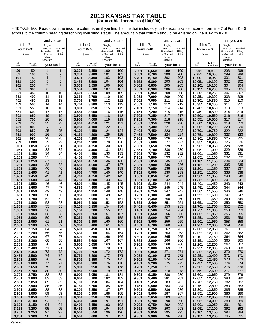#### **2013 KANSAS TAX TABLE (for taxable income to \$100,000)**

FIND YOUR TAX: Read down the income columns until you find the line that includes your Kansas taxable income from line 7 of Form K-40 across to the column heading describing your filing status. The amount in that column should be entered on line 8, Form K-40.

|                |                | and you are             |                         |                |                | and you are             |                 |                |                | and you are             |                 |                  |                  | and you are             |                 |
|----------------|----------------|-------------------------|-------------------------|----------------|----------------|-------------------------|-----------------|----------------|----------------|-------------------------|-----------------|------------------|------------------|-------------------------|-----------------|
|                | If line $7$ ,  | Single,                 |                         |                | If line 7,     | Single,                 |                 |                | If line 7,     | Single,                 |                 |                  | If line 7,       | Single,                 |                 |
|                | Form K-40      | Head of                 | M arried                |                | Form K-40      | Head of                 | M arried        |                | Form K-40      | Head of                 | <b>Married</b>  |                  | Form K-40        | Head of                 | <b>Married</b>  |
|                | $is -$         | Household<br>or Married | Filing<br>Joint         |                | is —           | Household<br>or Married | Filing<br>Joint |                | is $-$         | Household<br>or Married | Filing<br>Joint |                  | is —             | Household<br>or Married | Filing<br>Joint |
|                |                | Filing                  |                         |                |                | Filing                  |                 |                |                | Filing                  |                 |                  |                  | Filing                  |                 |
| at             | but not        | Separate                |                         | at             | but not        | Separate                |                 | at             | but not        | Separate                |                 | at               | but not          | Separate                |                 |
| least          | more than      | your tax is             |                         | least          | more than      | your tax is             |                 | least          | more than      | your tax is             |                 | least            | more than        | your tax is             |                 |
| 26             | 50             | 1                       | 1                       | 3,301          | 3,350          | 100                     | 100             | 6,601          | 6,650          | 199                     | 199             | 9,901            | 9,950            | 298                     | 298             |
| 51             | 100            | $\overline{c}$          | $\overline{\mathbf{c}}$ | 3,351          | 3,400          | 101                     | 101             | 6,651          | 6,700          | 200                     | 200             | 9,951            | 10,000           | 299                     | 299             |
| 101            | 150            | 4                       | 4                       | 3,401          | 3,450          | 103                     | 103             | 6,701          | 6,750          | 202                     | 202             | 10,001           | 10,050           | 301                     | 301             |
| 151            | 200            | 5<br>$\overline{7}$     | 5<br>$\overline{7}$     | 3,451          | 3,500          | 104                     | 104             | 6,751          | 6,800          | 203                     | 203             | 10,051           | 10,100           | 302                     | 302             |
| 201<br>251     | 250<br>300     | 8                       | 8                       | 3,501<br>3,551 | 3,550<br>3,600 | 106<br>107              | 106<br>107      | 6,801<br>6,851 | 6,850<br>6,900 | 205<br>206              | 205<br>206      | 10,101<br>10,151 | 10,150<br>10,200 | 304<br>305              | 304<br>305      |
| 301            | 350            | 10                      | 10                      | 3,601          | 3,650          | 109                     | 109             | 6,901          | 6,950          | 208                     | 208             | 10,201           | 10,250           | 307                     | 307             |
| 351            | 400            | 11                      | 11                      | 3,651          | 3,700          | 110                     | 110             | 6,951          | 7,000          | 209                     | 209             | 10,251           | 10,300           | 308                     | 308             |
| 401            | 450            | 13                      | 13                      | 3,701          | 3,750          | 112                     | 112             | 7,001          | 7,050          | 211                     | 211             | 10,301           | 10,350           | 310                     | 310             |
| 451            | 500            | 14                      | 14                      | 3,751          | 3,800          | 113                     | 113             | 7,051          | 7,100          | 212                     | 212             | 10,351           | 10,400           | 311                     | 311             |
| 501            | 550            | 16                      | 16                      | 3,801          | 3,850          | 115                     | 115             | 7,101          | 7,150          | 214                     | 214             | 10,401           | 10,450           | 313                     | 313             |
| 551            | 600            | 17                      | 17                      | 3,851          | 3,900          | 116                     | 116             | 7,151          | 7,200          | 215                     | 215             | 10,451           | 10,500           | 314                     | 314             |
| 601            | 650            | 19                      | 19                      | 3,901          | 3,950          | 118                     | 118             | 7,201          | 7,250          | 217                     | 217             | 10,501           | 10,550           | 316                     | 316             |
| 651            | 700            | 20                      | 20                      | 3,951          | 4,000          | 119                     | 119             | 7,251          | 7,300          | 218                     | 218             | 10,551           | 10,600           | 317                     | 317             |
| 701<br>751     | 750<br>800     | 22<br>23                | 22<br>23                | 4,001<br>4,051 | 4,050<br>4,100 | 121<br>122              | 121<br>122      | 7,301<br>7,351 | 7,350<br>7,400 | 220<br>221              | 220<br>221      | 10,601<br>10,651 | 10,650<br>10,700 | 319<br>320              | 319<br>320      |
| 801            | 850            | 25                      | 25                      | 4,101          | 4,150          | 124                     | 124             | 7,401          | 7,450          | 223                     | 223             | 10,701           | 10,750           | 322                     | 322             |
| 851            | 900            | 26                      | 26                      | 4,151          | 4,200          | 125                     | 125             | 7,451          | 7,500          | 224                     | 224             | 10,751           | 10,800           | 323                     | 323             |
| 901            | 950            | 28                      | 28                      | 4,201          | 4,250          | 127                     | 127             | 7,501          | 7,550          | 226                     | 226             | 10,801           | 10,850           | 325                     | 325             |
| 951            | 1,000          | 29                      | 29                      | 4,251          | 4,300          | 128                     | 128             | 7,551          | 7,600          | 227                     | 227             | 10,851           | 10,900           | 326                     | 326             |
| 1,001          | 1,050          | 31                      | 31                      | 4,301          | 4,350          | 130                     | 130             | 7,601          | 7,650          | 229                     | 229             | 10,901           | 10,950           | 328                     | 328             |
| 1,051          | 1,100          | 32                      | 32                      | 4,351          | 4,400          | 131                     | 131             | 7,651          | 7,700          | 230                     | 230             | 10,951           | 11,000           | 329                     | 329             |
| 1,101          | 1,150          | 34                      | 34                      | 4,401          | 4,450          | 133                     | 133             | 7,701          | 7,750          | 232                     | 232             | 11,001           | 11,050           | 331                     | 331             |
| 1,151          | 1,200          | 35<br>37                | 35<br>37                | 4,451          | 4,500          | 134<br>136              | 134<br>136      | 7,751          | 7,800          | 233<br>235              | 233<br>235      | 11,051           | 11,100           | 332<br>334              | 332<br>334      |
| 1,201<br>1,251 | 1,250<br>1,300 | 38                      | 38                      | 4,501<br>4,551 | 4,550<br>4,600 | 137                     | 137             | 7,801<br>7,851 | 7,850<br>7,900 | 236                     | 236             | 11,101<br>11,151 | 11,150<br>11,200 | 335                     | 335             |
| 1,301          | 1,350          | 40                      | 40                      | 4,601          | 4,650          | 139                     | 139             | 7,901          | 7,950          | 238                     | 238             | 11,201           | 11,250           | 337                     | 337             |
| 1,351          | 1,400          | 41                      | 41                      | 4,651          | 4,700          | 140                     | 140             | 7,951          | 8,000          | 239                     | 239             | 11,251           | 11,300           | 338                     | 338             |
| 1,401          | 1,450          | 43                      | 43                      | 4,701          | 4,750          | 142                     | 142             | 8,001          | 8,050          | 241                     | 241             | 11,301           | 11,350           | 340                     | 340             |
| 1,451          | 1,500          | 44                      | 44                      | 4,751          | 4,800          | 143                     | 143             | 8,051          | 8,100          | 242                     | 242             | 11,351           | 11,400           | 341                     | 341             |
| 1,501          | 1,550          | 46                      | 46                      | 4,801          | 4,850          | 145                     | 145             | 8,101          | 8,150          | 244                     | 244             | 11,401           | 11,450           | 343                     | 343             |
| 1,551          | 1,600          | 47                      | 47                      | 4,851          | 4,900          | 146                     | 146             | 8,151          | 8,200          | 245                     | 245             | 11,451           | 11,500           | 344                     | 344             |
| 1,601          | 1,650          | 49                      | 49                      | 4,901          | 4,950          | 148                     | 148             | 8,201          | 8,250          | 247                     | 247             | 11,501           | 11,550           | 346                     | 346             |
| 1,651<br>1,701 | 1,700<br>1,750 | 50<br>52                | 50<br>52                | 4,951<br>5,001 | 5,000<br>5,050 | 149<br>151              | 149<br>151      | 8,251<br>8,301 | 8,300<br>8,350 | 248<br>250              | 248<br>250      | 11,551<br>11,601 | 11,600<br>11,650 | 347<br>349              | 347<br>349      |
| 1,751          | 1,800          | 53                      | 53                      | 5,051          | 5,100          | 152                     | 152             | 8,351          | 8,400          | 251                     | 251             | 11,651           | 11,700           | 350                     | 350             |
| 1,801          | 1,850          | 55                      | 55                      | 5,101          | 5,150          | 154                     | 154             | 8,401          | 8,450          | 253                     | 253             | 11,701           | 11,750           | 352                     | 352             |
| 1,851          | 1,900          | 56                      | 56                      | 5,151          | 5,200          | 155                     | 155             | 8,451          | 8,500          | 254                     | 254             | 11,751           | 11,800           | 353                     | 353             |
| 1,901          | 1,950          | 58                      | 58                      | 5,201          | 5,250          | 157                     | 157             | 8,501          | 8,550          | 256                     | 256             | 11,801           | 11,850           | 355                     | 355             |
| 1,951          | 2,000          | 59                      | 59                      | 5,251          | 5,300          | 158                     | 158             | 8,551          | 8,600          | 257                     | 257             | 11,851           | 11,900           | 356                     | 356             |
| 2,001          | 2,050          | 61                      | 61                      | 5,301          | 5,350          | 160                     | 160             | 8,601          | 8,650          | 259                     | 259             | 11,901           | 11,950           | 358                     | 358             |
| 2,051          | 2,100          | 62                      | 62                      | 5,351          | 5,400          | 161                     | 161             | 8,651          | 8,700          | 260                     | 260             | 11,951           | 12,000           | 359                     | 359             |
| 2,101<br>2,151 | 2,150<br>2,200 | 64<br>65                | 64<br>65                | 5,401<br>5,451 | 5,450<br>5,500 | 163<br>164              | 163<br>164      | 8,701<br>8,751 | 8,750<br>8,800 | 262<br>263              | 262<br>263      | 12,001<br>12,051 | 12,050<br>12,100 | 361<br>362              | 361<br>362      |
| 2,201          | 2,250          | 67                      | 67                      | 5,501          | 5,550          | 166                     | 166             | 8,801          | 8,850          | 265                     | 265             | 12,101           | 12,150           | 364                     | 364             |
| 2,251          | 2,300          | 68                      | 68                      | 5,551          | 5,600          | 167                     | 167             | 8,851          | 8,900          | 266                     | 266             | 12,151           | 12,200           | 365                     | 365             |
| 2,301          | 2,350          | 70                      | 70                      | 5,601          | 5,650          | 169                     | 169             | 8,901          | 8,950          | 268                     | 268             | 12,201           | 12,250           | 367                     | 367             |
| 2,351          | 2,400          | 71                      | 71                      | 5,651          | 5,700          | 170                     | 170             | 8,951          | 9,000          | 269                     | 269             | 12,251           | 12,300           | 368                     | 368             |
| 2,401          | 2,450          | 73                      | 73                      | 5,701          | 5,750          | 172                     | 172             | 9,001          | 9,050          | 271                     | 271             | 12,301           | 12,350           | 370                     | 370             |
| 2,451          | 2,500          | 74                      | 74                      | 5,751          | 5,800          | 173                     | 173             | 9,051          | 9,100          | 272                     | 272             | 12,351           | 12,400           | 371                     | 371             |
| 2,501          | 2,550<br>2,600 | 76                      | 76                      | 5,801          | 5,850          | 175                     | 175<br>176      | 9,101          | 9,150          | 274                     | 274<br>275      | 12,401           | 12,450           | 373<br>374              | 373<br>374      |
| 2,551<br>2,601 | 2,650          | 77<br>79                | 77<br>79                | 5,851<br>5,901 | 5,900<br>5,950 | 176<br>178              | 178             | 9,151<br>9,201 | 9,200<br>9,250 | 275<br>277              | 277             | 12,451<br>12,501 | 12,500<br>12,550 | 376                     | 376             |
| 2,651          | 2,700          | 80                      | 80                      | 5,951          | 6,000          | 179                     | 179             | 9,251          | 9,300          | 278                     | 278             | 12,551           | 12,600           | 377                     | 377             |
| 2,701          | 2,750          | 82                      | 82                      | 6,001          | 6,050          | 181                     | 181             | 9,301          | 9,350          | 280                     | 280             | 12,601           | 12,650           | 379                     | 379             |
| 2,751          | 2,800          | 83                      | 83                      | 6,051          | 6,100          | 182                     | 182             | 9,351          | 9,400          | 281                     | 281             | 12,651           | 12,700           | 380                     | 380             |
| 2,801          | 2,850          | 85                      | 85                      | 6,101          | 6,150          | 184                     | 184             | 9,401          | 9,450          | 283                     | 283             | 12,701           | 12,750           | 382                     | 382             |
| 2,851          | 2,900          | 86                      | 86                      | 6,151          | 6,200          | 185                     | 185             | 9,451          | 9,500          | 284                     | 284             | 12,751           | 12,800           | 383                     | 383             |
| 2,901          | 2,950          | 88                      | 88                      | 6,201          | 6,250          | 187                     | 187             | 9,501          | 9,550          | 286                     | 286             | 12,801           | 12,850           | 385                     | 385             |
| 2,951          | 3,000          | 89                      | 89                      | 6,251          | 6,300          | 188                     | 188             | 9,551          | 9,600          | 287                     | 287             | 12,851           | 12,900           | 386                     | 386             |
| 3,001<br>3,051 | 3,050<br>3,100 | 91<br>92                | 91<br>92                | 6,301<br>6,351 | 6,350<br>6,400 | 190<br>191              | 190<br>191      | 9,601<br>9,651 | 9,650<br>9,700 | 289<br>290              | 289<br>290      | 12,901<br>12,951 | 12,950<br>13,000 | 388<br>389              | 388<br>389      |
| 3,101          | 3,150          | 94                      | 94                      | 6,401          | 6,450          | 193                     | 193             | 9,701          | 9,750          | 292                     | 292             | 13,001           | 13,050           | 391                     | 391             |
| 3,151          | 3,200          | 95                      | 95                      | 6,451          | 6,500          | 194                     | 194             | 9,751          | 9,800          | 293                     | 293             | 13,051           | 13,100           | 392                     | 392             |
| 3,201          | 3,250          | 97                      | 97                      | 6,501          | 6,550          | 196                     | 196             | 9,801          | 9,850          | 295                     | 295             | 13,101           | 13,150           | 394                     | 394             |
| 3,251          | 3,300          | 98                      | 98                      | 6,551          | 6,600          | 197                     | 197             | 9,851          | 9,900          | 296                     | 296             | 13,151           | 13,200           | 395                     | 395             |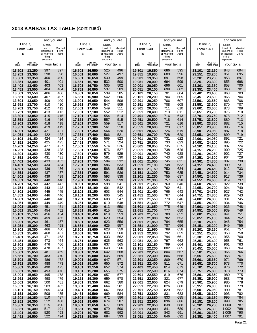|                  |                     | and you are          |                          |                  |                      | and you are          |                          |                  |                      | and you are          |                          |                  |                      | and you are          |                          |
|------------------|---------------------|----------------------|--------------------------|------------------|----------------------|----------------------|--------------------------|------------------|----------------------|----------------------|--------------------------|------------------|----------------------|----------------------|--------------------------|
|                  | If line $7$ ,       | Single,              |                          |                  | If line $7$ ,        | Single,              |                          |                  | If line 7,           | Single,              |                          |                  | If line $7$ ,        | Single,              |                          |
| Form K-40        |                     | Head of<br>Household | <b>Married</b><br>Filing |                  | Form K-40            | Head of<br>Household | <b>Married</b><br>Filing |                  | Form K-40            | Head of<br>Household | <b>Married</b><br>Filing |                  | Form K-40            | Head of<br>Household | <b>Married</b><br>Filing |
|                  | is $-$              | or Married<br>Filing | Joint                    | is $-$           |                      | or Married<br>Filing | Joint                    |                  | is $-$               | or Married<br>Filing | Joint                    |                  | is $-$               | or Married<br>Filing | Joint                    |
|                  |                     | Separate             |                          |                  |                      | Separate             |                          |                  |                      | Separate             |                          |                  |                      | Separate             |                          |
| at<br>least      | but not<br>morethan | your tax is          |                          | at<br>least      | but not<br>more than | your tax is          |                          | at<br>least      | but not<br>more than | your tax is          |                          | at<br>least      | but not<br>more than | your tax is          |                          |
| 13,201           | 13,250              | 397                  | 397                      | 16,501           | 16,550               | 525                  | 496                      | 19,801           | 19,850               | 686                  | 595                      | 23,101           | 23,150               | 848                  | 694                      |
| 13,251           | 13,300              | 398                  | 398                      | 16,551           | 16,600               | 527                  | 497                      | 19,851           | 19,900               | 689                  | 596                      | 23,151           | 23,200               | 851                  | 695                      |
| 13,301           | 13,350              | 400                  | 400                      | 16,601           | 16,650               | 530                  | 499                      | 19,901           | 19,950               | 691                  | 598                      | 23,201           | 23,250               | 853                  | 697                      |
| 13,351<br>13,401 | 13,400<br>13,450    | 401<br>403           | 401<br>403               | 16,651<br>16,701 | 16,700<br>16,750     | 532<br>535           | 500<br>502               | 19,951<br>20,001 | 20,000<br>20,050     | 694<br>696           | 599<br>601               | 23,251<br>23,301 | 23.300<br>23,350     | 855<br>858           | 698<br>700               |
| 13,451           | 13,500              | 404                  | 404                      | 16,751           | 16.800               | 537                  | 503                      | 20,051           | 20,100               | 699                  | 602                      | 23,351           | 23,400               | 860                  | 701                      |
| 13,501           | 13,550              | 406                  | 406                      | 16,801           | 16.850               | 539                  | 505                      | 20,101           | 20,150               | 701                  | 604                      | 23,401           | 23,450               | 863                  | 703                      |
| 13,551           | 13,600              | 407                  | 407                      | 16,851           | 16,900               | 542                  | 506                      | 20,151           | 20,200               | 704                  | 605                      | 23,451           | 23,500               | 865                  | 704                      |
| 13,601           | 13,650              | 409                  | 409                      | 16,901           | 16,950               | 544                  | 508                      | 20,201           | 20,250               | 706                  | 607                      | 23,501           | 23,550               | 868                  | 706                      |
| 13,651<br>13,701 | 13,700<br>13,750    | 410<br>412           | 410<br>412               | 16,951<br>17,001 | 17,000<br>17,050     | 547<br>549           | 509<br>511               | 20,251<br>20,301 | 20,300<br>20,350     | 708<br>711           | 608<br>610               | 23,551<br>23,601 | 23,600<br>23,650     | 870<br>873           | 707<br>709               |
| 13,751           | 13,800              | 413                  | 413                      | 17,051           | 17,100               | 552                  | 512                      | 20,351           | 20,400               | 713                  | 611                      | 23,651           | 23,700               | 875                  | 710                      |
| 13,801           | 13,850              | 415                  | 415                      | 17,101           | 17,150               | 554                  | 514                      | 20,401           | 20,450               | 716                  | 613                      | 23,701           | 23,750               | 878                  | 712                      |
| 13.851           | 13,900              | 416                  | 416                      | 17,151           | 17,200               | 557                  | 515                      | 20,451           | 20,500               | 718                  | 614                      | 23,751           | 23.800               | 880                  | 713                      |
| 13,901           | 13,950              | 418                  | 418                      | 17,201           | 17,250               | 559                  | 517                      | 20,501           | 20,550               | 721                  | 616                      | 23,801           | 23,850               | 882                  | 715                      |
| 13,951<br>14,001 | 14,000<br>14,050    | 419<br>421           | 419<br>421               | 17,251<br>17,301 | 17,300<br>17,350     | 561<br>564           | 518<br>520               | 20,551<br>20,601 | 20,600<br>20,650     | 723<br>726           | 617<br>619               | 23,851<br>23,901 | 23.900<br>23,950     | 885<br>887           | 716<br>718               |
| 14,051           | 14,100              | 422                  | 422                      | 17,351           | 17,400               | 566                  | 521                      | 20,651           | 20,700               | 728                  | 620                      | 23,951           | 24.000               | 890                  | 719                      |
| 14,101           | 14,150              | 424                  | 424                      | 17,401           | 17,450               | 569                  | 523                      | 20,701           | 20,750               | 731                  | 622                      | 24,001           | 24,050               | 892                  | 721                      |
| 14,151           | 14,200              | 425                  | 425                      | 17,451           | 17,500               | 571                  | 524                      | 20,751           | 20,800               | 733                  | 623                      | 24,051           | 24,100               | 895                  | 722                      |
| 14,201           | 14,250              | 427                  | 427                      | 17,501           | 17,550               | 574                  | 526                      | 20,801           | 20,850               | 735                  | 625                      | 24,101           | 24,150               | 897                  | 724                      |
| 14,251<br>14,301 | 14,300<br>14,350    | 428<br>430           | 428<br>430               | 17,551<br>17,601 | 17,600<br>17,650     | 576<br>579           | 527<br>529               | 20.851<br>20,901 | 20,900<br>20,950     | 738<br>740           | 626<br>628               | 24,151<br>24,201 | 24,200<br>24,250     | 900<br>902           | 725<br>727               |
| 14,351           | 14,400              | 431                  | 431                      | 17,651           | 17,700               | 581                  | 530                      | 20,951           | 21,000               | 743                  | 629                      | 24,251           | 24,300               | 904                  | 728                      |
| 14,401           | 14,450              | 433                  | 433                      | 17,701           | 17,750               | 584                  | 532                      | 21,001           | 21,050               | 745                  | 631                      | 24,301           | 24,350               | 907                  | 730                      |
| 14,451           | 14,500              | 434                  | 434                      | 17,751           | 17,800               | 586                  | 533                      | 21,051           | 21,100               | 748                  | 632                      | 24,351           | 24,400               | 909                  | 731                      |
| 14,501           | 14,550              | 436                  | 436                      | 17,801           | 17,850               | 588                  | 535                      | 21,101           | 21,150               | 750                  | 634                      | 24,401           | 24,450               | 912                  | 733                      |
| 14,551<br>14,601 | 14,600<br>14,650    | 437<br>439           | 437<br>439               | 17,851<br>17,901 | 17,900<br>17,950     | 591<br>593           | 536<br>538               | 21,151<br>21,201 | 21,200<br>21,250     | 753<br>755           | 635<br>637               | 24,451<br>24,501 | 24,500<br>24,550     | 914<br>917           | 734<br>736               |
| 14,651           | 14,700              | 440                  | 440                      | 17,951           | 18,000               | 596                  | 539                      | 21,251           | 21,300               | 757                  | 638                      | 24,551           | 24,600               | 919                  | 737                      |
| 14,701           | 14,750              | 442                  | 442                      | 18,001           | 18,050               | 598                  | 541                      | 21,301           | 21,350               | 760                  | 640                      | 24,601           | 24,650               | 922                  | 739                      |
| 14,751           | 14,800              | 443                  | 443                      | 18,051           | 18,100               | 601                  | 542                      | 21,351           | 21,400               | 762                  | 641                      | 24,651           | 24,700               | 924                  | 740                      |
| 14,801           | 14,850              | 445                  | 445                      | 18,101           | 18,150               | 603                  | 544                      | 21,401           | 21,450               | 765                  | 643                      | 24,701           | 24,750               | 927                  | 742                      |
| 14,851<br>14,901 | 14,900<br>14,950    | 446<br>448           | 446<br>448               | 18,151<br>18,201 | 18,200<br>18,250     | 606<br>608           | 545<br>547               | 21,451<br>21,501 | 21,500<br>21,550     | 767<br>770           | 644<br>646               | 24,751<br>24,801 | 24,800<br>24,850     | 929<br>931           | 743<br>745               |
| 14,951           | 15,000              | 449                  | 449                      | 18,251           | 18,300               | 610                  | 548                      | 21.551           | 21,600               | 772                  | 647                      | 24,851           | 24,900               | 934                  | 746                      |
| 15,001           | 15,050              | 451                  | 451                      | 18,301           | 18,350               | 613                  | 550                      | 21.601           | 21,650               | 775                  | 649                      | 24,901           | 24,950               | 936                  | 748                      |
| 15.051           | 15,100              | 454                  | 452                      | 18,351           | 18,400               | 615                  | 551                      | 21,651           | 21,700               | 777                  | 650                      | 24,951           | 25,000               | 939                  | 749                      |
| 15,101<br>15,151 | 15,150<br>15,200    | 456<br>459           | 454<br>455               | 18,401<br>18,451 | 18,450<br>18,500     | 618<br>620           | 553<br>554               | 21,701<br>21,751 | 21,750<br>21,800     | 780<br>782           | 652<br>653               | 25,001<br>25,051 | 25,050<br>25,100     | 941<br>944           | 751<br>752               |
| 15,201           | 15,250              | 461                  | 457                      | 18,501           | 18,550               | 623                  | 556                      | 21,801           | 21,850               | 784                  | 655                      | 25,101           | 25,150               | 946                  | 754                      |
| 15,251           | 15,300              | 463                  | 458                      | 18,551           | 18,600               | 625                  | 557                      | 21,851           | 21,900               | 787                  | 656                      | 25,151           | 25,200               | 949                  | 755                      |
| 15,301           | 15,350              | 466                  | 460                      | 18,601           | 18,650               | 628                  | 559                      | 21,901           | 21,950               | 789                  | 658                      | 25,201           | 25,250               | 951                  | 757                      |
| 15,351           | 15,400              | 468<br>471           | 461                      | 18,651<br>18,701 | 18,700<br>18,750     | 630<br>633           | 560<br>562               | 21,951<br>22,001 | 22,000<br>22,050     | 792<br>794           | 659                      | 25,251<br>25,301 | 25,300<br>25,350     | 953<br>956           | 758<br>760               |
| 15,401<br>15,451 | 15,450<br>15,500    | 473                  | 463<br>464               | 18,751           | 18,800               | 635                  | 563                      | 22,051           | 22,100               | 797                  | 661<br>662               | 25,351           | 25,400               | 958                  | 761                      |
| 15,501           | 15,550              | 476                  | 466                      | 18,801           | 18,850               | 637                  | 565                      | 22,101           | 22,150               | 799                  | 664                      | 25,401           | 25,450               | 961                  | 763                      |
| 15,551           | 15,600              | 478                  | 467                      | 18,851           | 18,900               | 640                  | 566                      | 22,151           | 22,200               | 802                  | 665                      | 25,451           | 25,500               | 963                  | 764                      |
| 15,601           | 15,650              | 481                  | 469                      | 18,901           | 18,950               | 642                  | 568                      | 22,201           | 22,250               | 804                  | 667                      | 25,501           | 25,550               | 966                  | 766                      |
| 15,651<br>15,701 | 15,700<br>15,750    | 483<br>486           | 470<br>472               | 18,951<br>19,001 | 19,000<br>19,050     | 645<br>647           | 569<br>571               | 22,251<br>22,301 | 22,300<br>22,350     | 806<br>809           | 668<br>670               | 25,551<br>25,601 | 25,600<br>25,650     | 968<br>971           | 767<br>769               |
| 15,751           | 15,800              | 488                  | 473                      | 19,051           | 19,100               | 650                  | 572                      | 22,351           | 22,400               | 811                  | 671                      | 25,651           | 25,700               | 973                  | 770                      |
| 15,801           | 15,850              | 490                  | 475                      | 19,101           | 19,150               | 652                  | 574                      | 22,401           | 22,450               | 814                  | 673                      | 25,701           | 25,750               | 976                  | 772                      |
| 15,851           | 15,900              | 493                  | 476                      | 19,151           | 19,200               | 655                  | 575                      | 22,451           | 22,500               | 816                  | 674                      | 25,751           | 25,800               | 978                  | 773                      |
| 15,901           | 15,950              | 495                  | 478                      | 19,201           | 19,250               | 657                  | 577                      | 22,501           | 22,550               | 819                  | 676                      | 25,801           | 25,850               | 980                  | 775                      |
| 15,951<br>16,001 | 16,000<br>16,050    | 498<br>500           | 479<br>481               | 19,251<br>19,301 | 19,300<br>19,350     | 659<br>662           | 578<br>580               | 22,551<br>22,601 | 22,600<br>22,650     | 821<br>824           | 677<br>679               | 25,851<br>25,901 | 25,900<br>25,950     | 983<br>985           | 776<br>778               |
| 16,051           | 16,100              | 503                  | 482                      | 19,351           | 19,400               | 664                  | 581                      | 22,651           | 22,700               | 826                  | 680                      | 25,951           | 26,000               | 988                  | 779                      |
| 16,101           | 16,150              | 505                  | 484                      | 19,401           | 19,450               | 667                  | 583                      | 22,701           | 22,750               | 829                  | 682                      | 26,001           | 26,050               | 990                  | 781                      |
| 16,151           | 16,200              | 508                  | 485                      | 19,451           | 19,500               | 669                  | 584                      | 22,751           | 22,800               | 831                  | 683                      | 26,051           | 26,100               | 993                  | 782                      |
| 16,201           | 16,250              | 510                  | 487                      | 19,501           | 19,550               | 672                  | 586                      | 22,801           | 22,850               | 833                  | 685                      | 26,101           | 26,150               | 995                  | 784                      |
| 16,251<br>16,301 | 16,300<br>16,350    | 512<br>515           | 488<br>490               | 19,551<br>19,601 | 19,600<br>19,650     | 674<br>677           | 587<br>589               | 22,851<br>22,901 | 22,900<br>22,950     | 836<br>838           | 686<br>688               | 26,151<br>26,201 | 26,200<br>26,250     | 998<br>1,000         | 785<br>787               |
| 16,351           | 16,400              | 517                  | 491                      | 19,651           | 19,700               | 679                  | 590                      | 22,951           | 23,000               | 841                  | 689                      | 26,251           | 26,300               | 1,002                | 788                      |
| 16,401           | 16,450              | 520                  | 493                      | 19,701           | 19,750               | 682                  | 592                      | 23,001           | 23,050               | 843                  | 691                      | 26,301           | 26,350               | 1,005                | 790                      |
| 16,451           | 16,500              | 522                  | 494                      | 19,751           | 19,800               | 684                  | 593                      | 23,051           | 23,100               | 846                  | 692                      | 26,351           | 26,400               | 1,007                | 791                      |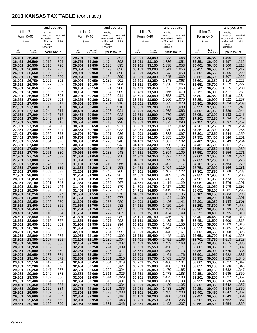|                  |                      | and you are          |                          |                  |                      | and you are          |                          |                  |                      | and you are          |                          |                  |                      | and you are          |                          |
|------------------|----------------------|----------------------|--------------------------|------------------|----------------------|----------------------|--------------------------|------------------|----------------------|----------------------|--------------------------|------------------|----------------------|----------------------|--------------------------|
|                  | If line $7$ ,        | Single,              |                          |                  | If line $7$ ,        | Single,              |                          |                  | If line 7,           | Single,              |                          |                  | If line $7$ ,        | Single,              |                          |
|                  | Form K-40            | Head of<br>Household | <b>Married</b><br>Filing |                  | Form K-40            | Head of<br>Household | <b>Married</b><br>Filing |                  | Form K-40            | Head of<br>Household | <b>Married</b><br>Filing |                  | Form K-40            | Head of<br>Household | <b>Married</b><br>Filing |
|                  | is $-$               | or Married<br>Filing | Joint                    |                  | is $-$               | or Married<br>Filing | Joint                    |                  | is $-$               | or Married<br>Filing | Joint                    |                  | is $-$               | or Married<br>Filing | Joint                    |
|                  |                      | Separate             |                          |                  |                      | Separate             |                          |                  |                      | Separate             |                          |                  |                      | Separate             |                          |
| at<br>least      | but not<br>more than | your tax is          |                          | at<br>least      | but not<br>more than | your tax is          |                          | at<br>least      | but not<br>more than | your tax is          |                          | at<br>least      | but not<br>more than | your tax is          |                          |
| 26,401           | 26,450               | 1,010                | 793                      | 29,701           | 29,750               | 1,172                | 892                      | 33,001           | 33,050               | 1,333                | 1,048                    | 36,301           | 36,350               | 1,495                | 1,210                    |
| 26,451           | 26,500               | 1,012                | 794                      | 29,751           | 29,800               | 1,174                | 893                      | 33,051           | 33,100               | 1,336                | 1,051                    | 36,351           | 36,400               | 1,497                | 1,212                    |
| 26,501           | 26,550               | 1,015<br>1,017       | 796<br>797               | 29,801           | 29,850               | 1,176                | 895<br>896               | 33,101           | 33,150               | 1,338<br>1,341       | 1,053                    | 36,401           | 36,450               | 1,500<br>1,502       | 1,215<br>1,217           |
| 26,551<br>26,601 | 26,600<br>26,650     | 1,020                | 799                      | 29,851<br>29,901 | 29,900<br>29,950     | 1,179<br>1,181       | 898                      | 33,151<br>33,201 | 33,200<br>33,250     | 1,343                | 1,056<br>1,058           | 36,451<br>36,501 | 36,500<br>36.550     | 1,505                | 1,220                    |
| 26,651           | 26,700               | 1,022                | 800                      | 29,951           | 30,000               | 1,184                | 899                      | 33,251           | 33,300               | 1,345                | 1,060                    | 36,551           | 36,600               | 1,507                | 1,222                    |
| 26,701           | 26,750               | 1,025                | 802                      | 30,001           | 30,050               | 1,186                | 901                      | 33,301           | 33,350               | 1,348                | 1,063                    | 36,601           | 36,650               | 1,510                | 1,225                    |
| 26,751           | 26,800               | 1,027                | 803                      | 30,051           | 30,100               | 1,189                | 904                      | 33,351           | 33,400               | 1,350                | 1,065                    | 36,651           | 36,700               | 1,512                | 1,227                    |
| 26,801<br>26,851 | 26,850<br>26,900     | 1,029<br>1,032       | 805<br>806               | 30,101<br>30,151 | 30,150<br>30,200     | 1,191<br>1,194       | 906<br>909               | 33,401<br>33,451 | 33,450<br>33,500     | 1,353<br>1,355       | 1,068<br>1,070           | 36,701<br>36,751 | 36,750<br>36,800     | 1,515<br>1,517       | 1,230<br>1,232           |
| 26,901           | 26,950               | 1,034                | 808                      | 30,201           | 30,250               | 1,196                | 911                      | 33,501           | 33,550               | 1,358                | 1,073                    | 36,801           | 36,850               | 1,519                | 1,234                    |
| 26,951           | 27,000               | 1,037                | 809                      | 30,251           | 30,300               | 1,198                | 913                      | 33,551           | 33,600               | 1,360                | 1,075                    | 36,851           | 36,900               | 1,522                | 1,237                    |
| 27,001           | 27,050               | 1,039<br>1,042       | 811<br>812               | 30,301           | 30,350               | 1,201<br>1,203       | 916<br>918               | 33,601           | 33,650               | 1,363<br>1,365       | 1,078                    | 36,901           | 36,950               | 1,524<br>1,527       | 1,239<br>1,242           |
| 27,051<br>27,101 | 27,100<br>27,150     | 1,044                | 814                      | 30,351<br>30,401 | 30,400<br>30,450     | 1,206                | 921                      | 33,651<br>33,701 | 33,700<br>33,750     | 1,368                | 1,080<br>1,083           | 36,951<br>37,001 | 37,000<br>37.050     | 1,529                | 1,244                    |
| 27,151           | 27,200               | 1,047                | 815                      | 30,451           | 30,500               | 1,208                | 923                      | 33,751           | 33,800               | 1,370                | 1,085                    | 37,051           | 37,100               | 1,532                | 1,247                    |
| 27,201           | 27,250               | 1,049                | 817                      | 30,501           | 30,550               | 1,211                | 926                      | 33,801           | 33,850               | 1,372                | 1,087                    | 37,101           | 37,150               | 1,534                | 1,249                    |
| 27,251           | 27,300               | 1,051                | 818                      | 30,551           | 30,600               | 1,213                | 928                      | 33,851           | 33,900               | 1,375                | 1,090                    | 37,151           | 37,200               | 1,537                | 1,252                    |
| 27,301<br>27,351 | 27,350<br>27,400     | 1,054<br>1,056       | 820<br>821               | 30,601<br>30,651 | 30,650<br>30,700     | 1,216<br>1,218       | 931<br>933               | 33,901<br>33,951 | 33,950<br>34,000     | 1,377<br>1,380       | 1,092<br>1,095           | 37,201<br>37,251 | 37,250<br>37,300     | 1,539<br>1,541       | 1,254<br>1,256           |
| 27,401           | 27,450               | 1,059                | 823                      | 30,701           | 30,750               | 1,221                | 936                      | 34,001           | 34,050               | 1,382                | 1,097                    | 37,301           | 37,350               | 1,544                | 1,259                    |
| 27,451           | 27,500               | 1,061                | 824                      | 30,751           | 30,800               | 1,223                | 938                      | 34,051           | 34,100               | 1,385                | 1,100                    | 37,351           | 37.400               | 1,546                | 1,261                    |
| 27,501           | 27,550               | 1,064                | 826                      | 30,801           | 30,850               | 1,225                | 940                      | 34,101           | 34,150               | 1,387                | 1,102                    | 37,401           | 37,450               | 1,549                | 1,264                    |
| 27,551           | 27,600               | 1,066                | 827<br>829               | 30,851           | 30,900               | 1,228<br>1,230       | 943<br>945               | 34,151           | 34,200               | 1,390                | 1,105                    | 37,451           | 37,500               | 1,551                | 1,266<br>1,269           |
| 27,601<br>27,651 | 27,650<br>27,700     | 1,069<br>1,071       | 830                      | 30,901<br>30,951 | 30,950<br>31,000     | 1,233                | 948                      | 34,201<br>34,251 | 34,250<br>34,300     | 1,392<br>1,394       | 1,107<br>1,109           | 37,501<br>37,551 | 37,550<br>37,600     | 1,554<br>1,556       | 1,271                    |
| 27,701           | 27,750               | 1,074                | 832                      | 31,001           | 31,050               | 1,235                | 950                      | 34,301           | 34,350               | 1,397                | 1,112                    | 37,601           | 37,650               | 1,559                | 1,274                    |
| 27,751           | 27,800               | 1,076                | 833                      | 31,051           | 31,100               | 1,238                | 953                      | 34,351           | 34,400               | 1,399                | 1,114                    | 37,651           | 37,700               | 1,561                | 1,276                    |
| 27,801           | 27,850               | 1,078                | 835                      | 31,101           | 31,150               | 1,240                | 955                      | 34,401           | 34,450               | 1,402                | 1,117                    | 37,701           | 37,750               | 1,564                | 1,279                    |
| 27,851<br>27,901 | 27,900<br>27,950     | 1,081<br>1,083       | 836<br>838               | 31,151<br>31,201 | 31,200<br>31,250     | 1,243<br>1,245       | 958<br>960               | 34,451<br>34,501 | 34,500<br>34,550     | 1,404<br>1,407       | 1,119<br>1,122           | 37,751<br>37,801 | 37,800<br>37,850     | 1,566<br>1,568       | 1,281<br>1,283           |
| 27,951           | 28,000               | 1,086                | 839                      | 31,251           | 31,300               | 1,247                | 962                      | 34,551           | 34,600               | 1,409                | 1,124                    | 37,851           | 37,900               | 1,571                | 1,286                    |
| 28,001           | 28,050               | 1,088                | 841                      | 31,301           | 31,350               | 1,250                | 965                      | 34,601           | 34,650               | 1,412                | 1,127                    | 37,901           | 37,950               | 1,573                | 1,288                    |
| 28,051           | 28,100               | 1,091                | 842                      | 31,351           | 31,400               | 1,252                | 967                      | 34,651           | 34,700               | 1,414                | 1,129                    | 37,951           | 38,000               | 1,576                | 1,291                    |
| 28,101<br>28,151 | 28,150<br>28,200     | 1,093<br>1,096       | 844<br>845               | 31,401<br>31,451 | 31,450<br>31,500     | 1,255<br>1,257       | 970<br>972               | 34,701<br>34,751 | 34,750<br>34,800     | 1,417<br>1,419       | 1,132<br>1,134           | 38,001<br>38,051 | 38,050<br>38,100     | 1,578<br>1,581       | 1,293<br>1,296           |
| 28,201           | 28,250               | 1,098                | 847                      | 31,501           | 31,550               | 1,260                | 975                      | 34,801           | 34,850               | 1,421                | 1,136                    | 38,101           | 38.150               | 1,583                | 1,298                    |
| 28,251           | 28,300               | 1,100                | 848                      | 31,551           | 31,600               | 1,262                | 977                      | 34,851           | 34,900               | 1,424                | 1,139                    | 38,151           | 38,200               | 1,586                | 1,301                    |
| 28,301           | 28,350               | 1,103                | 850                      | 31,601           | 31,650               | 1,265                | 980                      | 34,901           | 34,950               | 1,426                | 1,141                    | 38,201           | 38,250               | 1,588                | 1,303                    |
| 28,351           | 28,400<br>28,450     | 1,105<br>1,108       | 851<br>853               | 31,651<br>31,701 | 31,700<br>31,750     | 1,267<br>1,270       | 982<br>985               | 34,951<br>35,001 | 35,000<br>35,050     | 1,429<br>1,431       | 1,144<br>1,146           | 38,251<br>38,301 | 38,300<br>38,350     | 1,590<br>1,593       | 1,305<br>1,308           |
| 28,401<br>28,451 | 28,500               | 1,110                | 854                      | 31,751           | 31,800               | 1,272                | 987                      | 35,051           | 35,100               | 1,434                | 1,149                    | 38,351           | 38,400               | 1,595                | 1,310                    |
| 28,501           | 28,550               | 1,113                | 856                      | 31,801           | 31,850               | 1,274                | 989                      | 35,101           | 35,150               | 1,436                | 1,151                    | 38,401           | 38,450               | 1,598                | 1,313                    |
| 28,551           | 28,600               | 1,115                | 857                      | 31,851           | 31,900               | 1,277                | 992                      | 35,151           | 35,200               | 1,439                | 1,154                    | 38,451           | 38,500               | 1,600                | 1,315                    |
| 28,601<br>28,651 | 28,650<br>28,700     | 1,118<br>1,120       | 859                      | 31,901           | 31,950<br>32,000     | 1,279<br>1,282       | 994<br>997               | 35,201<br>35,251 | 35,250               | 1,441                | 1,156                    | 38,501<br>38,551 | 38,550<br>38,600     | 1,603<br>1,605       | 1,318<br>1,320           |
| 28,701           | 28,750               | 1,123                | 860<br>862               | 31,951<br>32,001 | 32,050               | 1,284                | 999                      | 35,301           | 35,300<br>35,350     | 1,443<br>1,446       | 1,158<br>1,161           | 38,601           | 38,650               | 1,608                | 1,323                    |
| 28,751           | 28,800               | 1,125                | 863                      | 32,051           | 32,100               | 1,287                | 1,002                    | 35,351           | 35,400               | 1,448                | 1,163                    | 38,651           | 38,700               | 1,610                | 1,325                    |
| 28,801           | 28,850               | 1,127                | 865                      | 32,101           | 32,150               | 1,289                | 1,004                    | 35,401           | 35,450               | 1,451                | 1,166                    | 38,701           | 38,750               | 1,613                | 1,328                    |
| 28,851           | 28,900               | 1,130                | 866                      | 32,151           | 32,200               | 1,292                | 1,007                    | 35,451           | 35,500               | 1,453                | 1,168<br>1,171           | 38,751<br>38,801 | 38,800<br>38,850     | 1,615<br>1,617       | 1,330<br>1,332           |
| 28,901<br>28,951 | 28,950<br>29,000     | 1,132<br>1,135       | 868<br>869               | 32,201<br>32,251 | 32,250<br>32,300     | 1,294<br>1,296       | 1,009<br>1,011           | 35,501<br>35,551 | 35,550<br>35,600     | 1,456<br>1,458       | 1,173                    | 38,851           | 38,900               | 1,620                | 1,335                    |
| 29,001           | 29,050               | 1,137                | 871                      | 32,301           | 32,350               | 1,299                | 1,014                    | 35,601           | 35,650               | 1,461                | 1,176                    | 38,901           | 38,950               | 1,622                | 1,337                    |
| 29,051           | 29,100               | 1,140                | 872                      | 32,351           | 32,400               | 1,301                | 1,016                    | 35,651           | 35,700               | 1,463                | 1,178                    | 38,951           | 39,000               | 1,625                | 1,340                    |
| 29,101           | 29,150               | 1,142                | 874                      | 32,401           | 32,450               | 1,304                | 1,019                    | 35,701           | 35,750               | 1,466                | 1,181                    | 39,001           | 39,050               | 1,627                | 1,342                    |
| 29,151<br>29,201 | 29,200<br>29,250     | 1,145<br>1,147       | 875<br>877               | 32,451<br>32,501 | 32,500<br>32,550     | 1,306<br>1,309       | 1,021<br>1,024           | 35,751<br>35,801 | 35,800<br>35,850     | 1,468<br>1,470       | 1,183<br>1,185           | 39,051<br>39,101 | 39,100<br>39,150     | 1,630<br>1,632       | 1,345<br>1,347           |
| 29,251           | 29,300               | 1,149                | 878                      | 32,551           | 32,600               | 1,311                | 1,026                    | 35,851           | 35,900               | 1,473                | 1,188                    | 39,151           | 39,200               | 1,635                | 1,350                    |
| 29,301           | 29,350               | 1,152                | 880                      | 32,601           | 32,650               | 1,314                | 1,029                    | 35,901           | 35,950               | 1,475                | 1,190                    | 39,201           | 39,250               | 1,637                | 1,352                    |
| 29,351           | 29,400               | 1,154                | 881                      | 32,651           | 32,700               | 1,316                | 1,031                    | 35,951           | 36,000               | 1,478                | 1,193                    | 39,251           | 39,300               | 1,639                | 1,354                    |
| 29,401<br>29,451 | 29,450<br>29,500     | 1,157<br>1,159       | 883<br>884               | 32,701<br>32,751 | 32,750<br>32,800     | 1,319<br>1,321       | 1,034<br>1,036           | 36,001<br>36,051 | 36,050<br>36,100     | 1,480<br>1,483       | 1,195<br>1,198           | 39,301<br>39,351 | 39,350<br>39,400     | 1,642<br>1,644       | 1,357<br>1,359           |
| 29,501           | 29,550               | 1,162                | 886                      | 32,801           | 32,850               | 1,323                | 1,038                    | 36,101           | 36,150               | 1,485                | 1,200                    | 39,401           | 39,450               | 1,647                | 1,362                    |
| 29,551           | 29,600               | 1,164                | 887                      | 32,851           | 32,900               | 1,326                | 1,041                    | 36,151           | 36,200               | 1,488                | 1,203                    | 39,451           | 39,500               | 1,649                | 1,364                    |
| 29,601           | 29,650               | 1,167                | 889                      | 32,901           | 32,950               | 1,328                | 1,043                    | 36,201           | 36,250               | 1,490                | 1,205                    | 39,501           | 39,550               | 1,652                | 1,367                    |
| 29,651           | 29,700               | 1,169                | 890                      | 32,951           | 33,000               | 1,331                | 1,046                    | 36,251           | 36,300               | 1,492                | 1,207                    | 39,551           | 39,600               | 1,654                | 1,369                    |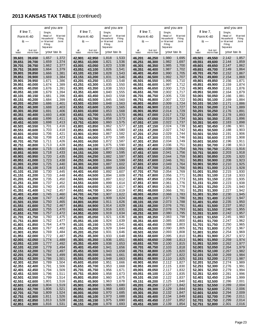|                  |                  | and you are          |                          |                  |                  | and you are          |                          |                  |                      | and you are          |                          |                  |                  | and you are          |                          |
|------------------|------------------|----------------------|--------------------------|------------------|------------------|----------------------|--------------------------|------------------|----------------------|----------------------|--------------------------|------------------|------------------|----------------------|--------------------------|
|                  | If line $7$ ,    | Single,              |                          |                  | If line $7$ ,    | Single,              |                          |                  | If line 7,           | Single,              |                          |                  | If line $7$ ,    | Single,              |                          |
|                  | Form K-40        | Head of<br>Household | <b>Married</b><br>Filing |                  | Form K-40        | Head of<br>Household | <b>Married</b><br>Filing |                  | Form K-40            | Head of<br>Household | <b>Married</b><br>Filing | Form K-40        |                  | Head of<br>Household | <b>Married</b><br>Filing |
|                  | $is -$           | or Married           | Joint                    |                  | $is -$           | or Married           | Joint                    |                  | $is -$               | or Married           | Joint                    | is —             |                  | or Married           | Joint                    |
|                  |                  | Filing<br>Separate   |                          |                  |                  | Filing<br>Separate   |                          |                  |                      | Filing<br>Separate   |                          |                  |                  | Filing<br>Separate   |                          |
| at               | but not          | your tax is          |                          | at               | but not          | your tax is          |                          | at               | but not<br>more than | your tax is          |                          | at               | but not          | your tax is          |                          |
| least            | more than        |                      |                          | least            | more than        |                      |                          | least            |                      |                      |                          | least            | morethan         |                      |                          |
| 39,601           | 39,650           | 1,657                | 1,372                    | 42,901           | 42,950           | 1,818                | 1,533                    | 46,201           | 46,250               | 1,980                | 1,695                    | 49,501           | 49,550           | 2,142                | 1,857                    |
| 39,651<br>39,701 | 39,700<br>39,750 | 1,659<br>1,662       | 1,374<br>1,377           | 42,951<br>43,001 | 43,000<br>43,050 | 1,821<br>1,823       | 1,536<br>1,538           | 46,251<br>46,301 | 46,300<br>46,350     | 1,982<br>1,985       | 1,697<br>1,700           | 49,551<br>49,601 | 49,600<br>49,650 | 2,144<br>2,147       | 1,859<br>1,862           |
| 39,751           | 39,800           | 1,664                | 1,379                    | 43,051           | 43,100           | 1,826                | 1,541                    | 46,351           | 46,400               | 1,987                | 1,702                    | 49,651           | 49,700           | 2,149                | 1,864                    |
| 39,801           | 39,850           | 1,666                | 1,381                    | 43,101           | 43,150           | 1,828                | 1,543                    | 46,401           | 46,450               | 1,990                | 1,705                    | 49,701           | 49,750           | 2,152                | 1,867                    |
| 39,851           | 39,900           | 1,669                | 1,384                    | 43,151           | 43,200           | 1,831                | 1,546                    | 46,451           | 46,500               | 1,992                | 1,707                    | 49,751           | 49.800           | 2,154                | 1,869                    |
| 39,901           | 39,950           | 1,671                | 1,386                    | 43,201           | 43,250           | 1,833                | 1,548                    | 46,501           | 46,550               | 1,995                | 1,710                    | 49,801           | 49,850           | 2,156                | 1,871                    |
| 39,951           | 40,000           | 1,674                | 1,389                    | 43,251           | 43,300           | 1,835                | 1,550                    | 46,551           | 46,600               | 1,997                | 1,712                    | 49,851           | 49,900           | 2,159                | 1,874                    |
| 40,001           | 40,050           | 1,676                | 1,391                    | 43,301           | 43,350           | 1,838                | 1,553                    | 46,601           | 46,650               | 2,000                | 1,715                    | 49,901           | 49,950           | 2,161                | 1,876                    |
| 40,051<br>40,101 | 40,100<br>40,150 | 1,679<br>1,681       | 1,394<br>1,396           | 43,351<br>43,401 | 43,400<br>43,450 | 1,840<br>1,843       | 1,555<br>1,558           | 46,651<br>46,701 | 46,700<br>46,750     | 2,002<br>2,005       | 1,717<br>1,720           | 49,951<br>50,001 | 50,000<br>50,050 | 2,164<br>2,166       | 1,879<br>1,881           |
| 40,151           | 40,200           | 1,684                | 1,399                    | 43,451           | 43,500           | 1,845                | 1,560                    | 46,751           | 46,800               | 2,007                | 1,722                    | 50,051           | 50,100           | 2,169                | 1,884                    |
| 40,201           | 40,250           | 1,686                | 1,401                    | 43,501           | 43,550           | 1,848                | 1,563                    | 46,801           | 46,850               | 2,009                | 1,724                    | 50,101           | 50,150           | 2,171                | 1,886                    |
| 40,251           | 40,300           | 1,688                | 1,403                    | 43,551           | 43,600           | 1,850                | 1,565                    | 46,851           | 46,900               | 2,012                | 1,727                    | 50,151           | 50,200           | 2,174                | 1,889                    |
| 40,301           | 40,350           | 1,691                | 1,406                    | 43,601           | 43,650           | 1,853                | 1,568                    | 46,901           | 46,950               | 2,014                | 1,729                    | 50,201           | 50,250           | 2,176                | 1,891                    |
| 40,351           | 40,400           | 1,693                | 1,408                    | 43,651           | 43,700           | 1,855                | 1,570                    | 46,951           | 47,000               | 2,017                | 1,732                    | 50,251           | 50,300           | 2,178                | 1,893                    |
| 40,401<br>40,451 | 40,450<br>40,500 | 1,696<br>1,698       | 1,411<br>1,413           | 43,701<br>43,751 | 43,750<br>43,800 | 1,858<br>1,860       | 1,573<br>1,575           | 47,001<br>47,051 | 47,050<br>47,100     | 2,019<br>2,022       | 1,734<br>1,737           | 50,301<br>50,351 | 50,350<br>50,400 | 2,181<br>2,183       | 1,896<br>1,898           |
| 40,501           | 40,550           | 1,701                | 1,416                    | 43,801           | 43,850           | 1,862                | 1,577                    | 47,101           | 47,150               | 2,024                | 1,739                    | 50,401           | 50,450           | 2,186                | 1,901                    |
| 40,551           | 40,600           | 1,703                | 1,418                    | 43,851           | 43,900           | 1,865                | 1,580                    | 47,151           | 47,200               | 2,027                | 1,742                    | 50,451           | 50,500           | 2,188                | 1,903                    |
| 40,601           | 40,650           | 1,706                | 1,421                    | 43,901           | 43,950           | 1,867                | 1,582                    | 47,201           | 47,250               | 2,029                | 1,744                    | 50,501           | 50,550           | 2,191                | 1,906                    |
| 40,651           | 40,700           | 1,708                | 1,423                    | 43,951           | 44,000           | 1,870                | 1,585                    | 47,251           | 47,300               | 2,031                | 1,746                    | 50,551           | 50,600           | 2,193                | 1,908                    |
| 40,701           | 40,750           | 1,711                | 1,426                    | 44,001           | 44,050           | 1,872                | 1,587                    | 47,301           | 47,350               | 2,034                | 1,749                    | 50,601           | 50,650           | 2,196                | 1,911                    |
| 40,751<br>40,801 | 40,800<br>40,850 | 1,713<br>1,715       | 1,428<br>1,430           | 44,051<br>44,101 | 44,100<br>44,150 | 1,875<br>1,877       | 1,590<br>1,592           | 47,351<br>47,401 | 47,400<br>47,450     | 2,036<br>2,039       | 1,751<br>1,754           | 50,651<br>50,701 | 50.700<br>50,750 | 2,198<br>2,201       | 1,913<br>1,916           |
| 40,851           | 40,900           | 1,718                | 1,433                    | 44,151           | 44,200           | 1,880                | 1,595                    | 47,451           | 47,500               | 2,041                | 1,756                    | 50,751           | 50,800           | 2,203                | 1,918                    |
| 40,901           | 40,950           | 1,720                | 1,435                    | 44,201           | 44,250           | 1,882                | 1,597                    | 47,501           | 47,550               | 2,044                | 1,759                    | 50,801           | 50,850           | 2,205                | 1,920                    |
| 40,951           | 41,000           | 1,723                | 1,438                    | 44,251           | 44,300           | 1,884                | 1,599                    | 47,551           | 47,600               | 2,046                | 1,761                    | 50,851           | 50,900           | 2,208                | 1,923                    |
| 41,001           | 41,050           | 1,725                | 1,440                    | 44,301           | 44,350           | 1,887                | 1,602                    | 47,601           | 47,650               | 2,049                | 1,764                    | 50,901           | 50,950           | 2,210                | 1,925                    |
| 41,051           | 41,100           | 1,728                | 1,443                    | 44,351           | 44,400           | 1,889                | 1,604                    | 47,651           | 47,700               | 2,051                | 1,766                    | 50,951           | 51,000           | 2,213                | 1,928                    |
| 41,101<br>41,151 | 41,150<br>41,200 | 1,730<br>1,733       | 1,445<br>1,448           | 44,401<br>44,451 | 44,450<br>44,500 | 1,892<br>1,894       | 1,607<br>1,609           | 47,701<br>47,751 | 47,750<br>47,800     | 2,054<br>2,056       | 1,769<br>1,771           | 51,001<br>51,051 | 51,050<br>51,100 | 2,215<br>2,218       | 1,930<br>1,933           |
| 41,201           | 41,250           | 1,735                | 1,450                    | 44,501           | 44,550           | 1,897                | 1,612                    | 47,801           | 47,850               | 2,058                | 1,773                    | 51,101           | 51,150           | 2,220                | 1,935                    |
| 41,251           | 41,300           | 1,737                | 1,452                    | 44,551           | 44,600           | 1,899                | 1,614                    | 47,851           | 47,900               | 2,061                | 1,776                    | 51,151           | 51,200           | 2,223                | 1,938                    |
| 41,301           | 41,350           | 1,740                | 1,455                    | 44,601           | 44,650           | 1,902                | 1,617                    | 47,901           | 47,950               | 2,063                | 1,778                    | 51,201           | 51,250           | 2,225                | 1,940                    |
| 41,351           | 41,400           | 1,742                | 1,457                    | 44,651           | 44,700           | 1,904                | 1,619                    | 47,951           | 48,000               | 2,066                | 1,781                    | 51,251           | 51,300           | 2,227                | 1,942                    |
| 41,401<br>41,451 | 41,450<br>41,500 | 1,745                | 1,460                    | 44,701<br>44,751 | 44,750<br>44,800 | 1,907<br>1,909       | 1,622<br>1,624           | 48,001           | 48,050<br>48,100     | 2,068                | 1,783                    | 51,301<br>51,351 | 51,350<br>51.400 | 2,230<br>2,232       | 1,945<br>1,947           |
| 41,501           | 41,550           | 1,747<br>1,750       | 1,462<br>1,465           | 44,801           | 44,850           | 1,911                | 1,626                    | 48,051<br>48,101 | 48,150               | 2,071<br>2,073       | 1,786<br>1,788           | 51,401           | 51,450           | 2,235                | 1,950                    |
| 41,551           | 41,600           | 1,752                | 1,467                    | 44,851           | 44,900           | 1,914                | 1,629                    | 48,151           | 48,200               | 2,076                | 1,791                    | 51,451           | 51,500           | 2,237                | 1,952                    |
| 41,601           | 41,650           | 1,755                | 1,470                    | 44,901           | 44,950           | 1,916                | 1,631                    | 48,201           | 48,250               | 2,078                | 1,793                    | 51,501           | 51,550           | 2,240                | 1,955                    |
| 41,651           | 41,700           | 1,757                | 1,472                    | 44,951           | 45,000           | 1,919                | 1,634                    | 48,251           | 48,300               | 2,080                | 1,795                    | 51,551           | 51,600           | 2,242                | 1,957                    |
| 41,701           | 41,750           | 1,760                | 1,475                    | 45,001           | 45,050           | 1,921                | 1,636                    | 48,301           | 48,350               | 2,083                | 1,798                    | 51,601           | 51,650           | 2,245                | 1,960                    |
| 41,751<br>41,801 | 41,800<br>41,850 | 1,762<br>1,764       | 1,477<br>1,479           | 45,051<br>45,101 | 45,100<br>45,150 | 1,924<br>1,926       | 1,639<br>1,641           | 48,351<br>48,401 | 48,400<br>48,450     | 2,085<br>2,088       | 1,800<br>1,803           | 51,651<br>51,701 | 51,700<br>51,750 | 2,247<br>2,250       | 1,962<br>1,965           |
| 41,851           | 41,900           | 1,767                | 1,482                    | 45,151           | 45,200           | 1,929                | 1,644                    | 48,451           | 48,500               | 2,090                | 1,805                    | 51,751           | 51,800           | 2,252                | 1,967                    |
| 41,901           | 41,950           | 1,769                | 1,484                    | 45,201           | 45,250           | 1,931                | 1,646                    | 48,501           | 48,550               | 2,093                | 1,808                    | 51,801           | 51,850           | 2,254                | 1,969                    |
| 41,951           | 42,000           | 1,772                | 1,487                    | 45,251           | 45,300           | 1,933                | 1,648                    | 48,551           | 48,600               | 2,095                | 1,810                    | 51,851           | 51,900           | 2,257                | 1,972                    |
| 42,001           | 42,050           | 1,774                | 1,489                    | 45,301           | 45,350           | 1,936                | 1,651                    | 48,601           | 48,650               | 2,098                | 1,813                    | 51,901           | 51,950           | 2,259                | 1,974                    |
| 42,051<br>42,101 | 42,100           | 1,777                | 1,492                    | 45,351<br>45,401 | 45,400<br>45,450 | 1,938                | 1,653<br>1,656           | 48,651<br>48,701 | 48,700               | 2,100                | 1,815                    | 51,951<br>52,001 | 52,000<br>52,050 | 2,262<br>2,264       | 1,977<br>1,979           |
| 42,151           | 42,150<br>42,200 | 1,779<br>1,782       | 1,494<br>1,497           | 45,451           | 45,500           | 1,941<br>1,943       | 1,658                    | 48,751           | 48,750<br>48,800     | 2,103<br>2,105       | 1,818<br>1,820           | 52,051           | 52,100           | 2,267                | 1,982                    |
| 42,201           | 42,250           | 1,784                | 1,499                    | 45,501           | 45,550           | 1,946                | 1,661                    | 48,801           | 48,850               | 2,107                | 1,822                    | 52,101           | 52,150           | 2,269                | 1,984                    |
| 42,251           | 42,300           | 1,786                | 1,501                    | 45,551           | 45,600           | 1,948                | 1,663                    | 48,851           | 48,900               | 2,110                | 1,825                    | 52,151           | 52,200           | 2,272                | 1,987                    |
| 42,301           | 42,350           | 1,789                | 1,504                    | 45,601           | 45,650           | 1,951                | 1,666                    | 48,901           | 48,950               | 2,112                | 1,827                    | 52,201           | 52,250           | 2,274                | 1,989                    |
| 42,351           | 42,400           | 1,791                | 1,506                    | 45,651           | 45,700           | 1,953                | 1,668                    | 48,951           | 49,000               | 2,115                | 1,830                    | 52,251           | 52,300           | 2,276                | 1,991                    |
| 42,401<br>42,451 | 42,450<br>42,500 | 1,794<br>1,796       | 1,509<br>1,511           | 45,701<br>45,751 | 45,750<br>45,800 | 1,956<br>1,958       | 1,671<br>1,673           | 49,001<br>49,051 | 49,050<br>49,100     | 2,117<br>2,120       | 1,832<br>1,835           | 52,301<br>52,351 | 52,350<br>52,400 | 2,279<br>2,281       | 1,994<br>1,996           |
| 42,501           | 42,550           | 1,799                | 1,514                    | 45,801           | 45,850           | 1,960                | 1,675                    | 49,101           | 49,150               | 2,122                | 1,837                    | 52,401           | 52,450           | 2,284                | 1,999                    |
| 42,551           | 42,600           | 1,801                | 1,516                    | 45,851           | 45,900           | 1,963                | 1,678                    | 49,151           | 49,200               | 2,125                | 1,840                    | 52,451           | 52,500           | 2,286                | 2,001                    |
| 42,601           | 42,650           | 1,804                | 1,519                    | 45,901           | 45,950           | 1,965                | 1,680                    | 49,201           | 49,250               | 2,127                | 1,842                    | 52,501           | 52,550           | 2,289                | 2,004                    |
| 42,651           | 42,700           | 1,806                | 1,521                    | 45,951           | 46,000           | 1,968                | 1,683                    | 49,251           | 49,300               | 2,129                | 1,844                    | 52,551           | 52,600           | 2,291                | 2,006                    |
| 42,701           | 42,750           | 1,809                | 1,524                    | 46,001           | 46,050           | 1,970                | 1,685                    | 49,301           | 49,350               | 2,132                | 1,847                    | 52,601           | 52,650           | 2,294                | 2,009                    |
| 42,751<br>42,801 | 42,800<br>42,850 | 1,811<br>1,813       | 1,526<br>1,528           | 46,051<br>46,101 | 46,100<br>46,150 | 1,973<br>1,975       | 1,688<br>1,690           | 49,351<br>49,401 | 49,400<br>49,450     | 2,134<br>2,137       | 1,849<br>1,852           | 52,651<br>52,701 | 52,700<br>52,750 | 2,296<br>2,299       | 2,011<br>2,014           |
| 42,851           | 42,900           | 1,816                | 1,531                    | 46,151           | 46,200           | 1,978                | 1,693                    | 49,451           | 49,500               | 2,139                | 1,854                    | 52,751           | 52,800           | 2,301                | 2,016                    |
|                  |                  |                      |                          |                  |                  |                      |                          |                  |                      |                      |                          |                  |                  |                      |                          |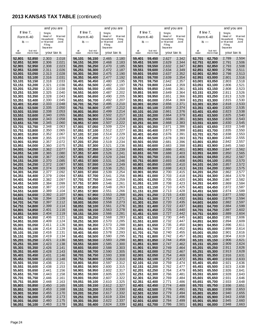|                  |                      | and you are           |                          |                  |                      | and you are          |                          |                  |                      | and you are          |                          |                  |                      | and you are          |                          |
|------------------|----------------------|-----------------------|--------------------------|------------------|----------------------|----------------------|--------------------------|------------------|----------------------|----------------------|--------------------------|------------------|----------------------|----------------------|--------------------------|
|                  | If line $7$ ,        | Single,               |                          |                  | If line $7$ ,        | Single,              |                          |                  | If line $7$ ,        | Single,              |                          |                  | If line $7$ ,        | Single,              |                          |
|                  | Form K-40            | Head of<br>Ho usehold | <b>Married</b><br>Filing |                  | Form K-40            | Head of<br>Household | <b>Married</b><br>Filing |                  | Form K-40            | Head of<br>Household | <b>Married</b><br>Filing |                  | Form K-40            | Head of<br>Household | <b>Married</b><br>Filing |
|                  | $is -$               | or Married<br>Filing  | Joint                    | is $-$           |                      | or Married<br>Filing | Joint                    |                  | is $-$               | or Married<br>Filing | Joint                    |                  | is $-$               | or Married<br>Filing | Joint                    |
|                  |                      | Separate              |                          |                  |                      | Separate             |                          |                  |                      | Separate             |                          |                  |                      | Separate             |                          |
| at<br>least      | but not<br>more than | your tax is           |                          | at<br>least      | but not<br>more than | your tax is          |                          | at<br>least      | but not<br>more than | your tax is          |                          | at<br>least      | but not<br>more than | your tax is          |                          |
| 52,801           | 52,850               | 2,303                 | 2,018                    | 56,101           | 56,150               | 2,465                | 2,180                    | 59,401           | 59,450               | 2,627                | 2,342                    | 62,701           | 62,750               | 2,789                | 2,504                    |
| 52,851           | 52,900               | 2,306                 | 2,021                    | 56,151           | 56,200               | 2,468                | 2,183                    | 59,451           | 59,500               | 2,629                | 2,344                    | 62,751           | 62,800               | 2,791                | 2,506                    |
| 52,901           | 52,950               | 2,308                 | 2,023                    | 56,201           | 56,250               | 2,470                | 2,185                    | 59,501           | 59,550               | 2,632                | 2,347                    | 62,801           | 62,850               | 2,793                | 2,508                    |
| 52,951<br>53.001 | 53,000<br>53,050     | 2,311<br>2,313        | 2,026<br>2,028           | 56,251<br>56,301 | 56,300<br>56,350     | 2,472<br>2,475       | 2,187<br>2,190           | 59,551<br>59,601 | 59,600<br>59,650     | 2,634<br>2,637       | 2,349<br>2,352           | 62,851<br>62,901 | 62,900<br>62,950     | 2,796<br>2,798       | 2,511<br>2,513           |
| 53.051           | 53,100               | 2,316                 | 2,031                    | 56,351           | 56,400               | 2,477                | 2,192                    | 59,651           | 59,700               | 2,639                | 2,354                    | 62,951           | 63,000               | 2,801                | 2,516                    |
| 53,101           | 53,150               | 2,318                 | 2,033                    | 56,401           | 56,450               | 2,480                | 2,195                    | 59,701           | 59,750               | 2,642                | 2,357                    | 63,001           | 63,050               | 2,803                | 2,518                    |
| 53,151           | 53,200               | 2,321                 | 2,036                    | 56,451           | 56,500               | 2,482                | 2,197                    | 59,751           | 59,800               | 2,644                | 2,359                    | 63,051           | 63.100               | 2,806                | 2,521                    |
| 53,201           | 53,250<br>53,300     | 2,323<br>2,325        | 2,038<br>2,040           | 56,501           | 56,550               | 2,485<br>2,487       | 2,200                    | 59,801           | 59,850<br>59,900     | 2,646<br>2,649       | 2,361                    | 63,101           | 63,150               | 2,808<br>2,811       | 2,523                    |
| 53,251<br>53,301 | 53,350               | 2,328                 | 2,043                    | 56,551<br>56,601 | 56,600<br>56,650     | 2,490                | 2,202<br>2,205           | 59,851<br>59,901 | 59,950               | 2,651                | 2,364<br>2,366           | 63,151<br>63,201 | 63,200<br>63,250     | 2,813                | 2,526<br>2,528           |
| 53.351           | 53,400               | 2,330                 | 2,045                    | 56,651           | 56,700               | 2,492                | 2,207                    | 59,951           | 60,000               | 2,654                | 2,369                    | 63,251           | 63,300               | 2,815                | 2,530                    |
| 53,401           | 53,450               | 2,333                 | 2,048                    | 56,701           | 56,750               | 2,495                | 2,210                    | 60,001           | 60,050               | 2,656                | 2,371                    | 63,301           | 63,350               | 2,818                | 2,533                    |
| 53,451           | 53,500               | 2,335                 | 2,050                    | 56,751           | 56,800               | 2,497                | 2,212                    | 60,051           | 60,100               | 2,659                | 2,374                    | 63,351           | 63,400               | 2,820                | 2,535                    |
| 53,501<br>53.551 | 53,550<br>53,600     | 2,338<br>2,340        | 2,053<br>2,055           | 56,801<br>56,851 | 56,850<br>56,900     | 2,499<br>2,502       | 2,214<br>2,217           | 60,101<br>60,151 | 60,150<br>60,200     | 2,661<br>2,664       | 2,376<br>2,379           | 63,401<br>63,451 | 63,450<br>63,500     | 2,823<br>2,825       | 2,538<br>2,540           |
| 53,601           | 53,650               | 2,343                 | 2,058                    | 56,901           | 56,950               | 2,504                | 2,219                    | 60,201           | 60,250               | 2,666                | 2,381                    | 63,501           | 63,550               | 2,828                | 2,543                    |
| 53.651           | 53,700               | 2,345                 | 2,060                    | 56,951           | 57,000               | 2,507                | 2,222                    | 60,251           | 60,300               | 2,668                | 2,383                    | 63,551           | 63.600               | 2,830                | 2,545                    |
| 53,701           | 53,750               | 2,348                 | 2,063                    | 57,001           | 57,050               | 2,509                | 2,224                    | 60,301           | 60,350               | 2,671                | 2,386                    | 63,601           | 63,650               | 2,833                | 2,548                    |
| 53,751           | 53,800               | 2,350                 | 2,065                    | 57,051           | 57,100               | 2,512                | 2,227                    | 60,351           | 60,400               | 2,673                | 2,388                    | 63,651           | 63,700               | 2,835                | 2,550                    |
| 53,801<br>53.851 | 53,850<br>53,900     | 2,352<br>2,355        | 2,067<br>2,070           | 57,101<br>57,151 | 57,150<br>57,200     | 2,514<br>2,517       | 2,229<br>2,232           | 60,401<br>60,451 | 60,450<br>60,500     | 2,676<br>2,678       | 2,391<br>2,393           | 63,701<br>63,751 | 63,750<br>63,800     | 2,838<br>2,840       | 2,553<br>2,555           |
| 53,901           | 53,950               | 2,357                 | 2,072                    | 57,201           | 57,250               | 2,519                | 2,234                    | 60,501           | 60,550               | 2,681                | 2,396                    | 63,801           | 63,850               | 2,842                | 2,557                    |
| 53.951           | 54,000               | 2,360                 | 2,075                    | 57,251           | 57,300               | 2,521                | 2,236                    | 60,551           | 60,600               | 2,683                | 2,398                    | 63,851           | 63.900               | 2,845                | 2,560                    |
| 54,001           | 54,050               | 2,362                 | 2,077                    | 57,301           | 57,350               | 2,524                | 2,239                    | 60,601           | 60,650               | 2,686                | 2,401                    | 63,901           | 63,950               | 2,847                | 2,562                    |
| 54.051<br>54,101 | 54,100<br>54,150     | 2,365<br>2,367        | 2,080<br>2,082           | 57,351<br>57,401 | 57,400<br>57,450     | 2,526<br>2,529       | 2,241<br>2,244           | 60,651<br>60,701 | 60,700<br>60,750     | 2,688<br>2,691       | 2,403<br>2,406           | 63,951<br>64,001 | 64,000<br>64,050     | 2,850<br>2,852       | 2,565<br>2,567           |
| 54.151           | 54,200               | 2,370                 | 2,085                    | 57,451           | 57,500               | 2,531                | 2,246                    | 60,751           | 60,800               | 2,693                | 2,408                    | 64,051           | 64,100               | 2,855                | 2,570                    |
| 54,201           | 54,250               | 2,372                 | 2,087                    | 57,501           | 57,550               | 2,534                | 2,249                    | 60,801           | 60,850               | 2,695                | 2,410                    | 64,101           | 64,150               | 2,857                | 2,572                    |
| 54.251           | 54,300               | 2,374                 | 2,089                    | 57,551           | 57,600               | 2,536                | 2,251                    | 60,851           | 60,900               | 2,698                | 2,413                    | 64,151           | 64,200               | 2,860                | 2,575                    |
| 54.301           | 54,350               | 2,377                 | 2,092                    | 57,601           | 57,650               | 2,539                | 2,254                    | 60,901           | 60,950               | 2,700                | 2,415                    | 64,201           | 64,250               | 2,862                | 2,577                    |
| 54.351<br>54,401 | 54,400<br>54,450     | 2,379<br>2,382        | 2,094<br>2,097           | 57,651<br>57,701 | 57,700<br>57,750     | 2,541<br>2,544       | 2,256<br>2,259           | 60,951<br>61,001 | 61,000<br>61,050     | 2,703<br>2,705       | 2,418<br>2,420           | 64,251<br>64,301 | 64,300<br>64,350     | 2,864<br>2,867       | 2,579<br>2,582           |
| 54,451           | 54,500               | 2,384                 | 2,099                    | 57,751           | 57,800               | 2,546                | 2,261                    | 61.051           | 61,100               | 2,708                | 2,423                    | 64,351           | 64,400               | 2,869                | 2,584                    |
| 54,501           | 54,550               | 2,387                 | 2,102                    | 57,801           | 57,850               | 2,548                | 2,263                    | 61,101           | 61,150               | 2,710                | 2,425                    | 64,401           | 64,450               | 2,872                | 2,587                    |
| 54.551           | 54,600               | 2,389                 | 2,104                    | 57,851           | 57,900               | 2,551                | 2,266                    | 61,151           | 61,200               | 2,713                | 2,428                    | 64,451           | 64,500               | 2,874                | 2,589                    |
| 54,601<br>54.651 | 54,650<br>54,700     | 2,392<br>2,394        | 2,107<br>2,109           | 57,901<br>57,951 | 57,950<br>58,000     | 2,553<br>2,556       | 2,268<br>2,271           | 61,201<br>61,251 | 61,250<br>61,300     | 2,715<br>2,717       | 2,430<br>2,432           | 64,501<br>64,551 | 64.550<br>64,600     | 2,877<br>2,879       | 2,592<br>2,594           |
| 54,701           | 54,750               | 2,397                 | 2,112                    | 58,001           | 58,050               | 2,558                | 2,273                    | 61,301           | 61,350               | 2,720                | 2,435                    | 64,601           | 64,650               | 2,882                | 2,597                    |
| 54,751           | 54,800               | 2,399                 | 2,114                    | 58,051           | 58,100               | 2,561                | 2,276                    | 61,351           | 61,400               | 2,722                | 2,437                    | 64,651           | 64,700               | 2,884                | 2,599                    |
| 54,801           | 54,850               | 2,401                 | 2,116                    | 58,101           | 58,150               | 2,563                | 2,278                    | 61,401           | 61,450               | 2,725                | 2,440                    | 64,701           | 64,750               | 2,887                | 2,602                    |
| 54,851<br>54,901 | 54,900<br>54,950     | 2,404<br>2,406        | 2,119<br>2,121           | 58,151<br>58,201 | 58,200<br>58,250     | 2,566<br>2,568       | 2,281<br>2,283           | 61,451<br>61,501 | 61,500<br>61,550     | 2,727<br>2,730       | 2,442<br>2,445           | 64,751<br>64,801 | 64,800<br>64,850     | 2,889<br>2,891       | 2,604<br>2,606           |
| 54,951           | 55,000               | 2,409                 | 2,124                    | 58,251           | 58,300               | 2,570                | 2,285                    | 61,551           | 61,600               | 2,732                | 2,447                    | 64,851           | 64,900               | 2,894                | 2,609                    |
| 55,001           | 55,050               | 2,411                 | 2,126                    | 58,301           | 58,350               | 2,573                | 2,288                    | 61,601           | 61,650               | 2,735                | 2,450                    | 64,901           | 64,950               | 2,896                | 2,611                    |
| 55,051           | 55,100               | 2,414                 | 2,129                    | 58,351           | 58,400               | 2,575                | 2,290                    | 61,651           | 61,700               | 2,737                | 2,452                    | 64,951           | 65,000               | 2,899                | 2,614                    |
| 55,101<br>55,151 | 55,150<br>55,200     | 2,416<br>2,419        | 2,131<br>2,134           | 58,401<br>58,451 | 58,450<br>58,500     | 2,578<br>2,580       | 2,293<br>2,295           | 61,701<br>61,751 | 61,750<br>61,800     | 2,740<br>2,742       | 2,455<br>2,457           | 65,001<br>65,051 | 65.050<br>65,100     | 2,901<br>2,904       | 2,616<br>2,619           |
| 55,201           | 55,250               | 2,421                 | 2,136                    | 58,501           | 58,550               | 2,583                | 2,298                    | 61,801           | 61,850               | 2,744                | 2,459                    | 65,101           | 65,150               | 2,906                | 2,621                    |
| 55,251           | 55,300               | 2,423                 | 2,138                    | 58,551           | 58,600               | 2,585                | 2,300                    | 61,851           | 61,900               | 2,747                | 2,462                    | 65,151           | 65,200               | 2,909                | 2,624                    |
| 55,301           | 55,350               | 2,426                 | 2,141                    | 58,601           | 58,650               | 2,588                | 2,303                    | 61,901           | 61,950               | 2,749                | 2,464                    | 65,201           | 65,250               | 2,911                | 2,626                    |
| 55,351           | 55,400               | 2,428                 | 2,143                    | 58,651           | 58,700               | 2,590                | 2,305                    | 61,951           | 62,000               | 2,752                | 2,467                    | 65,251           | 65,300               | 2,913                | 2,628                    |
| 55,401<br>55,451 | 55,450<br>55,500     | 2,431<br>2,433        | 2,146<br>2,148           | 58,701<br>58,751 | 58,750<br>58,800     | 2,593<br>2,595       | 2,308<br>2,310           | 62,001<br>62,051 | 62,050<br>62,100     | 2,754<br>2,757       | 2,469<br>2,472           | 65,301<br>65,351 | 65,350<br>65,400     | 2,916<br>2,918       | 2,631<br>2,633           |
| 55,501           | 55,550               | 2,436                 | 2,151                    | 58,801           | 58,850               | 2,597                | 2,312                    | 62,101           | 62,150               | 2,759                | 2,474                    | 65,401           | 65,450               | 2,921                | 2,636                    |
| 55,551           | 55,600               | 2,438                 | 2,153                    | 58,851           | 58,900               | 2,600                | 2,315                    | 62,151           | 62,200               | 2,762                | 2,477                    | 65,451           | 65.500               | 2,923                | 2,638                    |
| 55,601           | 55,650               | 2,441                 | 2,156                    | 58,901           | 58,950               | 2,602                | 2,317                    | 62,201           | 62,250               | 2,764                | 2,479                    | 65,501           | 65,550               | 2,926                | 2,641                    |
| 55,651<br>55,701 | 55,700<br>55,750     | 2,443<br>2,446        | 2,158<br>2,161           | 58,951<br>59,001 | 59,000<br>59,050     | 2,605<br>2,607       | 2,320<br>2,322           | 62,251<br>62,301 | 62,300<br>62,350     | 2,766<br>2,769       | 2,481<br>2,484           | 65,551<br>65,601 | 65,600<br>65,650     | 2,928<br>2,931       | 2,643<br>2,646           |
| 55,751           | 55,800               | 2,448                 | 2,163                    | 59,051           | 59,100               | 2,610                | 2,325                    | 62,351           | 62,400               | 2,771                | 2,486                    | 65,651           | 65,700               | 2,933                | 2,648                    |
| 55,801           | 55,850               | 2,450                 | 2,165                    | 59,101           | 59,150               | 2,612                | 2,327                    | 62,401           | 62,450               | 2,774                | 2,489                    | 65,701           | 65,750               | 2,936                | 2,651                    |
| 55,851           | 55,900               | 2,453                 | 2,168                    | 59,151           | 59,200               | 2,615                | 2,330                    | 62,451           | 62,500               | 2,776                | 2,491                    | 65,751           | 65,800               | 2,938                | 2,653                    |
| 55,901           | 55,950               | 2,455                 | 2,170                    | 59,201           | 59,250               | 2,617                | 2,332                    | 62,501           | 62,550               | 2,779                | 2,494                    | 65,801           | 65,850               | 2,940                | 2,655                    |
| 55,951<br>56,001 | 56,000<br>56,050     | 2,458<br>2,460        | 2,173<br>2,175           | 59,251<br>59,301 | 59,300<br>59,350     | 2,619<br>2,622       | 2,334<br>2,337           | 62,551<br>62,601 | 62,600<br>62,650     | 2,781<br>2,784       | 2,496<br>2,499           | 65,851<br>65,901 | 65,900<br>65,950     | 2,943<br>2,945       | 2,658<br>2,660           |
| 56,051           | 56,100               | 2,463                 | 2,178                    | 59,351           | 59,400               | 2,624                | 2,339                    | 62,651           | 62,700               | 2,786                | 2,501                    | 65,951           | 66,000               | 2,948                | 2,663                    |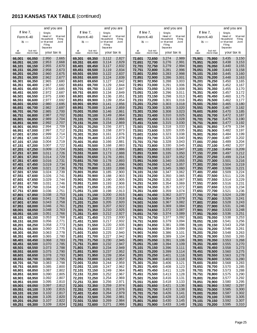|                  |                     | and you are          |                    |                  |                      | and you are          |                    |                  |                      | and you are          |                    |                  |                      | and you are          |                    |
|------------------|---------------------|----------------------|--------------------|------------------|----------------------|----------------------|--------------------|------------------|----------------------|----------------------|--------------------|------------------|----------------------|----------------------|--------------------|
|                  | If line 7,          | Single,              |                    |                  | If line $7$ ,        | Single,              |                    |                  | If line $7$ ,        | Single,              |                    |                  | lf line 7,           | Single,              |                    |
|                  | Form K-40           | Head of<br>Household | M arried<br>Filing |                  | Form K-40            | Head of<br>Household | M arried<br>Filing |                  | Form K-40            | Head of<br>Household | M arried<br>Filing |                  | Form K-40            | Head of<br>Household | M arried<br>Filing |
|                  | is $-$              | or Married<br>Filing | Joint              |                  | is $-$               | or Married<br>Filing | Joint              |                  | $is -$               | or Married<br>Filing | Joint              |                  | is —                 | or Married<br>Filing | Joint              |
|                  |                     | Separate             |                    |                  |                      | Separate             |                    |                  |                      | Separate             |                    |                  |                      | Separate             |                    |
| at<br>least      | but not<br>morethan | your tax is          |                    | at<br>least      | but not<br>more than | your tax is          |                    | at<br>least      | but not<br>more than | your tax is          |                    | at<br>least      | but not<br>more than | your tax is          |                    |
| 66,001           | 66,050              | 2,950                | 2,665              | 69,301           | 69,350               | 3,112                | 2,827              | 72,601           | 72,650               | 3,274                | 2,989              | 75,901           | 75,950               | 3,435                | 3,150              |
| 66,051           | 66,100              | 2,953                | 2,668              | 69,351           | 69,400               | 3,114                | 2,829              | 72,651           | 72,700               | 3,276                | 2,991              | 75,951           | 76,000               | 3,438                | 3,153              |
| 66,101           | 66,150              | 2,955                | 2,670              | 69,401           | 69,450               | 3,117                | 2,832              | 72,701           | 72,750               | 3,279                | 2,994              | 76,001           | 76,050               | 3,440                | 3,155              |
| 66,151           | 66,200              | 2,958                | 2,673              | 69,451           | 69,500               | 3,119                | 2,834              | 72,751           | 72,800               | 3,281                | 2,996              | 76,051           | 76,100               | 3,443                | 3,158              |
| 66,201<br>66,251 | 66,250<br>66,300    | 2,960<br>2,962       | 2,675<br>2,677     | 69,501<br>69,551 | 69,550<br>69,600     | 3,122<br>3,124       | 2,837<br>2,839     | 72,801<br>72,851 | 72,850<br>72,900     | 3,283<br>3,286       | 2,998<br>3,001     | 76,101<br>76,151 | 76,150<br>76.200     | 3,445<br>3,448       | 3,160<br>3,163     |
| 66,301           | 66,350              | 2,965                | 2,680              | 69,601           | 69,650               | 3,127                | 2,842              | 72,901           | 72,950               | 3,288                | 3,003              | 76,201           | 76,250               | 3,450                | 3,165              |
| 66,351           | 66,400              | 2,967                | 2,682              | 69,651           | 69,700               | 3,129                | 2,844              | 72,951           | 73,000               | 3,291                | 3,006              | 76,251           | 76,300               | 3,452                | 3,167              |
| 66,401           | 66,450              | 2,970                | 2,685              | 69,701           | 69,750               | 3,132                | 2,847              | 73,001           | 73,050               | 3,293                | 3,008              | 76,301           | 76,350               | 3,455                | 3,170              |
| 66,451<br>66,501 | 66,500              | 2,972<br>2,975       | 2,687              | 69,751           | 69,800               | 3,134                | 2,849<br>2,851     | 73,051           | 73,100<br>73,150     | 3,296<br>3,298       | 3,011              | 76,351<br>76,401 | 76,400               | 3,457<br>3,460       | 3,172              |
| 66,551           | 66,550<br>66,600    | 2,977                | 2,690<br>2,692     | 69,801<br>69,851 | 69,850<br>69,900     | 3,136<br>3,139       | 2,854              | 73,101<br>73,151 | 73,200               | 3,301                | 3,013<br>3,016     | 76,451           | 76,450<br>76,500     | 3,462                | 3,175<br>3,177     |
| 66,601           | 66,650              | 2,980                | 2,695              | 69,901           | 69,950               | 3,141                | 2,856              | 73,201           | 73,250               | 3,303                | 3,018              | 76,501           | 76,550               | 3,465                | 3,180              |
| 66,651           | 66,700              | 2,982                | 2,697              | 69,951           | 70.000               | 3,144                | 2,859              | 73,251           | 73,300               | 3,305                | 3,020              | 76,551           | 76,600               | 3,467                | 3,182              |
| 66,701           | 66,750              | 2,985                | 2,700              | 70,001           | 70,050               | 3.146                | 2,861              | 73,301           | 73,350               | 3,308                | 3,023              | 76,601           | 76,650               | 3,470                | 3,185              |
| 66,751<br>66,801 | 66,800<br>66,850    | 2,987<br>2,989       | 2,702<br>2,704     | 70,051<br>70,101 | 70,100<br>70,150     | 3,149<br>3,151       | 2,864<br>2,866     | 73,351<br>73,401 | 73,400<br>73,450     | 3,310<br>3,313       | 3,025<br>3,028     | 76,651<br>76,701 | 76,700<br>76,750     | 3,472<br>3,475       | 3,187<br>3,190     |
| 66,851           | 66,900              | 2,992                | 2,707              | 70,151           | 70,200               | 3,154                | 2,869              | 73,451           | 73,500               | 3,315                | 3,030              | 76,751           | 76.800               | 3,477                | 3,192              |
| 66,901           | 66,950              | 2,994                | 2,709              | 70,201           | 70,250               | 3,156                | 2,871              | 73,501           | 73,550               | 3,318                | 3,033              | 76,801           | 76,850               | 3,479                | 3,194              |
| 66,951           | 67,000              | 2,997                | 2,712              | 70,251           | 70,300               | 3,158                | 2,873              | 73,551           | 73,600               | 3,320                | 3,035              | 76,851           | 76,900               | 3,482                | 3,197              |
| 67,001           | 67,050              | 2,999                | 2,714              | 70,301           | 70,350               | 3,161                | 2,876              | 73,601           | 73,650               | 3,323                | 3,038              | 76,901           | 76,950               | 3,484                | 3,199              |
| 67,051<br>67,101 | 67,100<br>67,150    | 3,002<br>3,004       | 2,717<br>2,719     | 70,351<br>70,401 | 70,400<br>70,450     | 3,163<br>3,166       | 2,878<br>2,881     | 73,651<br>73,701 | 73,700<br>73,750     | 3,325<br>3,328       | 3,040<br>3,043     | 76,951<br>77,001 | 77.000<br>77,050     | 3,487<br>3,489       | 3,202<br>3,204     |
| 67,151           | 67,200              | 3,007                | 2,722              | 70,451           | 70.500               | 3.168                | 2,883              | 73,751           | 73,800               | 3,330                | 3,045              | 77,051           | 77,100               | 3,492                | 3,207              |
| 67,201           | 67,250              | 3,009                | 2,724              | 70,501           | 70,550               | 3,171                | 2,886              | 73,801           | 73,850               | 3,332                | 3,047              | 77,101           | 77,150               | 3,494                | 3,209              |
| 67,251           | 67,300              | 3,011                | 2,726              | 70,551           | 70,600               | 3,173                | 2,888              | 73,851           | 73,900               | 3,335                | 3,050              | 77,151           | 77,200               | 3,497                | 3,212              |
| 67,301           | 67,350              | 3,014                | 2,729              | 70,601           | 70,650               | 3,176                | 2,891              | 73,901           | 73,950               | 3,337                | 3,052              | 77,201           | 77,250               | 3,499                | 3,214              |
| 67,351<br>67,401 | 67,400<br>67,450    | 3,016<br>3,019       | 2,731<br>2,734     | 70,651<br>70,701 | 70,700<br>70,750     | 3,178<br>3,181       | 2,893<br>2,896     | 73,951<br>74,001 | 74,000<br>74,050     | 3,340<br>3,342       | 3,055<br>3,057     | 77,251<br>77,301 | 77,300<br>77,350     | 3,501<br>3,504       | 3,216<br>3,219     |
| 67,451           | 67,500              | 3,021                | 2,736              | 70,751           | 70,800               | 3,183                | 2,898              | 74,051           | 74,100               | 3,345                | 3,060              | 77,351           | 77,400               | 3,506                | 3,221              |
| 67,501           | 67,550              | 3,024                | 2,739              | 70,801           | 70,850               | 3,185                | 2,900              | 74,101           | 74,150               | 3,347                | 3,062              | 77,401           | 77,450               | 3,509                | 3,224              |
| 67,551           | 67,600              | 3,026                | 2,741              | 70,851           | 70,900               | 3,188                | 2,903              | 74,151           | 74,200               | 3,350                | 3,065              | 77,451           | 77,500               | 3,511                | 3,226              |
| 67,601<br>67,651 | 67,650<br>67,700    | 3,029<br>3,031       | 2,744<br>2,746     | 70,901<br>70,951 | 70,950<br>71,000     | 3,190<br>3,193       | 2,905<br>2,908     | 74,201<br>74,251 | 74,250<br>74,300     | 3,352<br>3,354       | 3,067<br>3,069     | 77,501<br>77,551 | 77,550<br>77,600     | 3,514<br>3,516       | 3,229<br>3,231     |
| 67,701           | 67,750              | 3,034                | 2,749              | 71,001           | 71,050               | 3,195                | 2,910              | 74,301           | 74,350               | 3,357                | 3,072              | 77,601           | 77,650               | 3,519                | 3,234              |
| 67,751           | 67,800              | 3,036                | 2,751              | 71,051           | 71,100               | 3,198                | 2,913              | 74,351           | 74,400               | 3,359                | 3,074              | 77,651           | 77,700               | 3,521                | 3,236              |
| 67,801           | 67,850              | 3,038                | 2,753              | 71,101           | 71,150               | 3,200                | 2,915              | 74,401           | 74,450               | 3,362                | 3,077              | 77,701           | 77,750               | 3,524                | 3,239              |
| 67,851           | 67,900              | 3,041                | 2,756              | 71,151           | 71.200               | 3,203                | 2,918              | 74,451           | 74,500               | 3,364                | 3,079              | 77,751           | 77.800               | 3,526                | 3,241<br>3,243     |
| 67,901<br>67,951 | 67,950<br>68,000    | 3,043<br>3,046       | 2,758<br>2,761     | 71,201<br>71,251 | 71,250<br>71,300     | 3,205<br>3,207       | 2,920<br>2,922     | 74,501<br>74,551 | 74,550<br>74,600     | 3,367<br>3,369       | 3,082<br>3,084     | 77,801<br>77,851 | 77,850<br>77,900     | 3,528<br>3,531       | 3,246              |
| 68,001           | 68,050              | 3,048                | 2,763              | 71,301           | 71,350               | 3,210                | 2,925              | 74,601           | 74,650               | 3,372                | 3,087              | 77,901           | 77.950               | 3,533                | 3,248              |
| 68,051           | 68,100              | 3,051                | 2,766              | 71,351           | 71,400               | 3,212                | 2,927              | 74,651           | 74,700               | 3,374                | 3,089              | 77,951           | 78,000               | 3,536                | 3,251              |
| 68,101           | 68,150              | 3,053                | 2,768              | 71,401           | 71,450               | 3,215                | 2,930              | 74,701           | 74,750               | 3,377                | 3,092              | 78,001           | 78,050               | 3,538                | 3,253              |
| 68,151<br>68,201 | 68,200<br>68,250    | 3,056<br>3,058       | 2,771<br>2,773     | 71,451<br>71,501 | 71,500<br>71,550     | 3,217<br>3,220       | 2,932<br>2,935     | 74,751<br>74,801 | 74,800<br>74,850     | 3,379<br>3,381       | 3,094<br>3,096     | 78,051<br>78,101 | 78,100<br>78,150     | 3,541<br>3,543       | 3,256<br>3,258     |
| 68,251           | 68,300              | 3,060                | 2,775              | 71,551           | 71,600               | 3,222                | 2,937              | 74,851           | 74,900               | 3,384                | 3,099              | 78,151           | 78,200               | 3,546                | 3,261              |
| 68,301           | 68,350              | 3,063                | 2,778              | 71,601           | 71,650               | 3,225                | 2,940              | 74,901           | 74,950               | 3,386                | 3,101              | 78,201           | 78,250               | 3,548                | 3,263              |
| 68,351           | 68,400              | 3,065                | 2,780              | 71,651           | 71,700               | 3,227                | 2,942              | 74,951           | 75,000               | 3,389                | 3,104              | 78,251           | 78,300               | 3,550                | 3,265              |
| 68,401           | 68,450              | 3,068                | 2,783              | 71,701           | 71,750               | 3,230                | 2,945              | 75,001           | 75,050               | 3,391                | 3,106              | 78,301           | 78,350               | 3,553                | 3,268              |
| 68,451<br>68,501 | 68,500<br>68,550    | 3,070<br>3,073       | 2,785<br>2,788     | 71,751<br>71,801 | 71,800<br>71,850     | 3,232<br>3,234       | 2,947<br>2,949     | 75,051<br>75,101 | 75,100<br>75,150     | 3,394<br>3,396       | 3,109<br>3,111     | 78,351<br>78,401 | 78,400<br>78,450     | 3,555<br>3,558       | 3,270<br>3,273     |
| 68,551           | 68,600              | 3,075                | 2,790              | 71,851           | 71,900               | 3,237                | 2,952              | 75,151           | 75,200               | 3,399                | 3,114              | 78,451           | 78,500               | 3,560                | 3,275              |
| 68,601           | 68,650              | 3,078                | 2,793              | 71,901           | 71,950               | 3,239                | 2,954              | 75,201           | 75,250               | 3,401                | 3,116              | 78,501           | 78,550               | 3,563                | 3,278              |
| 68,651           | 68,700              | 3,080                | 2,795              | 71,951           | 72,000               | 3,242                | 2,957              | 75,251           | 75,300               | 3,403                | 3,118              | 78,551           | 78,600               | 3,565                | 3,280              |
| 68,701<br>68,751 | 68,750<br>68,800    | 3,083<br>3,085       | 2,798<br>2,800     | 72,001<br>72,051 | 72,050<br>72,100     | 3,244<br>3,247       | 2,959<br>2,962     | 75,301<br>75,351 | 75,350<br>75,400     | 3,406<br>3,408       | 3,121<br>3,123     | 78,601<br>78,651 | 78,650<br>78,700     | 3,568<br>3,570       | 3,283<br>3,285     |
| 68,801           | 68,850              | 3,087                | 2,802              | 72,101           | 72,150               | 3,249                | 2,964              | 75,401           | 75,450               | 3,411                | 3,126              | 78,701           | 78,750               | 3,573                | 3,288              |
| 68,851           | 68,900              | 3,090                | 2,805              | 72,151           | 72,200               | 3,252                | 2,967              | 75,451           | 75,500               | 3,413                | 3,128              | 78,751           | 78,800               | 3,575                | 3,290              |
| 68,901           | 68,950              | 3,092                | 2,807              | 72,201           | 72,250               | 3,254                | 2,969              | 75,501           | 75,550               | 3,416                | 3,131              | 78,801           | 78,850               | 3,577                | 3,292              |
| 68,951           | 69,000              | 3,095                | 2,810              | 72,251           | 72,300               | 3,256                | 2,971              | 75,551           | 75,600               | 3,418                | 3,133              | 78,851           | 78,900               | 3,580                | 3,295              |
| 69,001<br>69,051 | 69,050<br>69,100    | 3,097<br>3,100       | 2,812<br>2,815     | 72,301<br>72,351 | 72,350<br>72,400     | 3,259<br>3,261       | 2,974<br>2,976     | 75,601<br>75,651 | 75,650<br>75,700     | 3,421<br>3,423       | 3,136<br>3,138     | 78,901<br>78,951 | 78,950<br>79,000     | 3,582<br>3,585       | 3,297<br>3,300     |
| 69,101           | 69,150              | 3,102                | 2,817              | 72,401           | 72,450               | 3,264                | 2,979              | 75,701           | 75,750               | 3,426                | 3,141              | 79,001           | 79,050               | 3,587                | 3,302              |
| 69,151           | 69,200              | 3,105                | 2,820              | 72,451           | 72,500               | 3,266                | 2,981              | 75,751           | 75,800               | 3,428                | 3,143              | 79,051           | 79,100               | 3,590                | 3,305              |
| 69,201           | 69,250              | 3,107                | 2,822              | 72,501           | 72,550               | 3,269                | 2,984              | 75,801           | 75,850               | 3,430                | 3,145              | 79,101           | 79,150               | 3,592                | 3,307              |
| 69,251           | 69,300              | 3,109                | 2,824              | 72,551           | 72,600               | 3,271                | 2,986              | 75,851           | 75,900               | 3,433                | 3,148              | 79,151           | 79,200               | 3,595                | 3,310              |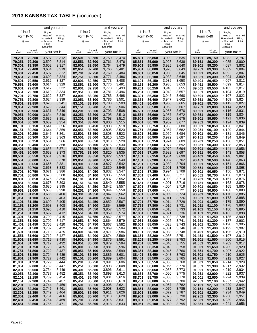|                  |                      | and you are           |                          |                  |                      | and you are          |                          |                  |                      | and you are          |                          |                  |        |                      | and you are          |                          |
|------------------|----------------------|-----------------------|--------------------------|------------------|----------------------|----------------------|--------------------------|------------------|----------------------|----------------------|--------------------------|------------------|--------|----------------------|----------------------|--------------------------|
|                  | If line $7$ ,        | Single,               |                          |                  | If line $7$ ,        | Single,              |                          |                  | If line $7$ ,        | Single,              |                          |                  |        | If line 7,           | Single,              |                          |
|                  | Form K-40            | Head of<br>Ho usehold | <b>Married</b><br>Filing |                  | Form K-40            | Head of<br>Household | <b>Married</b><br>Filing |                  | Form K-40            | Head of<br>Household | <b>Married</b><br>Filing |                  |        | Form K-40            | Head of<br>Household | <b>Married</b><br>Filing |
|                  | $is -$               | or Married<br>Filing  | Joint                    |                  | $is -$               | or Married<br>Filing | Joint                    |                  | $is -$               | or Married<br>Filing | Joint                    |                  |        | $is -$               | or Married<br>Filing | Joint                    |
|                  |                      | Separate              |                          |                  |                      | Separate             |                          |                  |                      | Separate             |                          |                  |        |                      | Separate             |                          |
| at<br>least      | but not<br>more than | your tax is           |                          | at<br>least      | but not<br>more than | your tax is          |                          | at<br>least      | but not<br>more than | your tax is          |                          | at<br>least      |        | but not<br>more than | your tax is          |                          |
| 79,201           | 79,250               | 3,597                 | 3,312                    | 82,501           | 82,550               | 3,759                | 3,474                    | 85,801           | 85,850               | 3,920                | 3,635                    | 89,101           |        | 89,150               | 4,082                | 3,797                    |
| 79,251           | 79,300               | 3,599                 | 3,314                    | 82,551           | 82,600               | 3,761                | 3,476                    | 85,851           | 85,900               | 3,923                | 3,638                    | 89,151           |        | 89,200               | 4,085                | 3,800                    |
| 79,301           | 79,350               | 3,602                 | 3,317                    | 82,601           | 82,650               | 3,764                | 3,479                    | 85,901           | 85,950               | 3,925                | 3,640                    | 89,201           |        | 89,250               | 4,087                | 3,802                    |
| 79,351<br>79,401 | 79,400<br>79,450     | 3,604<br>3,607        | 3,319<br>3,322           | 82,651<br>82,701 | 82.700<br>82,750     | 3,766<br>3,769       | 3,481<br>3,484           | 85,951<br>86,001 | 86,000<br>86,050     | 3,928<br>3,930       | 3,643<br>3,645           | 89,251<br>89,301 |        | 89,300<br>89,350     | 4,089<br>4,092       | 3,804<br>3,807           |
| 79,451           | 79,500               | 3,609                 | 3,324                    | 82,751           | 82,800               | 3,771                | 3,486                    | 86,051           | 86,100               | 3,933                | 3,648                    | 89,351           |        | 89,400               | 4,094                | 3,809                    |
| 79,501           | 79,550               | 3,612                 | 3,327                    | 82,801           | 82,850               | 3,773                | 3,488                    | 86,101           | 86,150               | 3,935                | 3,650                    | 89,401           |        | 89,450               | 4,097                | 3,812                    |
| 79,551           | 79,600               | 3,614                 | 3,329                    | 82,851           | 82,900               | 3,776                | 3,491                    | 86,151           | 86,200               | 3,938                | 3,653                    | 89,451           |        | 89,500               | 4,099                | 3,814                    |
| 79,601           | 79,650               | 3,617                 | 3,332                    | 82,901           | 82,950               | 3,778                | 3,493                    | 86,201           | 86,250               | 3,940                | 3,655                    | 89,501           |        | 89,550               | 4,102                | 3,817                    |
| 79,651<br>79,701 | 79,700<br>79,750     | 3,619<br>3,622        | 3,334<br>3,337           | 82,951<br>83,001 | 83,000<br>83,050     | 3,781<br>3,783       | 3,496<br>3,498           | 86,251<br>86,301 | 86,300<br>86,350     | 3,942<br>3,945       | 3,657<br>3,660           | 89,551<br>89,601 |        | 89,600<br>89,650     | 4,104<br>4,107       | 3,819<br>3,822           |
| 79,751           | 79,800               | 3,624                 | 3,339                    | 83,051           | 83,100               | 3,786                | 3,501                    | 86,351           | 86,400               | 3,947                | 3,662                    | 89,651           |        | 89,700               | 4,109                | 3,824                    |
| 79,801           | 79,850               | 3,626                 | 3,341                    | 83,101           | 83,150               | 3,788                | 3,503                    | 86,401           | 86,450               | 3,950                | 3,665                    | 89,701           |        | 89,750               | 4,112                | 3,827                    |
| 79,851           | 79,900               | 3,629                 | 3,344                    | 83,151           | 83,200               | 3,791                | 3,506                    | 86,451           | 86,500               | 3,952                | 3,667                    | 89,751           |        | 89,800               | 4,114                | 3,829                    |
| 79,901           | 79,950               | 3,631                 | 3,346                    | 83,201           | 83,250               | 3,793                | 3,508                    | 86,501           | 86,550               | 3,955                | 3,670                    | 89,801           |        | 89,850               | 4,116                | 3,831                    |
| 79,951<br>80,001 | 80,000<br>80,050     | 3,634<br>3,636        | 3,349<br>3,351           | 83,251<br>83,301 | 83,300<br>83,350     | 3,795<br>3,798       | 3,510<br>3,513           | 86,551<br>86,601 | 86,600<br>86,650     | 3,957<br>3,960       | 3,672<br>3,675           | 89,851<br>89,901 |        | 89,900<br>89,950     | 4,119<br>4,121       | 3,834<br>3,836           |
| 80,051           | 80,100               | 3,639                 | 3,354                    | 83,351           | 83,400               | 3,800                | 3,515                    | 86,651           | 86,700               | 3,962                | 3,677                    | 89,951           |        | 90,000               | 4,124                | 3,839                    |
| 80,101           | 80,150               | 3,641                 | 3,356                    | 83,401           | 83,450               | 3,803                | 3,518                    | 86,701           | 86,750               | 3,965                | 3,680                    | 90,001           |        | 90,050               | 4,126                | 3,841                    |
| 80,151           | 80,200               | 3,644                 | 3,359                    | 83,451           | 83,500               | 3,805                | 3,520                    | 86,751           | 86,800               | 3,967                | 3,682                    | 90,051           |        | 90,100               | 4,129                | 3,844                    |
| 80,201           | 80,250               | 3,646                 | 3,361                    | 83,501           | 83,550               | 3,808                | 3,523                    | 86,801           | 86,850               | 3,969                | 3,684                    | 90,101           |        | 90,150               | 4,131                | 3,846                    |
| 80,251<br>80,301 | 80,300<br>80,350     | 3,648<br>3,651        | 3,363<br>3,366           | 83,551<br>83,601 | 83,600<br>83,650     | 3,810<br>3,813       | 3,525<br>3,528           | 86,851<br>86,901 | 86,900<br>86,950     | 3,972<br>3,974       | 3,687<br>3,689           | 90,151<br>90,201 |        | 90,200<br>90,250     | 4,134<br>4,136       | 3,849<br>3,851           |
| 80,351           | 80,400               | 3,653                 | 3,368                    | 83,651           | 83,700               | 3,815                | 3,530                    | 86,951           | 87,000               | 3,977                | 3,692                    | 90,251           |        | 90,300               | 4,138                | 3,853                    |
| 80,401           | 80,450               | 3,656                 | 3,371                    | 83,701           | 83,750               | 3,818                | 3,533                    | 87,001           | 87,050               | 3,979                | 3,694                    | 90,301           |        | 90,350               | 4,141                | 3,856                    |
| 80,451           | 80,500               | 3,658                 | 3,373                    | 83,751           | 83,800               | 3,820                | 3,535                    | 87,051           | 87,100               | 3,982                | 3,697                    | 90,351           |        | 90,400               | 4,143                | 3,858                    |
| 80,501           | 80,550               | 3,661                 | 3,376                    | 83,801           | 83,850               | 3,822                | 3,537                    | 87,101           | 87,150               | 3,984                | 3,699                    | 90,401           |        | 90,450               | 4,146                | 3,861                    |
| 80,551<br>80,601 | 80,600<br>80,650     | 3,663<br>3,666        | 3,378<br>3,381           | 83,851<br>83,901 | 83,900<br>83,950     | 3,825<br>3,827       | 3,540<br>3,542           | 87,151<br>87,201 | 87,200<br>87,250     | 3,987<br>3,989       | 3,702<br>3,704           | 90,451<br>90,501 |        | 90,500<br>90,550     | 4,148<br>4,151       | 3,863<br>3,866           |
| 80,651           | 80,700               | 3,668                 | 3,383                    | 83,951           | 84,000               | 3,830                | 3,545                    | 87,251           | 87,300               | 3,991                | 3,706                    | 90,551           |        | 90,600               | 4,153                | 3,868                    |
| 80,701           | 80,750               | 3,671                 | 3,386                    | 84,001           | 84,050               | 3,832                | 3,547                    | 87,301           | 87,350               | 3,994                | 3,709                    | 90,601           |        | 90,650               | 4,156                | 3,871                    |
| 80,751           | 80,800               | 3,673                 | 3,388                    | 84,051           | 84,100               | 3,835                | 3,550                    | 87,351           | 87,400               | 3,996                | 3,711                    | 90,651           |        | 90,700               | 4,158                | 3,873                    |
| 80,801           | 80,850               | 3,675                 | 3,390                    | 84,101           | 84,150               | 3,837                | 3,552                    | 87,401           | 87,450               | 3,999                | 3,714                    | 90,701           |        | 90,750               | 4,161                | 3,876                    |
| 80,851<br>80,901 | 80,900<br>80,950     | 3,678<br>3,680        | 3,393<br>3,395           | 84,151<br>84,201 | 84,200<br>84,250     | 3,840<br>3,842       | 3,555<br>3,557           | 87,451<br>87,501 | 87,500<br>87,550     | 4,001<br>4,004       | 3,716<br>3,719           | 90,751<br>90,801 |        | 90,800<br>90,850     | 4,163<br>4,165       | 3,878<br>3,880           |
| 80,951           | 81,000               | 3,683                 | 3,398                    | 84,251           | 84,300               | 3,844                | 3,559                    | 87,551           | 87,600               | 4,006                | 3,721                    | 90,851           |        | 90,900               | 4,168                | 3,883                    |
| 81,001           | 81,050               | 3,685                 | 3,400                    | 84,301           | 84,350               | 3,847                | 3,562                    | 87,601           | 87,650               | 4,009                | 3,724                    | 90,901           |        | 90,950               | 4,170                | 3,885                    |
| 81,051           | 81,100               | 3,688                 | 3,403                    | 84,351           | 84,400               | 3,849                | 3,564                    | 87,651           | 87,700               | 4,011                | 3,726                    | 90,951           |        | 91,000               | 4,173                | 3,888                    |
| 81,101<br>81,151 | 81,150<br>81,200     | 3,690<br>3,693        | 3,405<br>3,408           | 84,401<br>84,451 | 84,450<br>84,500     | 3,852<br>3,854       | 3,567<br>3,569           | 87,701<br>87,751 | 87,750<br>87,800     | 4,014<br>4,016       | 3,729<br>3,731           | 91,001<br>91,051 |        | 91,050<br>91,100     | 4,175<br>4,178       | 3,890<br>3,893           |
| 81,201           | 81,250               | 3,695                 | 3,410                    | 84,501           | 84,550               | 3,857                | 3,572                    | 87,801           | 87,850               | 4,018                | 3,733                    | 91,101           |        | 91,150               | 4,180                | 3,895                    |
| 81,251           | 81,300               | 3,697                 | 3,412                    | 84,551           | 84,600               | 3,859                | 3,574                    | 87,851           | 87,900               | 4,021                | 3,736                    | 91,151           |        | 91,200               | 4,183                | 3,898                    |
| 81,301           | 81,350               | 3,700                 | 3,415                    | 84,601           | 84,650               | 3,862                | 3,577                    | 87,901           | 87,950               | 4,023                | 3,738                    | 91,201           |        | 91,250               | 4,185                | 3,900                    |
| 81,351           | 81,400               | 3,702                 | 3,417                    | 84,651           | 84,700               | 3,864                | 3,579                    | 87,951           | 88,000               | 4,026                | 3,741                    | 91,251           |        | 91,300               | 4,187                | 3,902                    |
| 81,401<br>81,451 | 81,450<br>81,500     | 3,705<br>3,707        | 3,420<br>3,422           | 84,701<br>84,751 | 84,750<br>84,800     | 3,867<br>3,869       | 3,582<br>3,584           | 88,001<br>88,051 | 88,050<br>88,100     | 4,028<br>4,031       | 3,743<br>3,746           | 91,301<br>91,351 |        | 91,350<br>91,400     | 4,190<br>4,192       | 3,905<br>3,907           |
| 81,501           | 81,550               | 3,710                 | 3,425                    | 84,801           | 84,850               | 3,871                | 3,586                    | 88,101           | 88,150               | 4,033                | 3,748                    | 91,401           |        | 91,450               | 4,195                | 3,910                    |
| 81,551           | 81,600               | 3,712                 | 3,427                    | 84,851           | 84,900               | 3,874                | 3,589                    | 88,151           | 88,200               | 4,036                | 3,751                    | 91,451           |        | 91,500               | 4,197                | 3,912                    |
| 81,601           | 81,650               | 3,715                 | 3,430                    | 84,901           | 84,950               | 3,876                | 3,591                    | 88,201           | 88,250               | 4,038                | 3,753                    | 91,501           |        | 91,550               | 4,200                | 3,915                    |
| 81,651<br>81,701 | 81,700<br>81,750     | 3,717<br>3,720        | 3,432<br>3,435           | 84,951<br>85,001 | 85,000<br>85,050     | 3,879<br>3,881       | 3,594<br>3,596           | 88,251<br>88,301 | 88,300<br>88,350     | 4,040<br>4,043       | 3,755<br>3,758           | 91,551<br>91,601 |        | 91,600<br>91,650     | 4,202<br>4,205       | 3,917<br>3,920           |
| 81,751           | 81,800               | 3,722                 | 3,437                    | 85,051           | 85,100               | 3,884                | 3,599                    | 88,351           | 88,400               | 4,045                | 3,760                    | 91,651           |        | 91,700               | 4,207                | 3,922                    |
| 81,801           | 81,850               | 3,724                 | 3,439                    | 85,101           | 85,150               | 3,886                | 3,601                    | 88,401           | 88,450               | 4,048                | 3,763                    | 91,701           |        | 91,750               | 4,210                | 3,925                    |
| 81,851           | 81,900               | 3,727                 | 3,442                    | 85,151           | 85,200               | 3,889                | 3,604                    | 88,451           | 88,500               | 4,050                | 3,765                    | 91,751           |        | 91,800               | 4,212                | 3,927                    |
| 81,901           | 81,950               | 3,729                 | 3,444                    | 85,201           | 85,250               | 3,891                | 3,606                    | 88,501           | 88,550               | 4,053                | 3,768                    | 91,801           |        | 91,850               | 4,214                | 3,929                    |
| 81,951<br>82,001 | 82,000<br>82,050     | 3,732<br>3,734        | 3,447<br>3,449           | 85,251<br>85,301 | 85,300<br>85,350     | 3,893<br>3,896       | 3,608<br>3,611           | 88,551<br>88,601 | 88,600<br>88,650     | 4,055<br>4,058       | 3,770<br>3,773           | 91,901           | 91,851 | 91,900<br>91,950     | 4,217<br>4,219       | 3,932<br>3,934           |
| 82,051           | 82,100               | 3,737                 | 3,452                    | 85,351           | 85,400               | 3,898                | 3,613                    | 88,651           | 88,700               | 4,060                | 3,775                    |                  | 91,951 | 92,000               | 4,222                | 3,937                    |
| 82,101           | 82,150               | 3,739                 | 3,454                    | 85,401           | 85,450               | 3,901                | 3,616                    | 88,701           | 88,750               | 4,063                | 3,778                    | 92,001           |        | 92,050               | 4,224                | 3,939                    |
| 82,151           | 82,200               | 3,742                 | 3,457                    | 85,451           | 85,500               | 3,903                | 3,618                    | 88,751           | 88,800               | 4,065                | 3,780                    |                  | 92,051 | 92,100               | 4,227                | 3,942                    |
| 82,201           | 82,250               | 3,744                 | 3,459                    | 85,501           | 85,550               | 3,906                | 3,621                    | 88,801           | 88,850               | 4,067                | 3,782                    | 92,101           |        | 92,150               | 4,229                | 3,944                    |
| 82,251<br>82,301 | 82,300<br>82,350     | 3,746<br>3,749        | 3,461<br>3,464           | 85,551<br>85,601 | 85,600<br>85,650     | 3,908<br>3,911       | 3,623<br>3,626           | 88,851<br>88,901 | 88,900<br>88,950     | 4,070<br>4,072       | 3,785<br>3,787           | 92,151<br>92,201 |        | 92,200<br>92,250     | 4,232<br>4,234       | 3,947<br>3,949           |
| 82,351           | 82,400               | 3,751                 | 3,466                    | 85,651           | 85,700               | 3,913                | 3,628                    | 88,951           | 89,000               | 4,075                | 3,790                    | 92,251           |        | 92,300               | 4,236                | 3,951                    |
| 82,401           | 82,450               | 3,754                 | 3,469                    | 85,701           | 85,750               | 3,916                | 3,631                    | 89,001           | 89,050               | 4,077                | 3,792                    | 92,301           |        | 92,350               | 4,239                | 3,954                    |
| 82,451           | 82,500               | 3,756                 | 3,471                    | 85,751           | 85,800               | 3,918                | 3,633                    | 89,051           | 89,100               | 4,080                | 3,795                    | 92,351           |        | 92,400               | 4,241                | 3,956                    |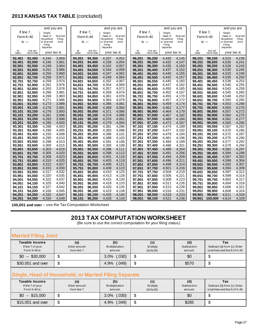## **2013 KANSAS TAX TABLE** (concluded)

|                  |                  | and you are          |                          |                  |                  | and you are          |                          |                  |                  | and you are          |                          |                  |                  | and you are          |                    |
|------------------|------------------|----------------------|--------------------------|------------------|------------------|----------------------|--------------------------|------------------|------------------|----------------------|--------------------------|------------------|------------------|----------------------|--------------------|
|                  | If line $7$ ,    | Single,              |                          |                  | If line $7$ ,    | Single,              |                          |                  | If line 7,       | Single,              |                          |                  | If line $7$ ,    | Single,              |                    |
|                  | Form K-40        | Head of<br>Household | <b>Married</b><br>Filing | Form K-40        |                  | Head of<br>Household | <b>Married</b><br>Filing |                  | Form K-40        | Head of<br>Household | <b>Married</b><br>Filing |                  | Form K-40        | Head of<br>Household | M arried<br>Filing |
|                  | $is -$           | or Married           | Joint                    | is $-$           |                  | or Married           | Joint                    |                  | $is -$           | or Married           | Joint                    |                  | is $-$           | or Married           | Joint              |
|                  |                  | Filing<br>Separate   |                          |                  |                  | Filing<br>Separate   |                          |                  |                  | Filing<br>Separate   |                          |                  |                  | Filing<br>Separate   |                    |
| at               | but not          |                      |                          | at               | but not          |                      |                          | at               | but not          |                      |                          | at               | but not          |                      |                    |
| least            | more than        | your tax is          |                          | least            | more than        | your tax is          |                          | least            | more than        | your tax is          |                          | least            | more than        | your tax is          |                    |
| 92,401           | 92,450           | 4,244                | 3,959                    | 94,301           | 94,350           | 4,337                | 4,052                    | 96,201           | 96,250           | 4,430                | 4,145                    | 98,101           | 98,150           | 4,523                | 4,238              |
| 92,451           | 92,500           | 4,246                | 3,961                    | 94,351           | 94.400           | 4,339                | 4,054                    | 96,251           | 96,300           | 4,432                | 4,147                    | 98,151           | 98,200           | 4,526                | 4,241              |
| 92,501           | 92,550           | 4,249                | 3,964                    | 94.401           | 94.450           | 4,342                | 4,057                    | 96,301           | 96,350           | 4,435                | 4,150                    | 98,201           | 98,250           | 4,528                | 4,243              |
| 92,551           | 92,600           | 4,251                | 3,966                    | 94,451           | 94,500           | 4,344                | 4,059                    | 96,351           | 96,400           | 4,437                | 4,152                    | 98,251           | 98,300           | 4,530                | 4,245              |
| 92,601           | 92,650           | 4,254                | 3,969                    | 94,501           | 94,550           | 4,347                | 4,062<br>4,064           | 96,401           | 96,450           | 4,440                | 4,155                    | 98,301           | 98,350           | 4,533                | 4,248              |
| 92,651<br>92,701 | 92,700<br>92,750 | 4,256<br>4,259       | 3,971<br>3,974           | 94,551<br>94,601 | 94,600<br>94,650 | 4,349<br>4,352       | 4,067                    | 96,451<br>96,501 | 96,500<br>96,550 | 4,442<br>4,445       | 4,157<br>4,160           | 98,351<br>98,401 | 98,400<br>98,450 | 4,535<br>4,538       | 4,250<br>4,253     |
| 92,751           | 92,800           | 4,261                | 3,976                    | 94,651           | 94.700           | 4,354                | 4,069                    | 96,551           | 96,600           | 4,447                | 4,162                    | 98,451           | 98,500           | 4,540                | 4,255              |
| 92,801           | 92,850           | 4,263                | 3,978                    | 94,701           | 94,750           | 4,357                | 4,072                    | 96,601           | 96,650           | 4,450                | 4,165                    | 98,501           | 98,550           | 4,543                | 4,258              |
| 92,851           | 92,900           | 4,266                | 3,981                    | 94,751           | 94.800           | 4,359                | 4,074                    | 96.651           | 96,700           | 4,452                | 4,167                    | 98,551           | 98.600           | 4,545                | 4,260              |
| 92,901           | 92,950           | 4,268                | 3,983                    | 94,801           | 94,850           | 4,361                | 4,076                    | 96,701           | 96,750           | 4,455                | 4,170                    | 98,601           | 98,650           | 4,548                | 4,263              |
| 92,951           | 93,000           | 4,271                | 3,986                    | 94,851           | 94,900           | 4,364                | 4,079                    | 96,751           | 96,800           | 4,457                | 4,172                    | 98,651           | 98,700           | 4,550                | 4,265              |
| 93.001           | 93,050           | 4,273                | 3,988                    | 94.901           | 94.950           | 4.366                | 4,081                    | 96.801           | 96,850           | 4,459                | 4,174                    | 98.701           | 98.750           | 4,553                | 4,268              |
| 93,051           | 93,100           | 4,276                | 3,991                    | 94,951           | 95,000           | 4,369                | 4,084                    | 96,851           | 96,900           | 4,462                | 4,177                    | 98,751           | 98,800           | 4,555                | 4,270              |
| 93,101           | 93,150           | 4,278                | 3,993                    | 95,001           | 95,050           | 4,371                | 4,086                    | 96,901           | 96,950           | 4,464                | 4,179                    | 98,801           | 98,850           | 4,557                | 4,272              |
| 93,151           | 93,200           | 4,281                | 3,996                    | 95,051           | 95.100           | 4,374                | 4,089                    | 96,951           | 97,000           | 4,467                | 4,182                    | 98,851           | 98,900           | 4,560                | 4,275              |
| 93,201           | 93,250           | 4,283                | 3,998                    | 95,101           | 95,150           | 4,376                | 4,091                    | 97,001           | 97,050           | 4,469                | 4,184                    | 98,901           | 98,950           | 4,562                | 4,277              |
| 93,251           | 93,300           | 4,285                | 4,000                    | 95,151           | 95,200           | 4,379                | 4,094                    | 97.051           | 97,100           | 4,472                | 4,187                    | 98,951           | 99.000           | 4,565                | 4,280              |
| 93,301           | 93,350           | 4,288                | 4,003                    | 95,201           | 95,250           | 4,381                | 4,096                    | 97,101           | 97,150           | 4,474                | 4,189                    | 99,001           | 99,050           | 4,567                | 4,282              |
| 93,351           | 93,400           | 4,290                | 4,005                    | 95,251           | 95,300           | 4,383                | 4,098                    | 97,151           | 97,200           | 4,477                | 4,192                    | 99,051           | 99,100           | 4,570                | 4,285              |
| 93,401           | 93,450           | 4,293                | 4,008                    | 95,301           | 95,350           | 4,386                | 4,101                    | 97,201           | 97,250           | 4,479                | 4,194                    | 99,101           | 99,150           | 4,572                | 4,287              |
| 93,451           | 93,500           | 4,295                | 4,010                    | 95,351           | 95,400           | 4,388                | 4,103                    | 97,251           | 97,300           | 4,481                | 4,196                    | 99,151           | 99,200           | 4,575                | 4,290              |
| 93,501           | 93,550           | 4,298                | 4,013                    | 95,401           | 95,450           | 4,391                | 4,106                    | 97,301           | 97,350           | 4,484                | 4,199                    | 99,201           | 99,250           | 4,577                | 4,292              |
| 93,551           | 93,600           | 4,300                | 4,015                    | 95,451           | 95,500           | 4,393                | 4,108                    | 97,351           | 97,400           | 4,486                | 4,201                    | 99,251           | 99,300           | 4,579                | 4,294              |
| 93,601           | 93,650           | 4,303                | 4,018                    | 95,501           | 95,550           | 4,396                | 4,111<br>4,113           | 97,401           | 97,450           | 4,489                | 4,204                    | 99,301           | 99,350           | 4,582                | 4,297              |
| 93,651           | 93,700           | 4,305<br>4,308       | 4,020<br>4,023           | 95,551<br>95,601 | 95,600<br>95,650 | 4,398<br>4,401       | 4,116                    | 97,451<br>97,501 | 97,500<br>97,550 | 4,491<br>4,494       | 4,206<br>4,209           | 99,351<br>99,401 | 99,400<br>99.450 | 4,584<br>4,587       | 4,299<br>4,302     |
| 93,701<br>93,751 | 93,750<br>93,800 | 4,310                | 4,025                    | 95,651           | 95,700           | 4,403                | 4,118                    | 97,551           | 97,600           | 4,496                | 4,211                    | 99,451           | 99,500           | 4,589                | 4,304              |
| 93,801           | 93,850           | 4,312                | 4,027                    | 95,701           | 95,750           | 4,406                | 4,121                    | 97,601           | 97,650           | 4,499                | 4,214                    | 99,501           | 99,550           | 4,592                | 4,307              |
| 93.851           | 93,900           | 4,315                | 4,030                    | 95.751           | 95.800           | 4,408                | 4,123                    | 97.651           | 97,700           | 4,501                | 4,216                    | 99,551           | 99,600           | 4,594                | 4,309              |
| 93,901           | 93,950           | 4,317                | 4,032                    | 95,801           | 95,850           | 4,410                | 4,125                    | 97,701           | 97,750           | 4,504                | 4,219                    | 99,601           | 99,650           | 4,597                | 4,312              |
| 93,951           | 94,000           | 4,320                | 4,035                    | 95,851           | 95,900           | 4,413                | 4,128                    | 97,751           | 97,800           | 4,506                | 4,221                    | 99,651           | 99.700           | 4,599                | 4,314              |
| 94.001           | 94,050           | 4,322                | 4,037                    | 95,901           | 95,950           | 4,415                | 4,130                    | 97.801           | 97,850           | 4,508                | 4,223                    | 99.701           | 99.750           | 4,602                | 4,317              |
| 94,051           | 94,100           | 4,325                | 4,040                    | 95,951           | 96,000           | 4,418                | 4,133                    | 97,851           | 97,900           | 4,511                | 4,226                    | 99,751           | 99,800           | 4,604                | 4,319              |
| 94,101           | 94,150           | 4,327                | 4,042                    | 96,001           | 96,050           | 4,420                | 4,135                    | 97,901           | 97,950           | 4,513                | 4,228                    | 99,801           | 99.850           | 4,606                | 4,321              |
| 94,151           | 94,200           | 4,330                | 4,045                    | 96,051           | 96,100           | 4,423                | 4,138                    | 97,951           | 98,000           | 4,516                | 4,231                    | 99,851           | 99,900           | 4,609                | 4,324              |
| 94,201           | 94,250           | 4,332                | 4,047                    | 96,101           | 96,150           | 4,425                | 4,140                    | 98,001           | 98,050           | 4,518                | 4,233                    | 99,901           | 99,950           | 4,611                | 4,326              |
| 94,251           | 94,300           | 4,334                | 4,049                    | 96,151           | 96,200           | 4,428                | 4,143                    | 98,051           | 98,100           | 4,521                | 4,236                    | 99,951           | 100.000          | 4,614                | 4,329              |

**100,001 and over** – use the Tax Computation Worksheet

Г

## **2013 TAX COMPUTATION WORKSHEET**

(Be sure to use the correct computation for your filing status)

| <b>Married Filing Joint</b>                                 |                                                       |                                  |                                      |                               |                                                                       |
|-------------------------------------------------------------|-------------------------------------------------------|----------------------------------|--------------------------------------|-------------------------------|-----------------------------------------------------------------------|
| Taxable Income<br>If line 7 of your<br>Form K-40 is:        | (a)<br>Enter amount<br>from line 7.                   | (b)<br>Multiplication<br>amount. | (c)<br>M ultiply<br>$(a)$ by $(b)$ . | (d)<br>Subtraction<br>amount. | Tax<br>Subtract (d) from (c). Enter<br>total here and line 8 of K-40. |
| $$0 - $30,000$                                              | \$                                                    | $3.0\%$ $(.030)$                 | \$                                   | \$0                           | \$                                                                    |
| \$30,001 and over                                           | \$                                                    | 4.9% (.049)                      | \$                                   | \$570                         | \$                                                                    |
|                                                             | Single, Head of Household, or Married Filing Separate |                                  |                                      |                               |                                                                       |
| <b>Taxable Income</b><br>If line 7 of your<br>Form K-40 is: | (a)<br>Enter amount<br>from line 7.                   | (b)<br>Multiplication<br>amount. | (c)<br>M ultiply<br>$(a)$ by $(b)$ . | (d)<br>Subtraction<br>amount. | Tax<br>Subtract (d) from (c). Enter<br>total here and line 8 of K-40. |
| $$0 - $15,000$                                              |                                                       |                                  |                                      |                               |                                                                       |
|                                                             | \$                                                    | $3.0\%$ $(.030)$                 | \$                                   | \$0                           | \$                                                                    |